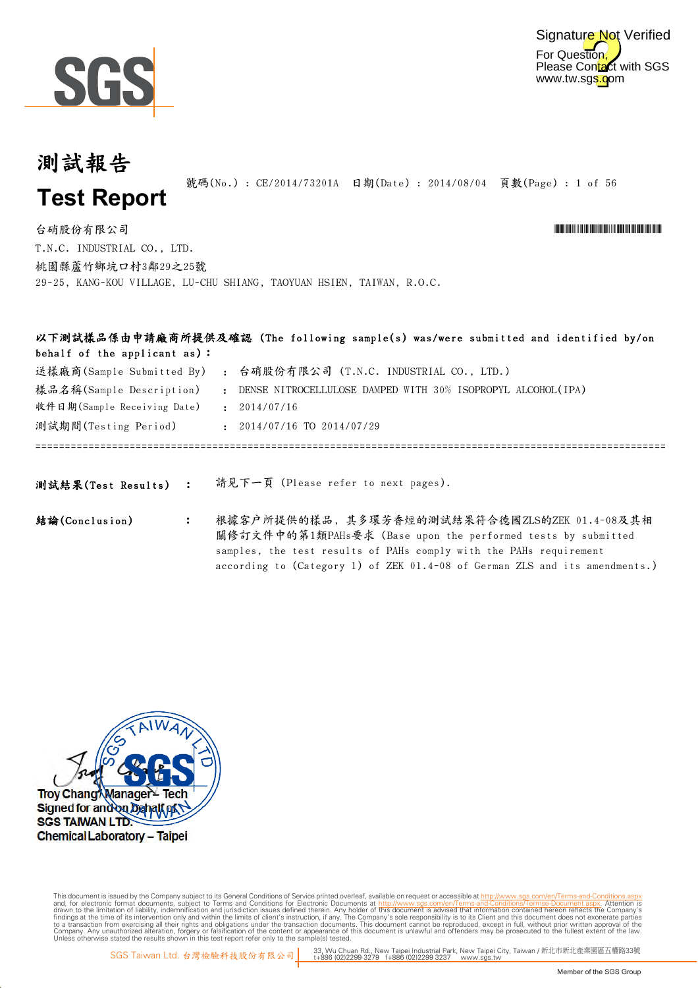



\*CE/2014/73201A\*CE/2014/73201A\*CE/2014/73201A\*CE/2014

## 測試報告 **Test Report**

號碼(No.) : CE/2014/73201A 日期(Date) : 2014/08/04 頁數(Page) : 1 of 56

according to (Category 1) of ZEK 01.4-08 of German ZLS and its amendments.)

T.N.C. INDUSTRIAL CO., LTD. 台硝股份有限公司 桃園縣蘆竹鄉坑口村3鄰29之25號 29-25, KANG-KOU VILLAGE, LU-CHU SHIANG, TAOYUAN HSIEN, TAIWAN, R.O.C.

| behalf of the applicant as): |                | 以下測試樣品係由申請廠商所提供及確認(The following sample(s) was/were submitted and identified by/on                                                                                                  |
|------------------------------|----------------|-------------------------------------------------------------------------------------------------------------------------------------------------------------------------------------|
| 送樣廠商(Sample Submitted By)    |                | 台硝股份有限公司 (T.N.C. INDUSTRIAL CO., LTD.)<br>$\mathbf{r}$                                                                                                                              |
| 樣品名稱(Sample Description)     |                | : DENSE NITROCELLULOSE DAMPED WITH 30% ISOPROPYL ALCOHOL(IPA)                                                                                                                       |
| 收件日期(Sample Receiving Date)  |                | : 2014/07/16                                                                                                                                                                        |
| 測試期間(Testing Period)         |                | $: 2014/07/16$ TO $2014/07/29$                                                                                                                                                      |
|                              |                |                                                                                                                                                                                     |
| 測試結果(Test Results) :         |                | 請見下一頁 (Please refer to next pages).                                                                                                                                                 |
| 結論(Conclusion)               | $\ddot{\cdot}$ | 根據客户所提供的樣品, 其多環芳香烴的測試結果符合德國ZLS的ZEK 01.4-08及其相<br>關修訂文件中的第1類PAHs要求 (Base upon the performed tests by submitted<br>samples, the test results of PAHs comply with the PAHs requirement |

Troy Chang Manager Signed for and on behalf of **SGS TAIWAN LTD. Chemical Laboratory - Taipei** 

Digitally signed by ww.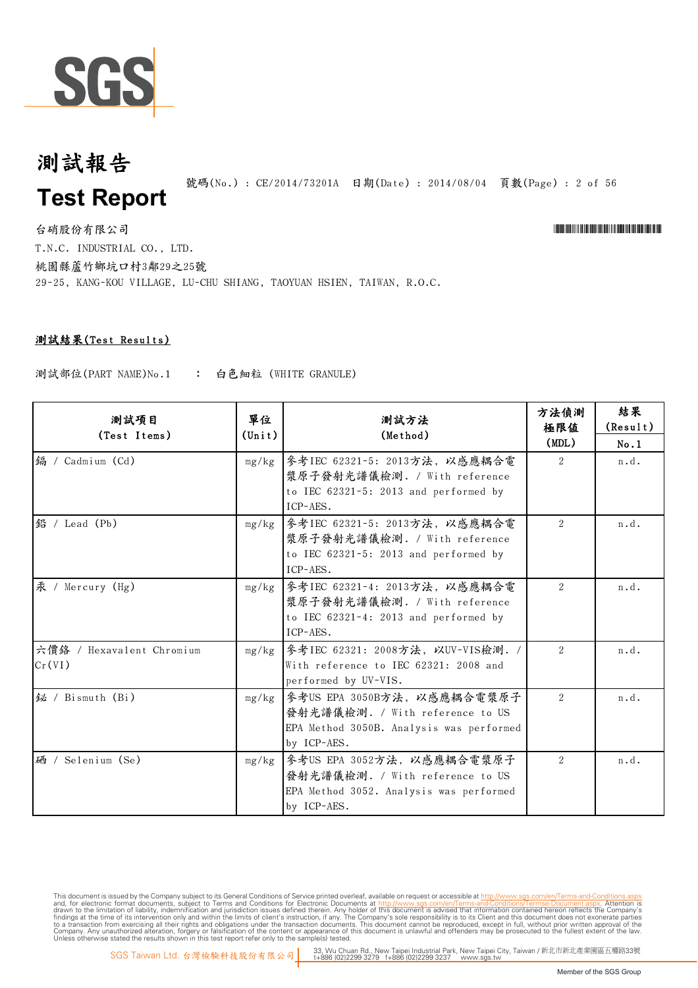

#### 測試報告 號碼(No.) : CE/2014/73201A 日期(Date) : 2014/08/04 頁數(Page) : 2 of 56 **Test Report**

台硝股份有限公司 \*Cerval and the contractor of the contractor of the contractor of the contractor of the contractor of the contractor of the contractor of the contractor of the contractor of the contractor of the contractor of t T.N.C. INDUSTRIAL CO., LTD. 桃園縣蘆竹鄉坑口村3鄰29之25號 29-25, KANG-KOU VILLAGE, LU-CHU SHIANG, TAOYUAN HSIEN, TAIWAN, R.O.C.

#### 測試結果(Test Results)

測試部位(PART NAME)No.1 : 白色細粒 (WHITE GRANULE)

| 測試項目<br>(Test Items)                | 單位<br>$(\text{Unit})$ | 測試方法<br>(Method)                                                                                                          | 方法偵測<br>極限值   | 結果<br>(Result) |
|-------------------------------------|-----------------------|---------------------------------------------------------------------------------------------------------------------------|---------------|----------------|
|                                     |                       |                                                                                                                           | (MDL)         | No.1           |
| 编 / Cadmium (Cd)                    | mg/kg                 | 參考IEC 62321-5: 2013方法, 以感應耦合電<br>漿原子發射光譜儀檢測. / With reference<br>to IEC 62321-5: 2013 and performed by<br>ICP-AES.        | $\mathcal{L}$ | n.d.           |
| 鉛 / Lead (Pb)                       | mg/kg                 | 參考IEC 62321-5: 2013方法, 以感應耦合電<br>漿原子發射光譜儀檢測. / With reference<br>to IEC 62321-5: 2013 and performed by<br>ICP-AES.        | 2             | n.d.           |
| 汞 / Mercury (Hg)                    | mg/kg                 | 參考IEC 62321-4: 2013方法, 以感應耦合電<br>漿原子發射光譜儀檢測. / With reference<br>to IEC 62321-4: 2013 and performed by<br>ICP-AES.        | 2             | n.d.           |
| 六價络 / Hexavalent Chromium<br>Cr(VI) | mg/kg                 | 參考IEC 62321: 2008方法, 以UV-VIS檢測. /<br>With reference to IEC 62321: 2008 and<br>performed by UV-VIS.                        | 2             | n.d.           |
| 铋 / Bismuth (Bi)                    | mg/kg                 | 參考US EPA 3050B方法, 以感應耦合電漿原子<br>發射光譜儀檢測. / With reference to US<br>EPA Method 3050B. Analysis was performed<br>by ICP-AES. | 2             | n.d.           |
| 硒 / Selenium (Se)                   | mg/kg                 | 參考US EPA 3052方法, 以感應耦合電漿原子<br>發射光譜儀檢測. / With reference to US<br>EPA Method 3052. Analysis was performed<br>by ICP-AES.   | 2             | n.d.           |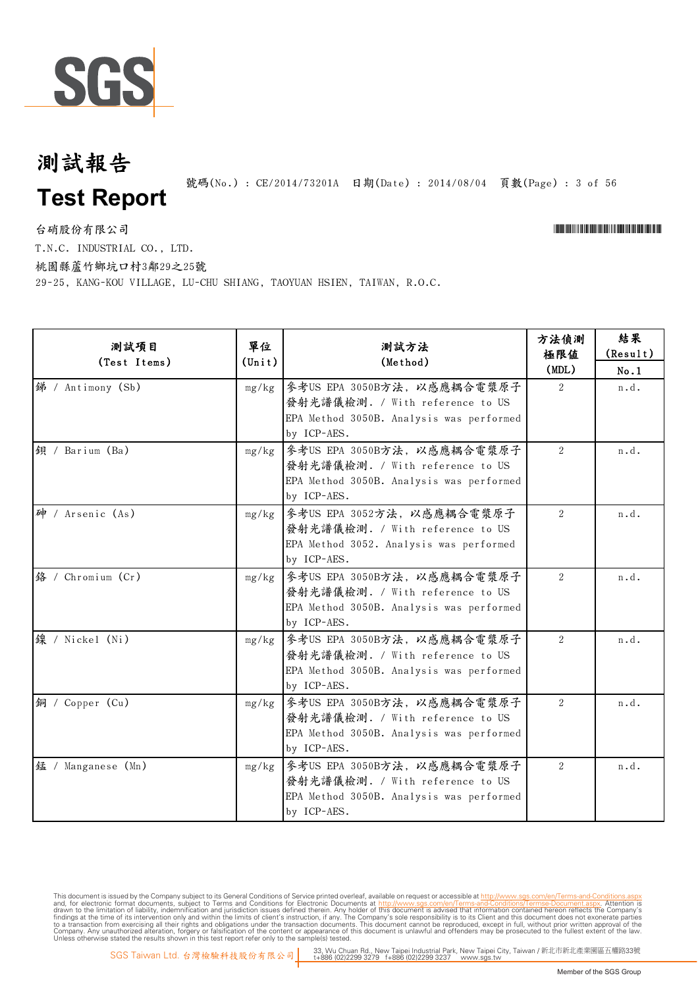

號碼(No.): CE/2014/73201A 日期(Date): 2014/08/04 頁數(Page): 3 of 56

台硝股份有限公司 \*Cerval and the contractor of the contractor of the contractor of the contractor of the contractor of the contractor of the contractor of the contractor of the contractor of the contractor of the contractor of t

T.N.C. INDUSTRIAL CO., LTD.

桃園縣蘆竹鄉坑口村3鄰29之25號

29-25, KANG-KOU VILLAGE, LU-CHU SHIANG, TAOYUAN HSIEN, TAIWAN, R.O.C.

| 測試項目               | 單位              | 測試方法                                                                                                                      | 方法偵測<br>極限值    | 結果<br>(Result) |
|--------------------|-----------------|---------------------------------------------------------------------------------------------------------------------------|----------------|----------------|
| (Test Items)       | $(\text{Unit})$ | (Method)                                                                                                                  | (MDL)          | No.1           |
| 绨 / Antimony (Sb)  | mg/kg           | 參考US EPA 3050B方法, 以感應耦合電漿原子<br>發射光譜儀檢測. / With reference to US                                                            | $\mathfrak{D}$ | n.d.           |
|                    |                 | EPA Method 3050B. Analysis was performed<br>by ICP-AES.                                                                   |                |                |
| 鋇 / Barium (Ba)    | mg/kg           | 參考US EPA 3050B方法,以感應耦合電漿原子<br>發射光譜儀檢測. / With reference to US<br>EPA Method 3050B. Analysis was performed<br>by ICP-AES.  | 2              | n.d.           |
| 砷 / Arsenic (As)   | mg/kg           | 參考US EPA 3052方法, 以感應耦合電漿原子<br>發射光譜儀檢測. / With reference to US<br>EPA Method 3052. Analysis was performed<br>by ICP-AES.   | 2              | n.d.           |
| 络 / Chromium (Cr)  | mg/kg           | 參考US EPA 3050B方法,以感應耦合電漿原子<br>發射光譜儀檢測. / With reference to US<br>EPA Method 3050B. Analysis was performed<br>by ICP-AES.  | 2              | n.d.           |
| 缐 / Nickel (Ni)    | mg/kg           | 參考US EPA 3050B方法, 以感應耦合電漿原子<br>發射光譜儀檢測. / With reference to US<br>EPA Method 3050B. Analysis was performed<br>by ICP-AES. | $\overline{2}$ | n.d.           |
| 銅 / Copper (Cu)    | mg/kg           | 參考US EPA 3050B方法,以感應耦合電漿原子<br>發射光譜儀檢測. / With reference to US<br>EPA Method 3050B. Analysis was performed<br>by ICP-AES.  | $\overline{2}$ | n.d.           |
| 錳 / Manganese (Mn) | mg/kg           | 參考US EPA 3050B方法,以感應耦合電漿原子<br>發射光譜儀檢測. / With reference to US<br>EPA Method 3050B. Analysis was performed<br>by ICP-AES.  | $\overline{2}$ | n.d.           |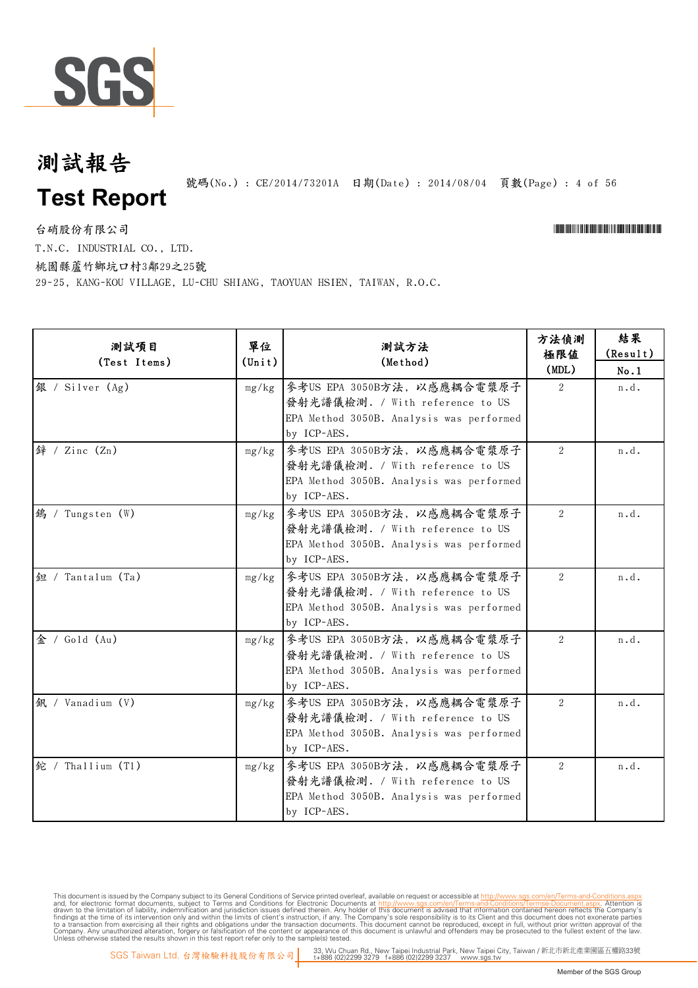

號碼(No.) : CE/2014/73201A 日期(Date) : 2014/08/04 頁數(Page) : 4 of 56

台硝股份有限公司 \*Cerval and the contractor of the contractor of the contractor of the contractor of the contractor of the contractor of the contractor of the contractor of the contractor of the contractor of the contractor of t

T.N.C. INDUSTRIAL CO., LTD.

桃園縣蘆竹鄉坑口村3鄰29之25號

29-25, KANG-KOU VILLAGE, LU-CHU SHIANG, TAOYUAN HSIEN, TAIWAN, R.O.C.

| 測試項目<br>(Test Items)    | 單位<br>$(\texttt{Unit})$ | 測試方法<br>(Method)                         | 方法偵測<br>極限值    | 結果<br>(Result) |
|-------------------------|-------------------------|------------------------------------------|----------------|----------------|
|                         |                         |                                          | (MDL)          | No.1           |
| 銀 / Silver (Ag)         | mg/kg                   | 參考US EPA 3050B方法, 以感應耦合電漿原子              | 2              | n.d.           |
|                         |                         | 發射光譜儀檢測. / With reference to US          |                |                |
|                         |                         | EPA Method 3050B. Analysis was performed |                |                |
|                         |                         | by ICP-AES.                              |                |                |
| 鋅 / Zinc (Zn)           |                         | mg/kg 参考US EPA 3050B方法, 以感應耦合電漿原子        | $\overline{2}$ | n.d.           |
|                         |                         | 發射光譜儀檢測. / With reference to US          |                |                |
|                         |                         | EPA Method 3050B. Analysis was performed |                |                |
|                         |                         | by ICP-AES.                              |                |                |
| <b>鵭 / Tungsten (W)</b> | mg/kg                   | 參考US EPA 3050B方法,以感應耦合電漿原子               | $\overline{2}$ | n.d.           |
|                         |                         | 發射光譜儀檢測. / With reference to US          |                |                |
|                         |                         | EPA Method 3050B. Analysis was performed |                |                |
|                         |                         | by ICP-AES.                              |                |                |
| 鉋 / Tantalum (Ta)       | mg/kg                   | 参考US EPA 3050B方法, 以感應耦合電漿原子              | 2              | n.d.           |
|                         |                         | 發射光譜儀檢測. / With reference to US          |                |                |
|                         |                         | EPA Method 3050B. Analysis was performed |                |                |
|                         |                         | by ICP-AES.                              |                |                |
| 金 / Gold $(Au)$         | mg/kg                   | 參考US EPA 3050B方法,以感應耦合電漿原子               | 2              | n.d.           |
|                         |                         | 發射光譜儀檢測. / With reference to US          |                |                |
|                         |                         | EPA Method 3050B. Analysis was performed |                |                |
|                         |                         | by ICP-AES.                              |                |                |
| 釩 / Vanadium (V)        | mg/kg                   | 參考US EPA 3050B方法,以感應耦合電漿原子               | 2              | n.d.           |
|                         |                         | 發射光譜儀檢測. / With reference to US          |                |                |
|                         |                         | EPA Method 3050B. Analysis was performed |                |                |
|                         |                         | by ICP-AES.                              |                |                |
| 鉈 / Thallium (Tl)       | mg/kg                   | 參考US EPA 3050B方法,以感應耦合電漿原子               | $\overline{2}$ | n.d.           |
|                         |                         | 發射光譜儀檢測. / With reference to US          |                |                |
|                         |                         | EPA Method 3050B. Analysis was performed |                |                |
|                         |                         | by ICP-AES.                              |                |                |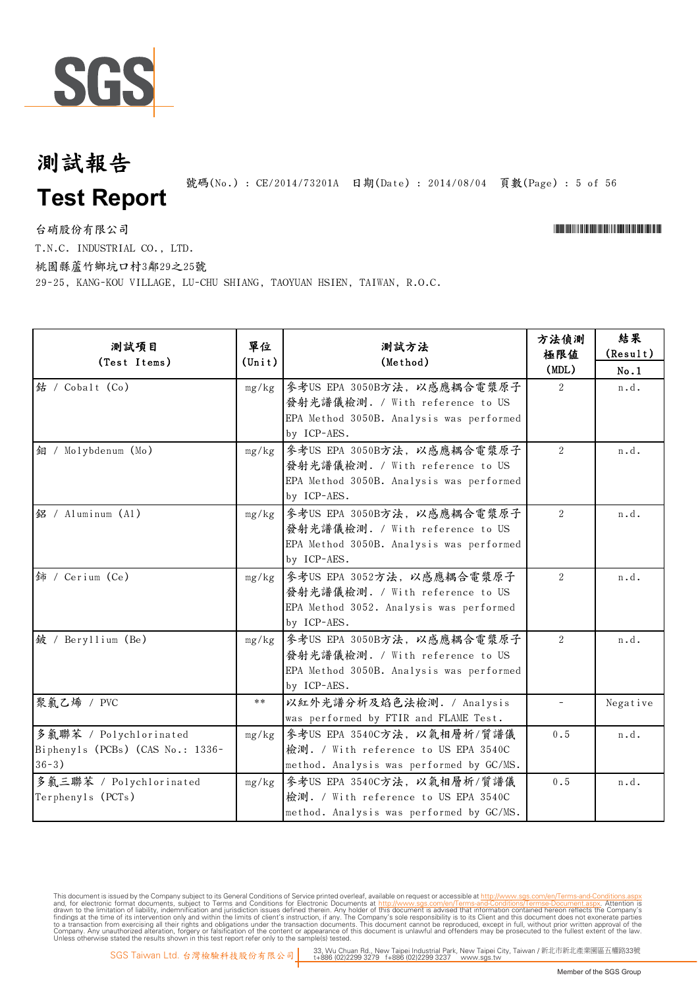

號碼(No.): CE/2014/73201A 日期(Date): 2014/08/04 頁數(Page): 5 of 56

台硝股份有限公司 \*Cerval and the contractor of the contractor of the contractor of the contractor of the contractor of the contractor of the contractor of the contractor of the contractor of the contractor of the contractor of t

T.N.C. INDUSTRIAL CO., LTD.

桃園縣蘆竹鄉坑口村3鄰29之25號

29-25, KANG-KOU VILLAGE, LU-CHU SHIANG, TAOYUAN HSIEN, TAIWAN, R.O.C.

| 测試項目<br>(Test Items)             | 單位<br>$(\text{Unit})$ | 測試方法<br>(Method)                         | 方法偵測<br>極限值<br>(MDL) | 結果<br>(Result)<br>No.1 |
|----------------------------------|-----------------------|------------------------------------------|----------------------|------------------------|
| 结 / Cobalt (Co)                  | mg/kg                 | 參考US EPA 3050B方法, 以感應耦合電漿原子              | $2^{\circ}$          | n.d.                   |
|                                  |                       | 發射光譜儀檢測. / With reference to US          |                      |                        |
|                                  |                       | EPA Method 3050B. Analysis was performed |                      |                        |
|                                  |                       | by ICP-AES.                              |                      |                        |
| 銅 / Molybdenum (Mo)              | mg/kg                 | 參考US EPA 3050B方法, 以感應耦合電漿原子              | $\overline{2}$       | n.d.                   |
|                                  |                       | 發射光譜儀檢測. / With reference to US          |                      |                        |
|                                  |                       | EPA Method 3050B. Analysis was performed |                      |                        |
|                                  |                       | by ICP-AES.                              |                      |                        |
| 銘 / Aluminum (Al)                | mg/kg                 | 參考US EPA 3050B方法, 以感應耦合電漿原子              | 2                    | n.d.                   |
|                                  |                       | 發射光譜儀檢測. / With reference to US          |                      |                        |
|                                  |                       | EPA Method 3050B. Analysis was performed |                      |                        |
|                                  |                       | by ICP-AES.                              |                      |                        |
| <i></i> if / Cerium (Ce)         | mg/kg                 | 參考US EPA 3052方法, 以感應耦合電漿原子               | 2                    | n.d.                   |
|                                  |                       | 發射光譜儀檢測. / With reference to US          |                      |                        |
|                                  |                       | EPA Method 3052. Analysis was performed  |                      |                        |
|                                  |                       | by ICP-AES.                              |                      |                        |
| 鈹 / Beryllium (Be)               | mg/kg                 | 參考US EPA 3050B方法, 以感應耦合電漿原子              | 2                    | n.d.                   |
|                                  |                       | 發射光譜儀檢測. / With reference to US          |                      |                        |
|                                  |                       | EPA Method 3050B. Analysis was performed |                      |                        |
|                                  |                       | by ICP-AES.                              |                      |                        |
| 聚氯乙烯 / PVC                       | $**$                  | 以紅外光譜分析及焰色法檢測. / Analysis                |                      | Negative               |
|                                  |                       | was performed by FTIR and FLAME Test.    |                      |                        |
| 多氯聯苯 / Polychlorinated           | mg/kg                 | 參考US EPA 3540C方法, 以氣相層析/質譜儀              | $0.5$                | n.d.                   |
| Biphenyls (PCBs) (CAS No.: 1336- |                       | 檢測. / With reference to US EPA 3540C     |                      |                        |
| $36 - 3)$                        |                       | method. Analysis was performed by GC/MS. |                      |                        |
| 多氯三聯苯 / Polychlorinated          | mg/kg                 | 參考US EPA 3540C方法, 以氣相層析/質譜儀              | 0.5                  | n.d.                   |
| Terphenyls (PCTs)                |                       | 檢測. / With reference to US EPA 3540C     |                      |                        |
|                                  |                       | method. Analysis was performed by GC/MS. |                      |                        |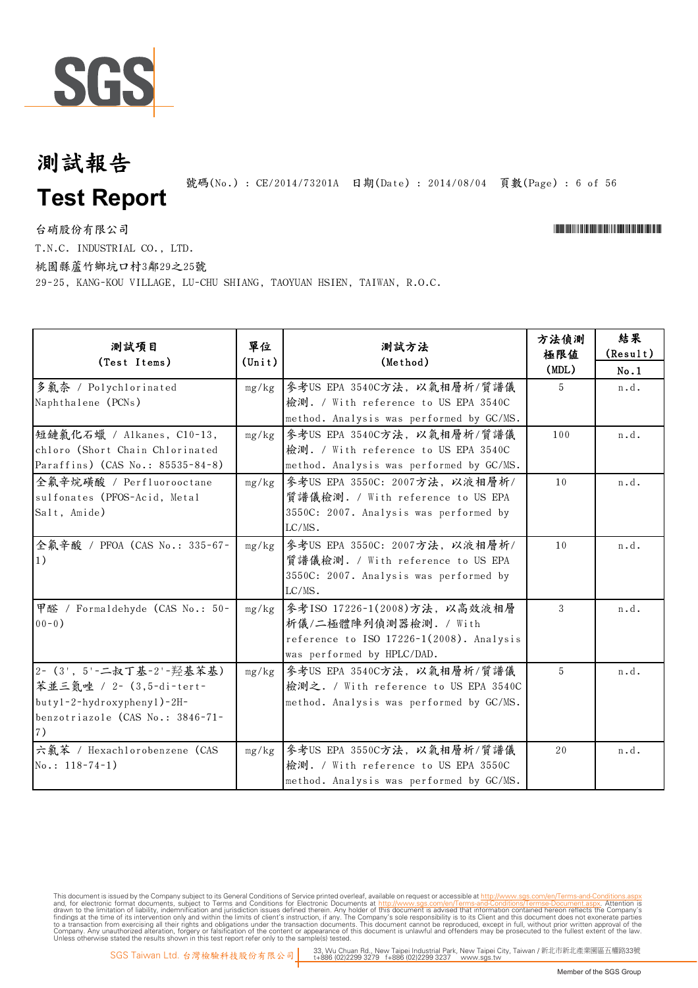

號碼(No.) : CE/2014/73201A 日期(Date) : 2014/08/04 頁數(Page) : 6 of 56

台硝股份有限公司 \*Cerval and the contractor of the contractor of the contractor of the contractor of the contractor of the contractor of the contractor of the contractor of the contractor of the contractor of the contractor of t T.N.C. INDUSTRIAL CO., LTD.

桃園縣蘆竹鄉坑口村3鄰29之25號

29-25, KANG-KOU VILLAGE, LU-CHU SHIANG, TAOYUAN HSIEN, TAIWAN, R.O.C.

| 測試項目<br>(Test Items)                                                                                                         | 單位<br>$(\text{Unit})$ | 測試方法<br>(Method)                                                                                                                 | 方法偵測<br>極限値<br>(MDL) | 結果<br>(Result)<br>No.1 |
|------------------------------------------------------------------------------------------------------------------------------|-----------------------|----------------------------------------------------------------------------------------------------------------------------------|----------------------|------------------------|
| 多氯奈 / Polychlorinated<br>Naphthalene (PCNs)                                                                                  | mg/kg                 | 參考US EPA 3540C方法, 以氣相層析/質譜儀<br>檢測. / With reference to US EPA 3540C<br>method. Analysis was performed by GC/MS.                  | 5                    | n.d.                   |
| 短鏈氯化石蠟 / Alkanes, C10-13,<br>chloro (Short Chain Chlorinated<br>Paraffins) (CAS No.: 85535-84-8)                             | mg/kg                 | 參考US EPA 3540C方法, 以氣相層析/質譜儀<br>檢測. / With reference to US EPA 3540C<br>method. Analysis was performed by GC/MS.                  | 100                  | n.d.                   |
| 全氟辛烷磺酸 / Perfluorooctane<br>sulfonates (PFOS-Acid, Metal<br>Salt, Amide)                                                     | mg/kg                 | 參考US EPA 3550C: 2007方法, 以液相層析/<br>質譜儀檢測. / With reference to US EPA<br>3550C: 2007. Analysis was performed by<br>$LC/MS$ .       | 10                   | n.d.                   |
| 全氟辛酸 / PFOA (CAS No.: 335-67-<br>$ 1\rangle$                                                                                 | mg/kg                 | 參考US EPA 3550C: 2007方法, 以液相層析/<br>質譜儀檢測. / With reference to US EPA<br>3550C: 2007. Analysis was performed by<br>$LC/MS$ .       | 10                   | n.d.                   |
| 甲醛 / Formaldehyde (CAS No.: 50-<br>$00 - 0)$                                                                                 | mg/kg                 | 參考ISO 17226-1(2008)方法, 以高效液相層<br>析儀/二極體陣列偵測器檢測. / With<br>reference to ISO 17226-1(2008). Analysis<br>was performed by HPLC/DAD. | 3                    | n.d.                   |
| 2- (3', 5'-二叔丁基-2'-羟基苯基)<br>苯並三氮唑 / 2- (3,5-di-tert-<br>butyl-2-hydroxyphenyl)-2H-<br>benzotriazole (CAS No.: 3846-71-<br>7) | mg/kg                 | 參考US EPA 3540C方法, 以氣相層析/質譜儀<br>檢測之. / With reference to US EPA 3540C<br>method. Analysis was performed by GC/MS.                 | 5                    | n.d.                   |
| 六氯苯 / Hexachlorobenzene (CAS<br>$No.: 118-74-1)$                                                                             | mg/kg                 | 參考US EPA 3550C方法, 以氣相層析/質譜儀<br>檢測. / With reference to US EPA 3550C<br>method. Analysis was performed by GC/MS.                  | 20                   | n.d.                   |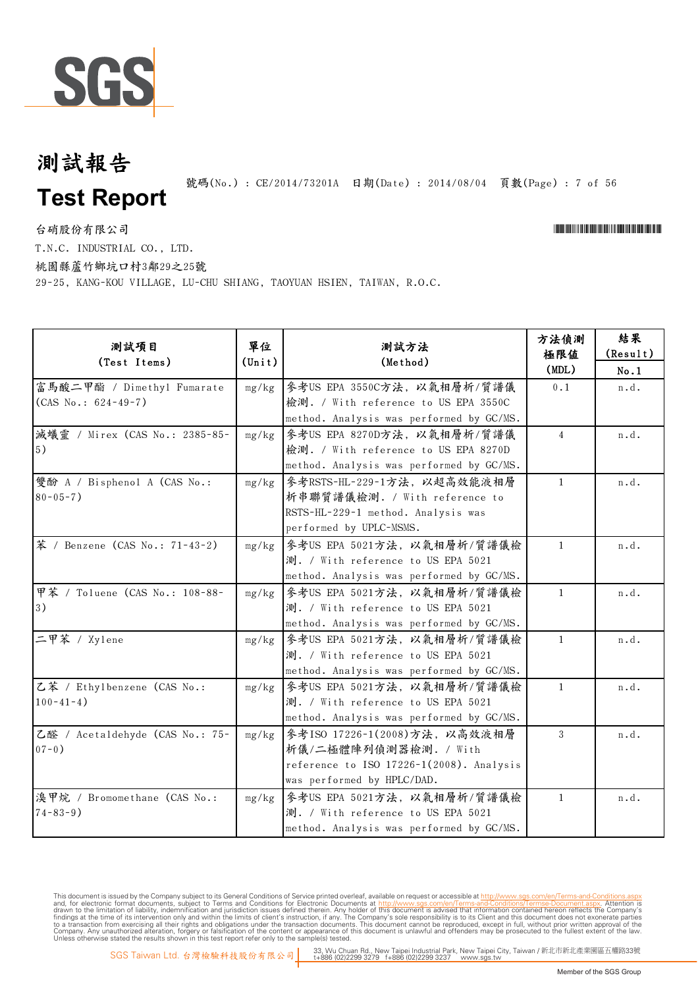

號碼(No.) : CE/2014/73201A 日期(Date) : 2014/08/04 頁數(Page) : 7 of 56

台硝股份有限公司

\*CE/2014/73201A\*CE/2014/73201A\*CE/2014/73201A\*CE/2014

T.N.C. INDUSTRIAL CO., LTD.

桃園縣蘆竹鄉坑口村3鄰29之25號

29-25, KANG-KOU VILLAGE, LU-CHU SHIANG, TAOYUAN HSIEN, TAIWAN, R.O.C.

| 測試項目<br>(Test Items)                                | 單位<br>$(\text{Unit})$ | 測試方法<br>(Method)                                                                                                                 | 方法偵測<br>極限值<br>(MDL) | 結果<br>(Result)<br>No.1 |
|-----------------------------------------------------|-----------------------|----------------------------------------------------------------------------------------------------------------------------------|----------------------|------------------------|
| 富馬酸二甲酯 / Dimethyl Fumarate<br>$(CAS No.: 624-49-7)$ | mg/kg                 | 參考US EPA 3550C方法, 以氣相層析/質譜儀<br>檢測. / With reference to US EPA 3550C<br>method. Analysis was performed by GC/MS.                  | 0.1                  | n.d.                   |
| 減蟻靈 / Mirex (CAS No.: 2385-85-<br>5)                | mg/kg                 | 參考US EPA 8270D方法, 以氣相層析/質譜儀<br>檢測. / With reference to US EPA 8270D<br>method. Analysis was performed by GC/MS.                  | $\overline{4}$       | n.d.                   |
| 雙酚 A / Bisphenol A (CAS No.:<br>$80 - 05 - 7$ )     | mg/kg                 | 參考RSTS-HL-229-1方法, 以超高效能液相層<br>析串聯質譜儀檢測. / With reference to<br>RSTS-HL-229-1 method. Analysis was<br>performed by UPLC-MSMS.    | $\mathbf{1}$         | n.d.                   |
| 苯 / Benzene (CAS No.: 71-43-2)                      | mg/kg                 | 參考US EPA 5021方法, 以氣相層析/質譜儀檢<br>測. / With reference to US EPA 5021<br>method. Analysis was performed by GC/MS.                    | $\mathbf{1}$         | n.d.                   |
| 甲苯 / Toluene (CAS No.: 108-88-<br>3)                | mg/kg                 | 參考US EPA 5021方法, 以氣相層析/質譜儀檢<br>測. / With reference to US EPA 5021<br>method. Analysis was performed by GC/MS.                    | $\mathbf{1}$         | n.d.                   |
| 二甲苯 / Xylene                                        | mg/kg                 | 參考US EPA 5021方法,以氣相層析/質譜儀檢<br>測. / With reference to US EPA 5021<br>method. Analysis was performed by GC/MS.                     | $\mathbf{1}$         | n.d.                   |
| 乙苯 / Ethylbenzene (CAS No.:<br>$100 - 41 - 4$ )     | mg/kg                 | 參考US EPA 5021方法, 以氣相層析/質譜儀檢<br>測. / With reference to US EPA 5021<br>method. Analysis was performed by GC/MS.                    | $\mathbf{1}$         | n.d.                   |
| 乙醛 / Acetaldehyde (CAS No.: 75-<br>$07 - 0$ )       | mg/kg                 | 參考ISO 17226-1(2008)方法, 以高效液相層<br>析儀/二極體陣列偵測器檢測. / With<br>reference to ISO 17226-1(2008). Analysis<br>was performed by HPLC/DAD. | 3                    | n.d.                   |
| 溴甲烷 / Bromomethane (CAS No.:<br>$74 - 83 - 9$ )     | mg/kg                 | 參考US EPA 5021方法, 以氣相層析/質譜儀檢<br>測. / With reference to US EPA 5021<br>method. Analysis was performed by GC/MS.                    | $\mathbf{1}$         | n.d.                   |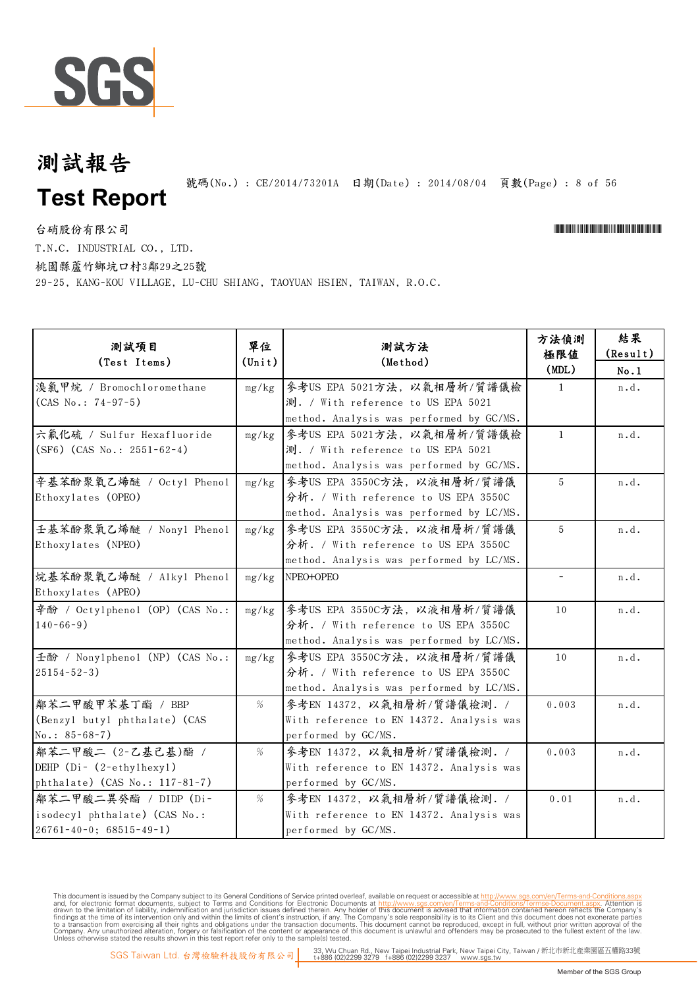

號碼(No.) : CE/2014/73201A 日期(Date) : 2014/08/04 頁數(Page) : 8 of 56

台硝股份有限公司 \*Cerval and the contractor of the contractor of the contractor of the contractor of the contractor of the contractor of the contractor of the contractor of the contractor of the contractor of the contractor of t T.N.C. INDUSTRIAL CO., LTD.

桃園縣蘆竹鄉坑口村3鄰29之25號

29-25, KANG-KOU VILLAGE, LU-CHU SHIANG, TAOYUAN HSIEN, TAIWAN, R.O.C.

| 測試項目<br>(Test Items)                                                                            | 單位<br>$(\text{Unit})$ | 測試方法<br>(Method)                                                                                                | 方法偵測<br>極限值<br>(MDL)     | 結果<br>(Result)<br>No.1 |
|-------------------------------------------------------------------------------------------------|-----------------------|-----------------------------------------------------------------------------------------------------------------|--------------------------|------------------------|
| 溴氯甲烷 / Bromochloromethane<br>$(CAS No.: 74-97-5)$                                               | mg/kg                 | 參考US EPA 5021方法, 以氣相層析/質譜儀檢<br>測. / With reference to US EPA 5021                                               | $\mathbf{1}$             | n.d.                   |
|                                                                                                 |                       | method. Analysis was performed by GC/MS.                                                                        |                          |                        |
| 六氟化硫 / Sulfur Hexafluoride<br>$(SF6)$ (CAS No.: 2551-62-4)                                      | mg/kg                 | 参考US EPA 5021方法, 以氣相層析/質譜儀檢<br>測. / With reference to US EPA 5021                                               | $\mathbf{1}$             | n.d.                   |
| 辛基苯酚聚氧乙烯醚 / Octyl Phenol                                                                        | mg/kg                 | method. Analysis was performed by GC/MS.<br>參考US EPA 3550C方法, 以液相層析/質譜儀                                         | 5                        | n.d.                   |
| Ethoxylates (OPEO)                                                                              |                       | 分析. / With reference to US EPA 3550C<br>method. Analysis was performed by LC/MS.                                |                          |                        |
| 壬基苯酚聚氧乙烯醚 / Nony1 Pheno1<br>Ethoxylates (NPEO)                                                  | mg/kg                 | 參考US EPA 3550C方法, 以液相層析/質譜儀<br>分析. / With reference to US EPA 3550C                                             | 5                        | n.d.                   |
| 烷基苯酚聚氧乙烯醚 / Alkyl Phenol<br>Ethoxylates (APEO)                                                  | mg/kg                 | method. Analysis was performed by LC/MS.<br>NPEO+OPEO                                                           | $\overline{\phantom{a}}$ | n.d.                   |
| 辛酚 / Octylphenol (OP) (CAS No.:<br>$140 - 66 - 9$ )                                             | mg/kg                 | 參考US EPA 3550C方法, 以液相層析/質譜儀<br>分析. / With reference to US EPA 3550C<br>method. Analysis was performed by LC/MS. | 10                       | n.d.                   |
| 壬酚 / Nonylphenol (NP) (CAS No.:<br>$25154 - 52 - 3$ )                                           | mg/kg                 | 參考US EPA 3550C方法, 以液相層析/質譜儀<br>分析. / With reference to US EPA 3550C<br>method. Analysis was performed by LC/MS. | 10                       | n.d.                   |
| 鄰苯二甲酸甲苯基丁酯 / BBP<br>(Benzyl butyl phthalate) (CAS<br>$No.: 85-68-7)$                            | %                     | 參考EN 14372, 以氣相層析/質譜儀檢測. /<br>With reference to EN 14372. Analysis was<br>performed by GC/MS.                   | 0.003                    | n.d.                   |
| 鄰苯二甲酸二 (2-乙基己基)酯 /<br>DEHP (Di- (2-ethylhexyl)<br>phthalate) (CAS No.: 117-81-7)                | $\%$                  | 參考EN 14372, 以氣相層析/質譜儀檢測. /<br>With reference to EN 14372. Analysis was<br>performed by GC/MS.                   | 0.003                    | n.d.                   |
| 鄰苯二甲酸二異癸酯 / DIDP (Di-<br>isodecyl phthalate) (CAS No.:<br>$26761 - 40 - 0$ ; $68515 - 49 - 1$ ) | %                     | 參考EN 14372, 以氣相層析/質譜儀檢測. /<br>With reference to EN 14372. Analysis was<br>performed by GC/MS.                   | 0.01                     | n.d.                   |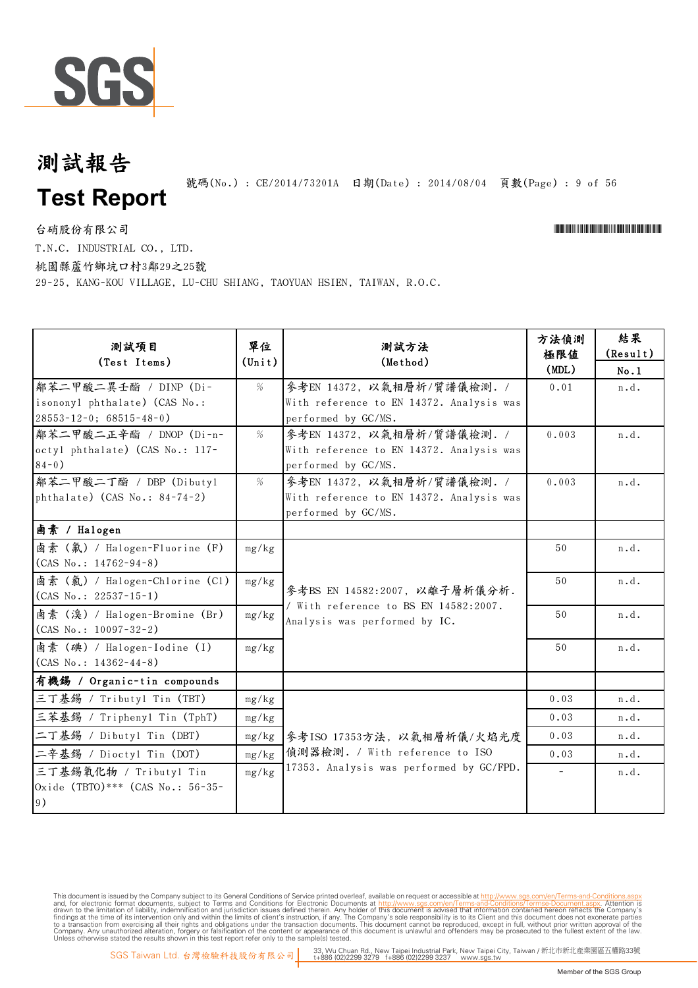

號碼(No.): CE/2014/73201A 日期(Date): 2014/08/04 頁數(Page): 9 of 56

台硝股份有限公司 \*Cerval and the contractor of the contractor of the contractor of the contractor of the contractor of the contractor of the contractor of the contractor of the contractor of the contractor of the contractor of t

T.N.C. INDUSTRIAL CO., LTD.

桃園縣蘆竹鄉坑口村3鄰29之25號

29-25, KANG-KOU VILLAGE, LU-CHU SHIANG, TAOYUAN HSIEN, TAIWAN, R.O.C.

| 测試項目<br>(Test Items)                                                                     | 單位<br>$(\text{Unit})$ | 測試方法<br>(Method)                                                                              | 方法偵測<br>極限値<br>(MDL) | 結果<br>(Result)<br>No.1 |
|------------------------------------------------------------------------------------------|-----------------------|-----------------------------------------------------------------------------------------------|----------------------|------------------------|
| 鄰苯二甲酸二異壬酯 / DINP (Di-<br>isononyl phthalate) (CAS No.:<br>$28553 - 12 - 0$ ; 68515-48-0) | %                     | 參考EN 14372, 以氣相層析/質譜儀檢測. /<br>With reference to EN 14372. Analysis was<br>performed by GC/MS. | 0.01                 | n.d.                   |
| 鄰苯二甲酸二正辛酯 / DNOP (Di-n-<br>octyl phthalate) (CAS No.: 117-<br>$84-0)$                    | %                     | 參考EN 14372, 以氣相層析/質譜儀檢測. /<br>With reference to EN 14372. Analysis was<br>performed by GC/MS. | 0.003                | n.d.                   |
| 鄰苯二甲酸二丁酯 / DBP (Dibutyl<br>phthalate) $(CAS No.: 84-74-2)$                               | $\%$                  | 參考EN 14372, 以氣相層析/質譜儀檢測. /<br>With reference to EN 14372. Analysis was<br>performed by GC/MS. | 0.003                | n.d.                   |
| 鹵素 / Halogen                                                                             |                       |                                                                                               |                      |                        |
| 鹵素 (氟) / Halogen-Fluorine (F)<br>$(CAS No.: 14762-94-8)$                                 | mg/kg                 | 參考BS EN 14582:2007, 以離子層析儀分析.                                                                 | 50                   | n.d.                   |
| 鹵素 (氣) / Halogen-Chlorine (Cl)<br>$(CAS No.: 22537-15-1)$                                | mg/kg                 |                                                                                               | 50                   | n.d.                   |
| 鹵素 (溴) / Halogen-Bromine (Br)<br>$(CAS No.: 10097-32-2)$                                 | mg/kg                 | / With reference to BS EN 14582:2007.<br>Analysis was performed by IC.                        | 50                   | n.d.                   |
| 鹵素 (碘) / Halogen-Iodine (I)<br>$(CAS No.: 14362-44-8)$                                   | mg/kg                 |                                                                                               | 50                   | n.d.                   |
| 有機錫 / Organic-tin compounds                                                              |                       |                                                                                               |                      |                        |
| 三丁基錫 / Tributyl Tin (TBT)                                                                | mg/kg                 |                                                                                               | 0.03                 | n.d.                   |
| 三苯基錫 / Triphenyl Tin (TphT)                                                              | mg/kg                 |                                                                                               | 0.03                 | n.d.                   |
| 二丁基錫 / Dibutyl Tin (DBT)                                                                 | mg/kg                 | 參考ISO 17353方法, 以氣相層析儀/火焰光度                                                                    | 0.03                 | n.d.                   |
| 二辛基錫 / Dioctyl Tin (DOT)                                                                 | mg/kg                 | 偵測器檢測. / With reference to ISO                                                                | 0.03                 | n.d.                   |
| 三丁基錫氧化物 / Tributyl Tin<br>Oxide (TBTO)*** (CAS No.: 56-35-<br>9)                         | mg/kg                 | 17353. Analysis was performed by GC/FPD.                                                      | $\equiv$             | n.d.                   |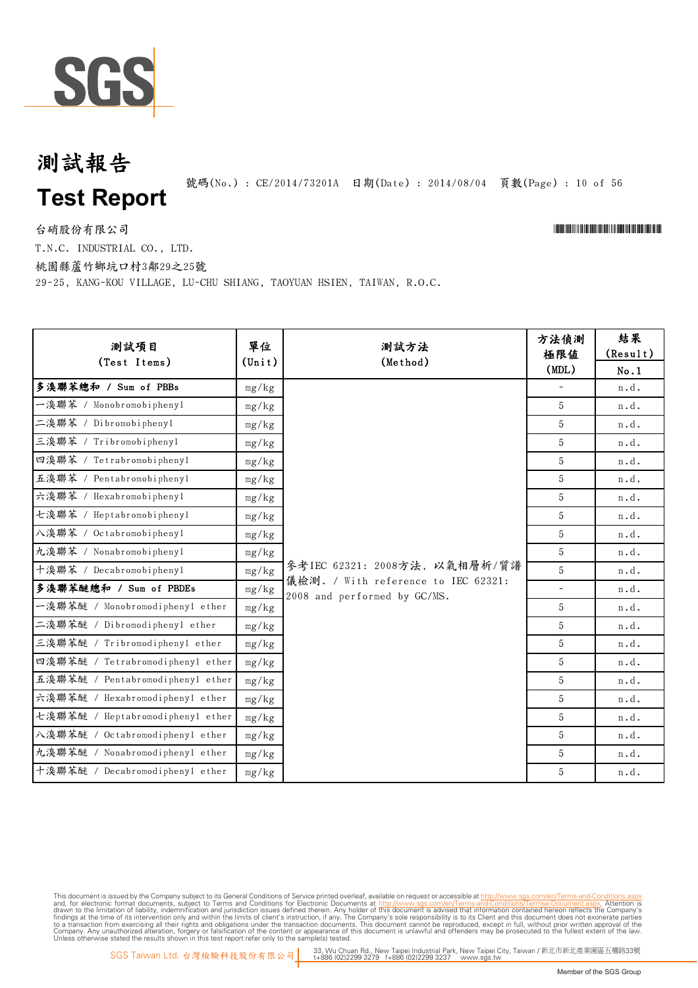

## **Test Report** 測試報告

號碼(No.): CE/2014/73201A 日期(Date): 2014/08/04 頁數(Page): 10 of 56

台硝股份有限公司 \*Cerval and the contractor of the contractor of the contractor of the contractor of the contractor of the contractor of the contractor of the contractor of the contractor of the contractor of the contractor of t

T.N.C. INDUSTRIAL CO., LTD.

桃園縣蘆竹鄉坑口村3鄰29之25號

29-25, KANG-KOU VILLAGE, LU-CHU SHIANG, TAOYUAN HSIEN, TAIWAN, R.O.C.

| 测試項目<br>(Test Items)             | 單位<br>$(\text{Unit})$ | 測試方法<br>(Method)                                                    | 方法偵測<br>極限值<br>(MDL)     | 結果<br>(Result)<br>No.1 |
|----------------------------------|-----------------------|---------------------------------------------------------------------|--------------------------|------------------------|
| 多溴聯苯總和 / Sum of PBBs             | mg/kg                 |                                                                     |                          | n.d.                   |
| 一溴聯苯 / Monobromobiphenyl         | mg/kg                 |                                                                     | 5                        | n.d.                   |
| 二溴聯苯 / Dibromobiphenyl           | mg/kg                 |                                                                     | 5                        | n.d.                   |
| 三溴聯苯 / Tribromobiphenyl          | mg/kg                 |                                                                     | 5                        | n.d.                   |
| 四溴聯苯 / Tetrabromobiphenyl        | mg/kg                 |                                                                     | 5                        | n.d.                   |
| 五溴聯苯 / Pentabromobiphenyl        | mg/kg                 |                                                                     | 5                        | n.d.                   |
| 六溴聯苯 / Hexabromobiphenyl         | mg/kg                 |                                                                     | 5                        | n.d.                   |
| 七溴聯苯 / Heptabromobiphenyl        | mg/kg                 |                                                                     | 5                        | n.d.                   |
| 入溴聯苯 / Octabromobiphenyl         | mg/kg                 |                                                                     | 5                        | n.d.                   |
| 九溴聯苯 / Nonabromobiphenyl         | mg/kg                 |                                                                     | 5                        | n.d.                   |
| 十溴聯苯 / Decabromobiphenyl         | mg/kg                 | 參考IEC 62321: 2008方法, 以氣相層析/質譜                                       | 5                        | n.d.                   |
| 多溴聯苯醚總和 / Sum of PBDEs           | mg/kg                 | 儀檢測. / With reference to IEC 62321:<br>2008 and performed by GC/MS. | $\overline{\phantom{a}}$ | n.d.                   |
| 一溴聯苯醚 / Monobromodiphenyl ether  | mg/kg                 |                                                                     | 5                        | n.d.                   |
| 二溴聯苯醚 / Dibromodiphenyl ether    | mg/kg                 |                                                                     | 5                        | n.d.                   |
| 三溴聯苯醚 / Tribromodiphenyl ether   | mg/kg                 |                                                                     | 5                        | n.d.                   |
| 四溴聯苯醚 / Tetrabromodiphenyl ether | mg/kg                 |                                                                     | 5                        | n.d.                   |
| 五溴聯苯醚 / Pentabromodiphenyl ether | mg/kg                 |                                                                     | 5                        | n.d.                   |
| 六溴聯苯醚 / Hexabromodiphenyl ether  | mg/kg                 |                                                                     | 5                        | n.d.                   |
| 七溴聯苯醚 / Heptabromodiphenyl ether | mg/kg                 |                                                                     | 5                        | n.d.                   |
| 入溴聯苯醚 / Octabromodiphenyl ether  | mg/kg                 |                                                                     | 5                        | n.d.                   |
| 九溴聯苯醚 / Nonabromodiphenyl ether  | mg/kg                 |                                                                     | 5                        | n.d.                   |
| 十溴聯苯醚 / Decabromodiphenyl ether  | mg/kg                 |                                                                     | 5                        | n.d.                   |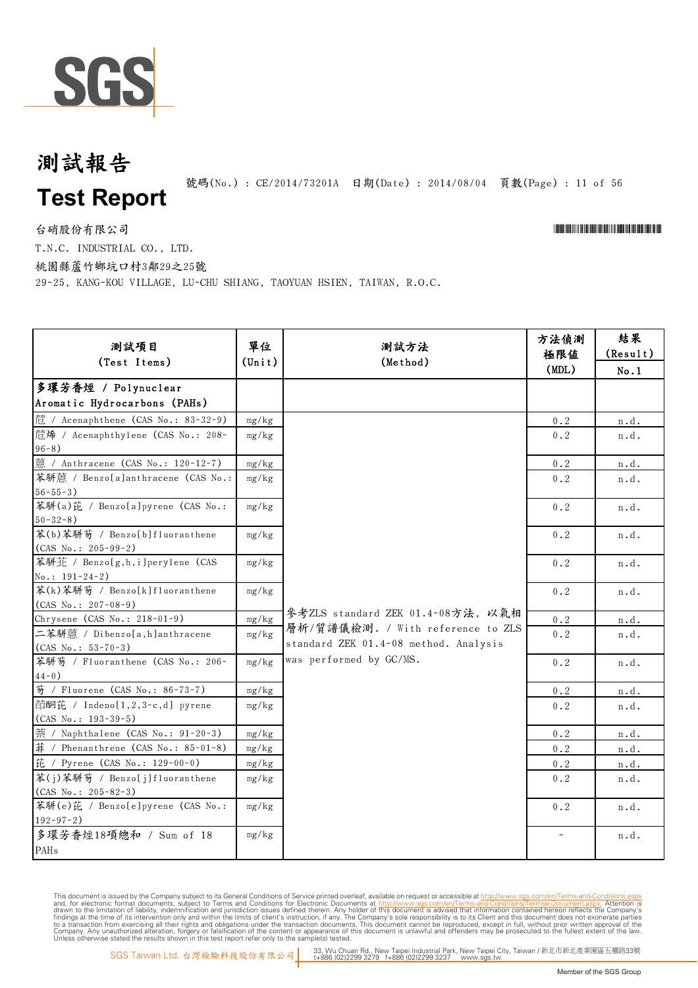

## **Test Report** 測試報告

號碼(No.): CE/2014/73201A 日期(Date): 2014/08/04 頁數(Page): 11 of 56

台硝股份有限公司 \*Cerval and the contractor of the contractor of the contractor of the contractor of the contractor of the contractor of the contractor of the contractor of the contractor of the contractor of the contractor of t

T.N.C. INDUSTRIAL CO., LTD.

桃園縣蘆竹鄉坑口村3鄰29之25號

29-25, KANG-KOU VILLAGE, LU-CHU SHIANG, TAOYUAN HSIEN, TAIWAN, R.O.C.

| 测試項目<br>(Test Items)                                    | 單位<br>$(\text{Unit})$ | 測試方法<br>(Method)                                                           | 方法偵測<br>極限値<br>(MDL)                                             | 結果<br>(Result)<br>No.1 |
|---------------------------------------------------------|-----------------------|----------------------------------------------------------------------------|------------------------------------------------------------------|------------------------|
| 多環芳香烴 / Polynuclear<br>Aromatic Hydrocarbons (PAHs)     |                       |                                                                            |                                                                  |                        |
| 苊 / Acenaphthene (CAS No.: 83-32-9)                     | mg/kg                 |                                                                            | 0.2                                                              | n.d.                   |
| 苊烯 / Acenaphthylene (CAS No.: 208-<br>$96 - 8)$         | mg/kg                 |                                                                            | 0.2                                                              | n.d.                   |
| 蒽 / Anthracene (CAS No.: 120-12-7)                      | mg/kg                 |                                                                            | 0.2                                                              | n.d.                   |
| 苯駢蒽 / Benzo(a)anthracene (CAS No.:<br>$56 - 55 - 3$     | mg/kg                 |                                                                            | 0.2                                                              | n.d.                   |
| 苯駢(a)芘 / Benzo[a]pyrene (CAS No.:<br>$50 - 32 - 8$ )    | mg/kg                 |                                                                            | $0\centerdot 2$                                                  | n.d.                   |
| 苯(b)苯駢芴 / Benzo[b]fluoranthene<br>$(CAS No.: 205-99-2)$ | mg/kg                 |                                                                            | $0.2$                                                            | n.d.                   |
| 苯駢芷 / Benzo(g,h,i)perylene (CAS<br>$No.: 191 - 24 - 2)$ | mg/kg                 |                                                                            | $0.2$                                                            | n.d.                   |
| 苯(k)苯駢芴 / Benzo[k]fluoranthene<br>$(CAS No.: 207-08-9)$ | mg/kg                 |                                                                            | 0.2                                                              | n.d.                   |
| Chrysene (CAS No.: 218-01-9)                            | mg/kg                 | 參考ZLS standard ZEK 01.4-08方法, 以氣相                                          | $0\,\raisebox{1pt}{\text{\circle*{1.5}}\mathord{\text{\rm{.}}}2$ | n.d.                   |
| 二苯駢蒽 / Dibenzo(a,h)anthracene<br>$(CAS No.: 53-70-3)$   | mg/kg                 | 層析/質譜儀檢測. / With reference to ZLS<br>standard ZEK 01.4-08 method. Analysis | 0.2                                                              | n.d.                   |
| 苯駢芴 / Fluoranthene (CAS No.: 206-<br>$4\,4$ – $0$ )     | mg/kg                 | was performed by GC/MS.                                                    | 0.2                                                              | n.d.                   |
| 芴 / Fluorene (CAS No.: 86-73-7)                         | mg/kg                 |                                                                            | 0.2                                                              | n.d.                   |
| 茚酮芘 / Indeno[1,2,3-c,d] pyrene<br>$(CAS No.: 193-39-5)$ | mg/kg                 |                                                                            | 0.2                                                              | n.d.                   |
| 萘 / Naphthalene (CAS No.: 91-20-3)                      | mg/kg                 |                                                                            | $0.2$                                                            | n.d.                   |
| 菲 / Phenanthrene (CAS No.: 85-01-8)                     | mg/kg                 |                                                                            | 0.2                                                              | n.d.                   |
| 芘 / Pyrene (CAS No.: 129-00-0)                          | mg/kg                 |                                                                            | 0.2                                                              | n.d.                   |
| 苯(j)苯駢芴 / Benzo[j]fluoranthene<br>$(CAS No.: 205-82-3)$ | mg/kg                 |                                                                            | 0.2                                                              | n.d.                   |
| 苯駢(e)芘 / Benzo[e]pyrene (CAS No.:<br>$192 - 97 - 2$ )   | mg/kg                 |                                                                            | $0.2$                                                            | n.d.                   |
| 多環芳香烴18項總和 / Sum of 18<br>PAHs                          | mg/kg                 |                                                                            |                                                                  | n.d.                   |
|                                                         |                       |                                                                            |                                                                  |                        |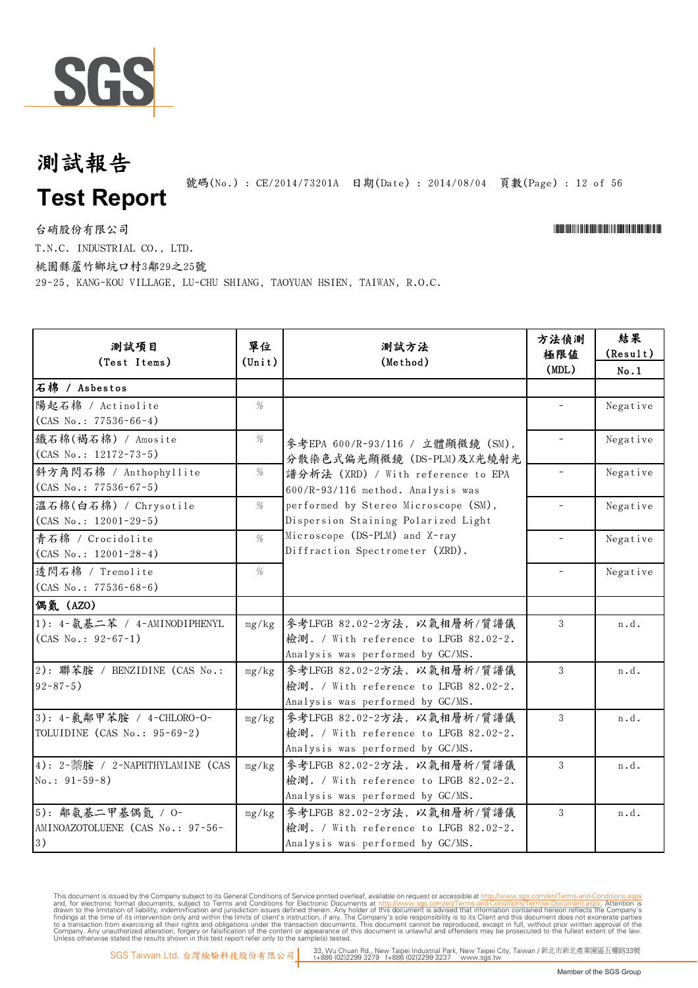

號碼(No.): CE/2014/73201A 日期(Date): 2014/08/04 頁數(Page): 12 of 56

台硝股份有限公司 \*Cerval and the contractor of the contractor of the contractor of the contractor of the contractor of the contractor of the contractor of the contractor of the contractor of the contractor of the contractor of t

T.N.C. INDUSTRIAL CO., LTD.

桃園縣蘆竹鄉坑口村3鄰29之25號

29-25, KANG-KOU VILLAGE, LU-CHU SHIANG, TAOYUAN HSIEN, TAIWAN, R.O.C.

| 測試項目                                                        | 單位              | 測試方法                                                                                                     | 方法偵測<br>極限値              | 結果<br>(Result) |
|-------------------------------------------------------------|-----------------|----------------------------------------------------------------------------------------------------------|--------------------------|----------------|
| (Test Items)                                                | $(\text{Unit})$ | (Method)                                                                                                 | (MDL)                    | No.1           |
| 石棉 / Asbestos                                               |                 |                                                                                                          |                          |                |
| 陽起石棉 / Actinolite<br>$(CAS No.: 77536-66-4)$                | %               |                                                                                                          |                          | Negative       |
| 鐵石棉(褐石棉) / Amosite<br>$(CAS No.: 12172-73-5)$               | %               | 參考EPA 600/R-93/116 / 立體顯微鏡 (SM),<br>分散染色式偏光顯微鏡 (DS-PLM)及X光繞射光                                            |                          | Negative       |
| 斜方角閃石棉 / Anthophyllite<br>$(CAS No.: 77536-67-5)$           | $\%$            | 譜分析法 (XRD) / With reference to EPA<br>600/R-93/116 method. Analysis was                                  | $\overline{\phantom{a}}$ | Negative       |
| 溫石棉(白石棉) / Chrysotile<br>$(CAS No.: 12001-29-5)$            | $\%$            | performed by Stereo Microscope (SM),<br>Dispersion Staining Polarized Light                              |                          | Negative       |
| 青石棉 / Crocidolite<br>$(CAS No.: 12001-28-4)$                | %               | Microscope (DS-PLM) and X-ray<br>Diffraction Spectrometer (XRD).                                         |                          | Negative       |
| 透閃石棉 / Tremolite<br>$(CAS No.: 77536-68-6)$                 | %               |                                                                                                          | $\overline{\phantom{a}}$ | Negative       |
| 偶氮 (AZO)                                                    |                 |                                                                                                          |                          |                |
| 1): 4-氨基二苯 / 4-AMINODIPHENYL<br>$(CAS No.: 92-67-1)$        | mg/kg           | 參考LFGB 82.02-2方法, 以氣相層析/質譜儀<br>檢測. / With reference to LFGB 82.02-2.<br>Analysis was performed by GC/MS. | 3                        | n.d.           |
| 2): 聯苯胺 / BENZIDINE (CAS No.:<br>$92 - 87 - 5$ )            | mg/kg           | 參考LFGB 82.02-2方法, 以氣相層析/質譜儀<br>檢測. / With reference to LFGB 82.02-2.<br>Analysis was performed by GC/MS. | 3                        | n.d.           |
| 3): 4-氯鄰甲苯胺 / 4-CHLORO-O-<br>TOLUIDINE (CAS No.: 95-69-2)   | mg/kg           | 參考LFGB 82.02-2方法, 以氣相層析/質譜儀<br>檢測. / With reference to LFGB 82.02-2.<br>Analysis was performed by GC/MS. | 3                        | n.d.           |
| 4): 2-萘胺 / 2-NAPHTHYLAMINE (CAS<br>$No.: 91-59-8)$          | mg/kg           | 參考LFGB 82.02-2方法, 以氣相層析/質譜儀<br>檢測. / With reference to LFGB 82.02-2.<br>Analysis was performed by GC/MS. | 3                        | n.d.           |
| 5): 鄰氨基二甲基偶氮 / O-<br>AMINOAZOTOLUENE (CAS No.: 97-56-<br>3) | mg/kg           | 參考LFGB 82.02-2方法, 以氣相層析/質譜儀<br>檢測. / With reference to LFGB 82.02-2.<br>Analysis was performed by GC/MS. | 3                        | n.d.           |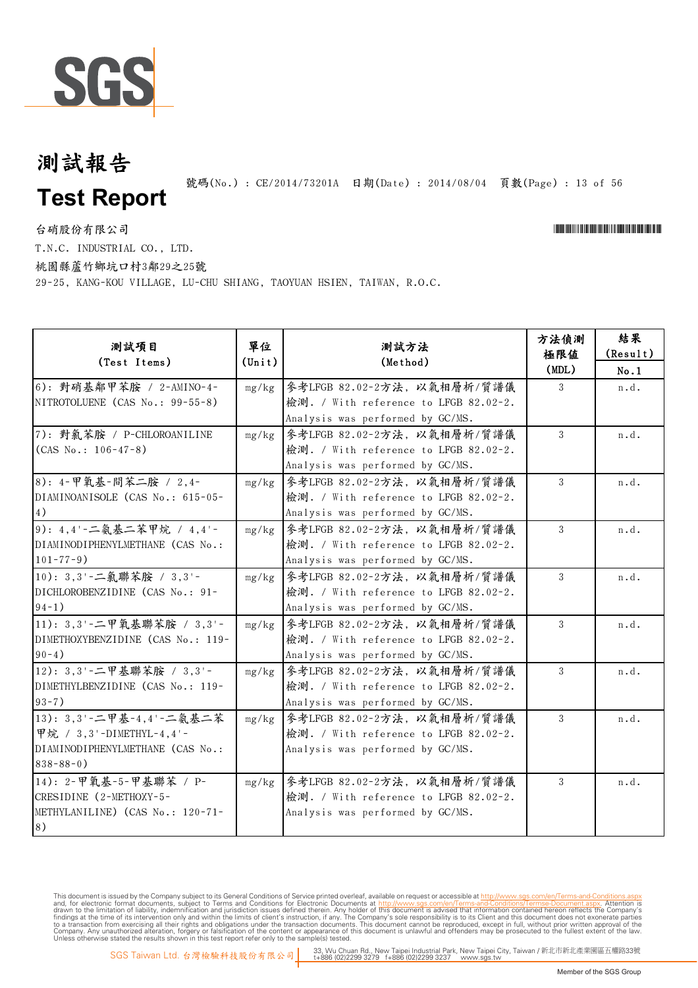

號碼(No.): CE/2014/73201A 日期(Date): 2014/08/04 頁數(Page): 13 of 56

台硝股份有限公司 \*Cerval and the contractor of the contractor of the contractor of the contractor of the contractor of the contractor of the contractor of the contractor of the contractor of the contractor of the contractor of t

T.N.C. INDUSTRIAL CO., LTD.

桃園縣蘆竹鄉坑口村3鄰29之25號

29-25, KANG-KOU VILLAGE, LU-CHU SHIANG, TAOYUAN HSIEN, TAIWAN, R.O.C.

| 測試項目<br>(Test Items)                                                                                         | 單位<br>$(\text{Unit})$ | 測試方法<br>(Method)                                                                                         | 方法偵測<br>極限值<br>(MDL) | 結果<br>(Result)<br>No.1 |
|--------------------------------------------------------------------------------------------------------------|-----------------------|----------------------------------------------------------------------------------------------------------|----------------------|------------------------|
| 6): 對硝基鄰甲苯胺 / 2-AMINO-4-<br>NITROTOLUENE (CAS No.: 99-55-8)                                                  | mg/kg                 | 參考LFGB 82.02-2方法, 以氣相層析/質譜儀<br>檢測. / With reference to LFGB 82.02-2.<br>Analysis was performed by GC/MS. | 3                    | n.d.                   |
| 7): 對氯苯胺 / P-CHLOROANILINE<br>$(CAS No.: 106-47-8)$                                                          | mg/kg                 | 參考LFGB 82.02-2方法, 以氣相層析/質譜儀<br>檢測. / With reference to LFGB 82.02-2.<br>Analysis was performed by GC/MS. | 3                    | n.d.                   |
| 8): 4-甲氧基-間苯二胺 / 2,4-<br>DIAMINOANISOLE (CAS No.: 615-05-<br>4)                                              | mg/kg                 | 參考LFGB 82.02-2方法, 以氣相層析/質譜儀<br>檢測. / With reference to LFGB 82.02-2.<br>Analysis was performed by GC/MS. | 3                    | n.d.                   |
| 9): 4,4'-二氨基二苯甲烷 / 4,4'-<br>DIAMINODIPHENYLMETHANE (CAS No.:<br>$101 - 77 - 9$ )                             | mg/kg                 | 參考LFGB 82.02-2方法, 以氣相層析/質譜儀<br>檢測. / With reference to LFGB 82.02-2.<br>Analysis was performed by GC/MS. | 3                    | n.d.                   |
| 10): 3,3'-二氯聯苯胺 / 3,3'-<br>DICHLOROBENZIDINE (CAS No.: 91-<br>$94-1)$                                        | mg/kg                 | 參考LFGB 82.02-2方法, 以氣相層析/質譜儀<br>檢測. / With reference to LFGB 82.02-2.<br>Analysis was performed by GC/MS. | 3                    | n.d.                   |
| 11): 3,3'-二甲氧基聯苯胺 / 3,3'-<br>DIMETHOXYBENZIDINE (CAS No.: 119-<br>$90-4)$                                    | mg/kg                 | 參考LFGB 82.02-2方法, 以氣相層析/質譜儀<br>檢測. / With reference to LFGB 82.02-2.<br>Analysis was performed by GC/MS. | 3                    | n.d.                   |
| 12): 3,3'-二甲基聯苯胺 / 3,3'-<br>DIMETHYLBENZIDINE (CAS No.: 119-<br>$93 - 7)$                                    | mg/kg                 | 參考LFGB 82.02-2方法, 以氣相層析/質譜儀<br>檢測. / With reference to LFGB 82.02-2.<br>Analysis was performed by GC/MS. | 3                    | n.d.                   |
| 13): 3,3'-二甲基-4,4'-二氨基二苯<br>甲烷 / 3,3'-DIMETHYL-4,4'-<br>DIAMINODIPHENYLMETHANE (CAS No.:<br>$838 - 88 - 0$ ) | mg/kg                 | 參考LFGB 82.02-2方法, 以氣相層析/質譜儀<br>檢測. / With reference to LFGB 82.02-2.<br>Analysis was performed by GC/MS. | 3                    | n.d.                   |
| 14): 2-甲氧基-5-甲基聯苯 / P-<br>CRESIDINE (2-METHOXY-5-<br>METHYLANILINE) (CAS No.: 120-71-<br>8)                  | mg/kg                 | 參考LFGB 82.02-2方法, 以氣相層析/質譜儀<br>檢測. / With reference to LFGB 82.02-2.<br>Analysis was performed by GC/MS. | 3                    | n.d.                   |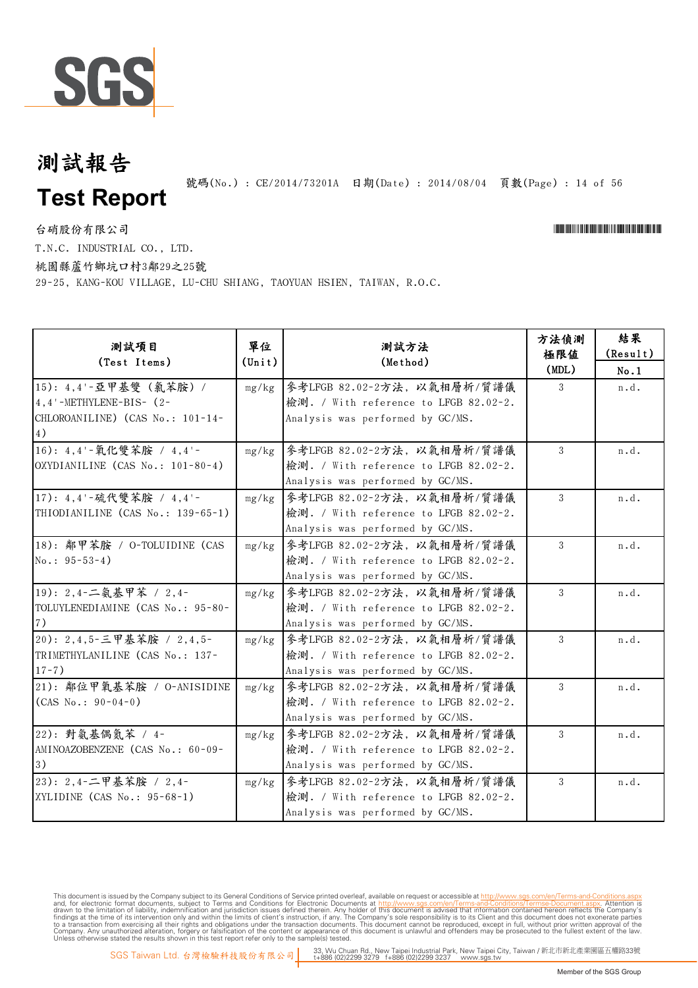

號碼(No.): CE/2014/73201A 日期(Date): 2014/08/04 頁數(Page): 14 of 56

台硝股份有限公司 \*Cerval and the contractor of the contractor of the contractor of the contractor of the contractor of the contractor of the contractor of the contractor of the contractor of the contractor of the contractor of t T.N.C. INDUSTRIAL CO., LTD.

桃園縣蘆竹鄉坑口村3鄰29之25號

29-25, KANG-KOU VILLAGE, LU-CHU SHIANG, TAOYUAN HSIEN, TAIWAN, R.O.C.

| 測試項目<br>(Test Items)                                                                              | 單位<br>$(\text{Unit})$ | 測試方法<br>(Method)                                                                                         | 方法偵測<br>極限值<br>(MDL) | 結果<br>(Result)<br>No.1 |
|---------------------------------------------------------------------------------------------------|-----------------------|----------------------------------------------------------------------------------------------------------|----------------------|------------------------|
| 15): 4,4'-亞甲基雙 (氣苯胺) /<br>$4, 4'$ -METHYLENE-BIS- $(2-$<br>CHLOROANILINE) (CAS No.: 101-14-<br>4) | mg/kg                 | 參考LFGB 82.02-2方法, 以氣相層析/質譜儀<br>檢測. / With reference to LFGB 82.02-2.<br>Analysis was performed by GC/MS. | 3                    | n.d.                   |
| 16): 4,4'-氧化雙苯胺 / 4,4'-<br>OXYDIANILINE (CAS No.: 101-80-4)                                       | mg/kg                 | 參考LFGB 82.02-2方法, 以氣相層析/質譜儀<br>檢測. / With reference to LFGB 82.02-2.<br>Analysis was performed by GC/MS. | 3                    | n.d.                   |
| 17): 4,4'-硫代雙苯胺 / 4,4'-<br>THIODIANILINE (CAS No.: 139-65-1)                                      | mg/kg                 | 參考LFGB 82.02-2方法,以氣相層析/質譜儀<br>檢測. / With reference to LFGB 82.02-2.<br>Analysis was performed by GC/MS.  | 3                    | n.d.                   |
| 18): 鄰甲苯胺 / O-TOLUIDINE (CAS<br>$No.: 95-53-4)$                                                   | mg/kg                 | 參考LFGB 82.02-2方法, 以氣相層析/質譜儀<br>檢測. / With reference to LFGB 82.02-2.<br>Analysis was performed by GC/MS. | 3                    | n.d.                   |
| 19): 2,4-二氨基甲苯 / 2,4-<br>TOLUYLENEDIAMINE (CAS No.: 95-80-<br>7)                                  | mg/kg                 | 參考LFGB 82.02-2方法, 以氣相層析/質譜儀<br>檢測. / With reference to LFGB 82.02-2.<br>Analysis was performed by GC/MS. | 3                    | n.d.                   |
| 20): 2,4,5-三甲基苯胺 / 2,4,5-<br>TRIMETHYLANILINE (CAS No.: 137-<br>$17 - 7)$                         | mg/kg                 | 參考LFGB 82.02-2方法, 以氣相層析/質譜儀<br>檢測. / With reference to LFGB 82.02-2.<br>Analysis was performed by GC/MS. | 3                    | n.d.                   |
| 21): 鄰位甲氧基苯胺 / O-ANISIDINE<br>$(CAS No.: 90-04-0)$                                                | mg/kg                 | 參考LFGB 82.02-2方法, 以氣相層析/質譜儀<br>檢測. / With reference to LFGB 82.02-2.<br>Analysis was performed by GC/MS. | 3                    | n.d.                   |
| 22): 對氨基偶氮苯 / 4-<br>AMINOAZOBENZENE (CAS No.: 60-09-<br>3)                                        | mg/kg                 | 參考LFGB 82.02-2方法, 以氣相層析/質譜儀<br>檢測. / With reference to LFGB 82.02-2.<br>Analysis was performed by GC/MS. | 3                    | n.d.                   |
| 23): 2,4-二甲基苯胺 / 2,4-<br>XYLIDINE (CAS No.: 95-68-1)                                              | mg/kg                 | 參考LFGB 82.02-2方法, 以氣相層析/質譜儀<br>檢測. / With reference to LFGB 82.02-2.<br>Analysis was performed by GC/MS. | 3                    | n.d.                   |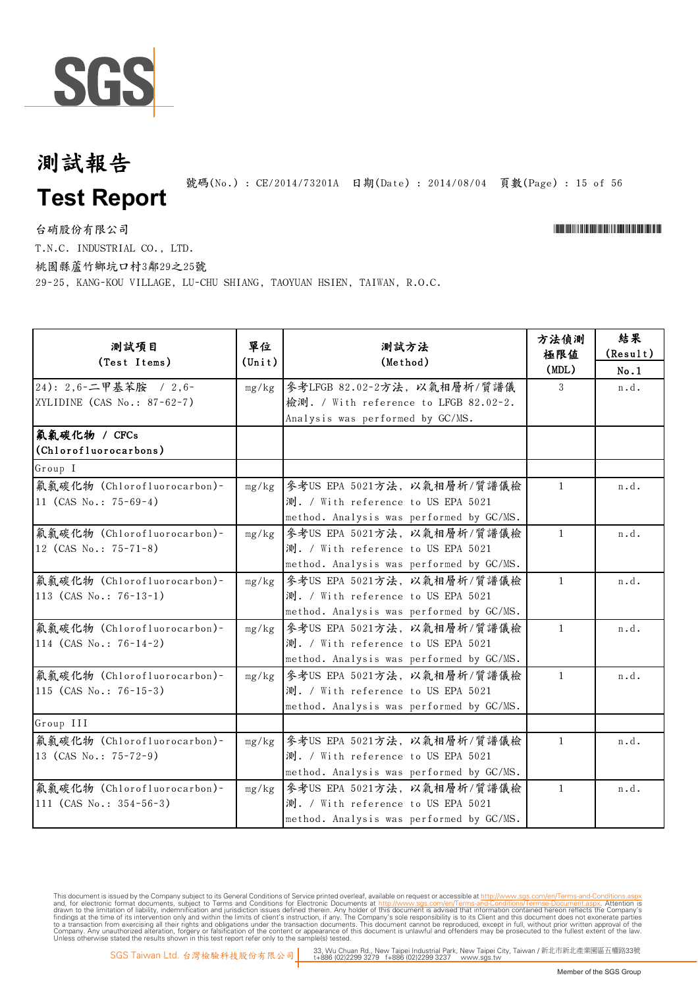

號碼(No.): CE/2014/73201A 日期(Date): 2014/08/04 頁數(Page): 15 of 56

台硝股份有限公司 \*Cerval and the contractor of the contractor of the contractor of the contractor of the contractor of the contractor of the contractor of the contractor of the contractor of the contractor of the contractor of t

T.N.C. INDUSTRIAL CO., LTD.

桃園縣蘆竹鄉坑口村3鄰29之25號

29-25, KANG-KOU VILLAGE, LU-CHU SHIANG, TAOYUAN HSIEN, TAIWAN, R.O.C.

| 測試項目<br>(Test Items)                                      | 單位<br>$(\text{Unit})$ | 測試方法<br>(Method)                                                                                              | 方法偵測<br>極限値<br>(MDL) | 結果<br>(Result)<br>No.1 |
|-----------------------------------------------------------|-----------------------|---------------------------------------------------------------------------------------------------------------|----------------------|------------------------|
| 24): 2,6-二甲基苯胺 / 2,6-<br>XYLIDINE $(CAS No.: 87-62-7)$    | mg/kg                 | 參考LFGB 82.02-2方法, 以氣相層析/質譜儀<br>檢測. / With reference to LFGB 82.02-2.<br>Analysis was performed by GC/MS.      | 3                    | n.d.                   |
| 氟氯碳化物 / CFCs<br>(Chlorofluorocarbons)                     |                       |                                                                                                               |                      |                        |
| Group I                                                   |                       |                                                                                                               |                      |                        |
| 氟氯碳化物 (Chlorofluorocarbon)-<br>11 (CAS No.: $75-69-4$ )   | mg/kg                 | 參考US EPA 5021方法, 以氣相層析/質譜儀檢<br>測. / With reference to US EPA 5021<br>method. Analysis was performed by GC/MS. | $\mathbf{1}$         | n.d.                   |
| 氟氯碳化物 (Chlorofluorocarbon)-<br>12 (CAS No.: 75-71-8)      | mg/kg                 | 参考US EPA 5021方法, 以氣相層析/質譜儀檢<br>測. / With reference to US EPA 5021<br>method. Analysis was performed by GC/MS. | $\mathbf{1}$         | n.d.                   |
| 氟氯碳化物 (Chlorofluorocarbon)-<br>113 (CAS No.: $76-13-1$ )  | mg/kg                 | 參考US EPA 5021方法, 以氣相層析/質譜儀檢<br>測. / With reference to US EPA 5021<br>method. Analysis was performed by GC/MS. | $\mathbf{1}$         | n.d.                   |
| 氟氯碳化物 (Chlorofluorocarbon)-<br>114 (CAS No.: $76-14-2$ )  | mg/kg                 | 參考US EPA 5021方法, 以氣相層析/質譜儀檢<br>測. / With reference to US EPA 5021<br>method. Analysis was performed by GC/MS. | $\mathbf{1}$         | n.d.                   |
| 氟氯碳化物 (Chlorofluorocarbon)-<br>115 (CAS No.: $76-15-3$ )  | mg/kg                 | 參考US EPA 5021方法, 以氣相層析/質譜儀檢<br>測. / With reference to US EPA 5021<br>method. Analysis was performed by GC/MS. | $\mathbf{1}$         | n.d.                   |
| Group III                                                 |                       |                                                                                                               |                      |                        |
| 氟氯碳化物 (Chlorofluorocarbon)-<br>13 (CAS No.: $75-72-9$ )   | mg/kg                 | 參考US EPA 5021方法, 以氣相層析/質譜儀檢<br>測. / With reference to US EPA 5021<br>method. Analysis was performed by GC/MS. | $\mathbf{1}$         | n.d.                   |
| 氟氯碳化物 (Chlorofluorocarbon)-<br>111 (CAS No.: $354-56-3$ ) | mg/kg                 | 參考US EPA 5021方法, 以氣相層析/質譜儀檢<br>測. / With reference to US EPA 5021<br>method. Analysis was performed by GC/MS. | $\mathbf{1}$         | n.d.                   |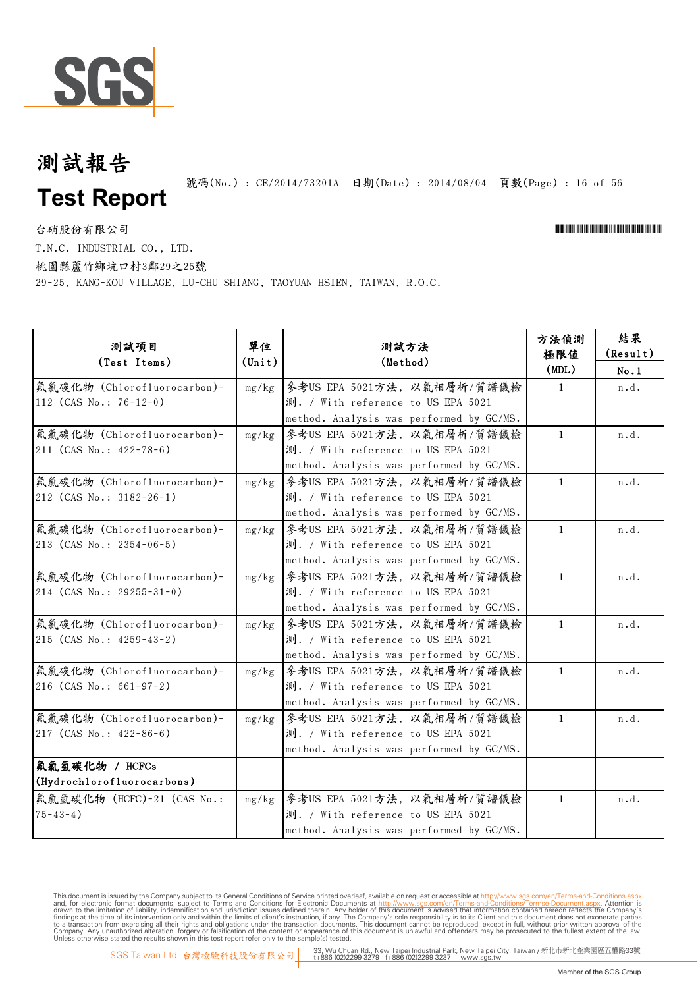

號碼(No.): CE/2014/73201A 日期(Date): 2014/08/04 頁數(Page): 16 of 56

台硝股份有限公司 \*Cerval and the contractor of the contractor of the contractor of the contractor of the contractor of the contractor of the contractor of the contractor of the contractor of the contractor of the contractor of t T.N.C. INDUSTRIAL CO., LTD.

桃園縣蘆竹鄉坑口村3鄰29之25號

29-25, KANG-KOU VILLAGE, LU-CHU SHIANG, TAOYUAN HSIEN, TAIWAN, R.O.C.

| 测試項目<br>(Test Items)                                           | 單位<br>$(\text{Unit})$ | 測試方法<br>(Method)                                                                                              | 方法偵測<br>極限值<br>(MDL) | 結果<br>(Result)<br>No.1 |
|----------------------------------------------------------------|-----------------------|---------------------------------------------------------------------------------------------------------------|----------------------|------------------------|
| 氟氯碳化物 (Chlorofluorocarbon)-<br>112 (CAS No.: $76-12-0$ )       | mg/kg                 | 參考US EPA 5021方法, 以氣相層析/質譜儀檢<br>測. / With reference to US EPA 5021<br>method. Analysis was performed by GC/MS. | $\mathbf{1}$         | n.d.                   |
| 氟氯碳化物 (Chlorofluorocarbon)-<br>211 (CAS No.: $422 - 78 - 6$ )  | mg/kg                 | 參考US EPA 5021方法, 以氣相層析/質譜儀檢<br>測. / With reference to US EPA 5021<br>method. Analysis was performed by GC/MS. | $\mathbf{1}$         | n.d.                   |
| 氟氯碳化物 (Chlorofluorocarbon)-<br>212 (CAS No.: $3182 - 26 - 1$ ) | mg/kg                 | 参考US EPA 5021方法, 以氣相層析/質譜儀檢<br>測. / With reference to US EPA 5021<br>method. Analysis was performed by GC/MS. | $\mathbf{1}$         | n.d.                   |
| 氟氯碳化物 (Chlorofluorocarbon)-<br>213 (CAS No.: $2354-06-5$ )     | mg/kg                 | 參考US EPA 5021方法, 以氣相層析/質譜儀檢<br>測. / With reference to US EPA 5021<br>method. Analysis was performed by GC/MS. | $\mathbf{1}$         | n.d.                   |
| 氟氯碳化物 (Chlorofluorocarbon)-<br>214 (CAS No.: 29255-31-0)       | mg/kg                 | 參考US EPA 5021方法, 以氣相層析/質譜儀檢<br>測. / With reference to US EPA 5021<br>method. Analysis was performed by GC/MS. | $\mathbf{1}$         | n.d.                   |
| 氟氯碳化物 (Chlorofluorocarbon)-<br>215 (CAS No.: 4259-43-2)        | mg/kg                 | 参考US EPA 5021方法, 以氣相層析/質譜儀檢<br>測. / With reference to US EPA 5021<br>method. Analysis was performed by GC/MS. | $\mathbf{1}$         | n.d.                   |
| 氟氯碳化物 (Chlorofluorocarbon)-<br>216 (CAS No.: $661-97-2$ )      | mg/kg                 | 參考US EPA 5021方法, 以氣相層析/質譜儀檢<br>測. / With reference to US EPA 5021<br>method. Analysis was performed by GC/MS. | $\mathbf{1}$         | n.d.                   |
| 氟氯碳化物 (Chlorofluorocarbon)-<br>217 (CAS No.: 422-86-6)         | mg/kg                 | 參考US EPA 5021方法,以氣相層析/質譜儀檢<br>測. / With reference to US EPA 5021<br>method. Analysis was performed by GC/MS.  | $\mathbf{1}$         | n.d.                   |
| 氣氣氫碳化物 / HCFCs<br>(Hydrochlorofluorocarbons)                   |                       |                                                                                                               |                      |                        |
| 氟氯氫碳化物 (HCFC)-21 (CAS No.:<br>$75 - 43 - 4)$                   | mg/kg                 | 參考US EPA 5021方法, 以氣相層析/質譜儀檢<br>測. / With reference to US EPA 5021<br>method. Analysis was performed by GC/MS. | $\mathbf{1}$         | n.d.                   |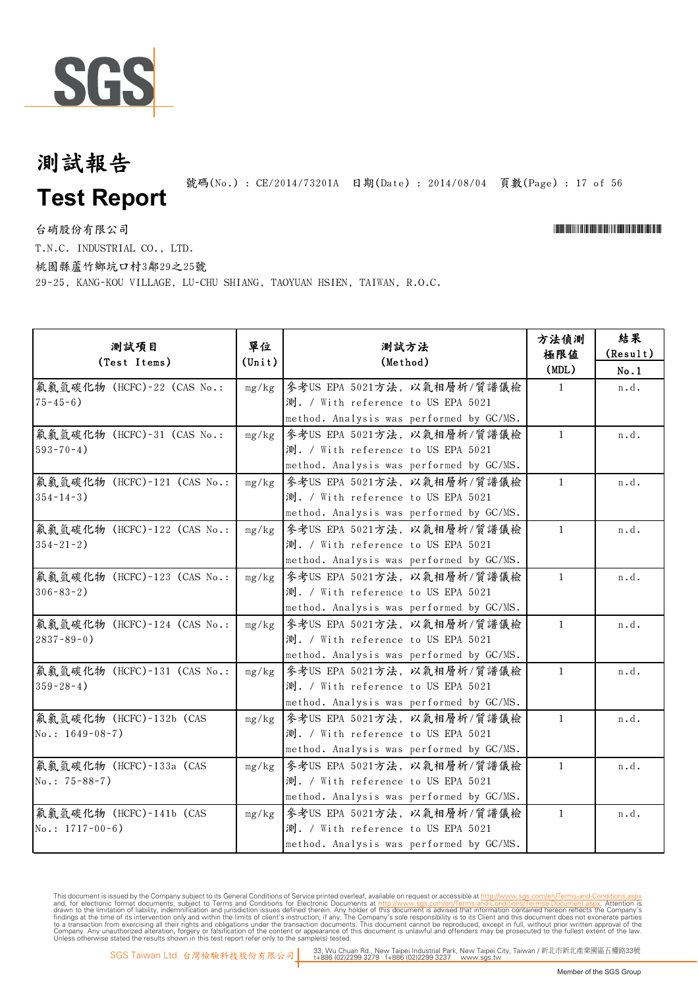

號碼(No.): CE/2014/73201A 日期(Date): 2014/08/04 頁數(Page): 17 of 56

台硝股份有限公司

\*CE/2014/73201A\*CE/2014/73201A\*CE/2014/73201A\*CE/2014

T.N.C. INDUSTRIAL CO., LTD.

桃園縣蘆竹鄉坑口村3鄰29之25號

29-25, KANG-KOU VILLAGE, LU-CHU SHIANG, TAOYUAN HSIEN, TAIWAN, R.O.C.

| 測試項目<br>(Test Items)        | 單位<br>$(\text{Unit})$ | 測試方法<br>(Method)                         | 方法偵測<br>極限值<br>(MDL) | 結果<br>(Result)<br>No.1 |
|-----------------------------|-----------------------|------------------------------------------|----------------------|------------------------|
| 氟氯氫碳化物 (HCFC)-22 (CAS No.:  | mg/kg                 | 参考US EPA 5021方法, 以氣相層析/質譜儀檢              | $\mathbf{1}$         | n.d.                   |
| $75 - 45 - 6$ )             |                       | 測. / With reference to US EPA 5021       |                      |                        |
|                             |                       | method. Analysis was performed by GC/MS. |                      |                        |
| 氟氯氫碳化物 (HCFC)-31 (CAS No.:  | mg/kg                 | 參考US EPA 5021方法, 以氣相層析/質譜儀檢              | $\mathbf{1}$         | n.d.                   |
| $593 - 70 - 4$ )            |                       | 測. / With reference to US EPA 5021       |                      |                        |
|                             |                       | method. Analysis was performed by GC/MS. |                      |                        |
| 氟氯氫碳化物 (HCFC)-121 (CAS No.: | mg/kg                 | 參考US EPA 5021方法, 以氣相層析/質譜儀檢              | $\mathbf{1}$         | n.d.                   |
| $354 - 14 - 3$ )            |                       | 測. / With reference to US EPA 5021       |                      |                        |
|                             |                       | method. Analysis was performed by GC/MS. |                      |                        |
| 氟氯氫碳化物 (HCFC)-122 (CAS No.: | mg/kg                 | 參考US EPA 5021方法,以氣相層析/質譜儀檢               | $\mathbf{1}$         | n.d.                   |
| $354 - 21 - 2$ )            |                       | 測. / With reference to US EPA 5021       |                      |                        |
|                             |                       | method. Analysis was performed by GC/MS. |                      |                        |
| 氟氯氫碳化物 (HCFC)-123 (CAS No.: | mg/kg                 | 參考US EPA 5021方法, 以氣相層析/質譜儀檢              | $\mathbf{1}$         | n.d.                   |
| $306 - 83 - 2$              |                       | 測. / With reference to US EPA 5021       |                      |                        |
|                             |                       | method. Analysis was performed by GC/MS. |                      |                        |
| 氟氯氫碳化物 (HCFC)-124 (CAS No.: | mg/kg                 | 參考US EPA 5021方法,以氣相層析/質譜儀檢               | $\mathbf{1}$         | n.d.                   |
| $2837 - 89 - 0$ )           |                       | 測. / With reference to US EPA 5021       |                      |                        |
|                             |                       | method. Analysis was performed by GC/MS. |                      |                        |
| 氟氯氫碳化物 (HCFC)-131 (CAS No.: | mg/kg                 | 參考US EPA 5021方法, 以氣相層析/質譜儀檢              | $\mathbf{1}$         | n.d.                   |
| $359 - 28 - 4$ )            |                       | 測. / With reference to US EPA 5021       |                      |                        |
|                             |                       | method. Analysis was performed by GC/MS. |                      |                        |
| 氟氯氫碳化物 (HCFC)-132b (CAS     | mg/kg                 | 參考US EPA 5021方法,以氣相層析/質譜儀檢               | $\mathbf{1}$         | n.d.                   |
| $No.: 1649-08-7)$           |                       | 測. / With reference to US EPA 5021       |                      |                        |
|                             |                       | method. Analysis was performed by GC/MS. |                      |                        |
| 氟氯氫碳化物 (HCFC)-133a (CAS     | mg/kg                 | 參考US EPA 5021方法, 以氣相層析/質譜儀檢              | $\mathbf{1}$         | n.d.                   |
| $No.: 75-88-7)$             |                       | 測. / With reference to US EPA 5021       |                      |                        |
|                             |                       | method. Analysis was performed by GC/MS. |                      |                        |
| 氟氯氫碳化物 (HCFC)-141b (CAS     | mg/kg                 | 參考US EPA 5021方法, 以氣相層析/質譜儀檢              | $\mathbf{1}$         | n.d.                   |
| No.: $1717-00-6$ )          |                       | 測. / With reference to US EPA 5021       |                      |                        |
|                             |                       | method. Analysis was performed by GC/MS. |                      |                        |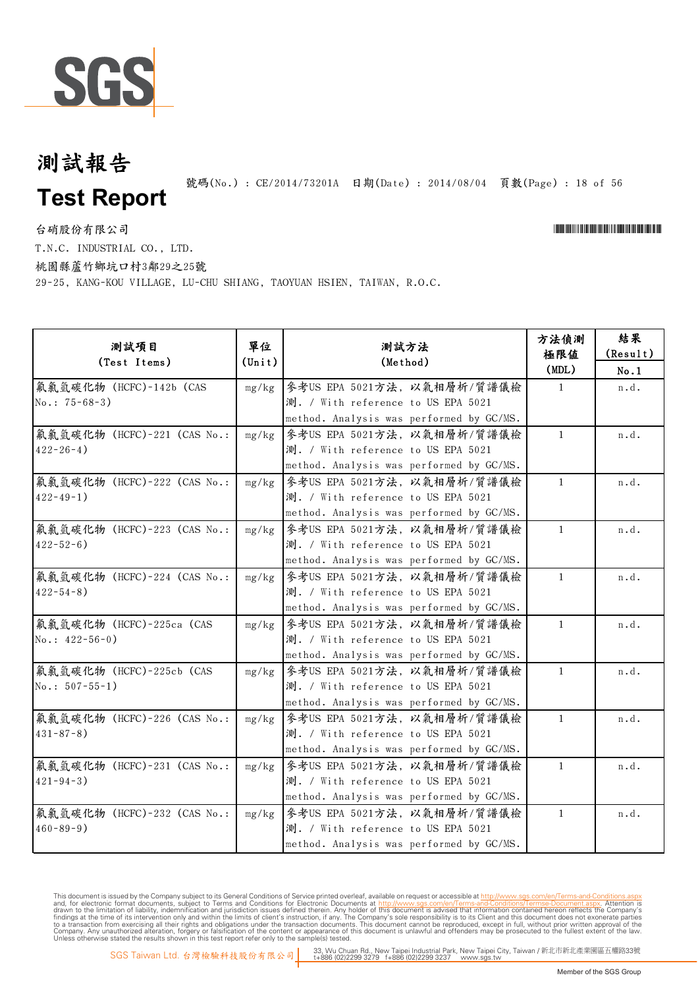

號碼(No.): CE/2014/73201A 日期(Date): 2014/08/04 頁數(Page): 18 of 56

台硝股份有限公司 \*Cerval and the contractor of the contractor of the contractor of the contractor of the contractor of the contractor of the contractor of the contractor of the contractor of the contractor of the contractor of t

T.N.C. INDUSTRIAL CO., LTD.

桃園縣蘆竹鄉坑口村3鄰29之25號

29-25, KANG-KOU VILLAGE, LU-CHU SHIANG, TAOYUAN HSIEN, TAIWAN, R.O.C.

| 测試項目<br>(Test Items)                            | 單位<br>$(\text{Unit})$ | 測試方法<br>(Method)                                                                                              | 方法偵測<br>極限値<br>(MDL) | 結果<br>(Result)<br>No.1 |
|-------------------------------------------------|-----------------------|---------------------------------------------------------------------------------------------------------------|----------------------|------------------------|
| 氟氯氫碳化物 (HCFC)-142b (CAS<br>$No.: 75-68-3)$      | mg/kg                 | 参考US EPA 5021方法, 以氣相層析/質譜儀檢<br>測. / With reference to US EPA 5021<br>method. Analysis was performed by GC/MS. | $\mathbf{1}$         | n.d.                   |
| 氟氯氫碳化物 (HCFC)-221 (CAS No.:<br>$422 - 26 - 4$ ) | mg/kg                 | 參考US EPA 5021方法, 以氣相層析/質譜儀檢<br>測. / With reference to US EPA 5021<br>method. Analysis was performed by GC/MS. | $\mathbf{1}$         | n.d.                   |
| 氟氯氫碳化物 (HCFC)-222 (CAS No.:<br>$422 - 49 - 1$ ) | mg/kg                 | 參考US EPA 5021方法,以氣相層析/質譜儀檢<br>測. / With reference to US EPA 5021<br>method. Analysis was performed by GC/MS.  | $\mathbf{1}$         | n.d.                   |
| 氟氯氫碳化物 (HCFC)-223 (CAS No.:<br>$422 - 52 - 6$ ) | mg/kg                 | 參考US EPA 5021方法, 以氣相層析/質譜儀檢<br>測. / With reference to US EPA 5021<br>method. Analysis was performed by GC/MS. | $\mathbf{1}$         | n.d.                   |
| 氟氯氫碳化物 (HCFC)-224 (CAS No.:<br>$422 - 54 - 8$ ) | mg/kg                 | 參考US EPA 5021方法,以氣相層析/質譜儀檢<br>測. / With reference to US EPA 5021<br>method. Analysis was performed by GC/MS.  | $\mathbf{1}$         | n.d.                   |
| 氟氯氫碳化物 (HCFC)-225ca (CAS<br>$No.: 422-56-0)$    | mg/kg                 | 參考US EPA 5021方法,以氣相層析/質譜儀檢<br>測. / With reference to US EPA 5021<br>method. Analysis was performed by GC/MS.  | $\mathbf{1}$         | n.d.                   |
| 氟氯氫碳化物 (HCFC)-225cb (CAS<br>$No.: 507-55-1)$    | mg/kg                 | 參考US EPA 5021方法,以氣相層析/質譜儀檢<br>測. / With reference to US EPA 5021<br>method. Analysis was performed by GC/MS.  | $\mathbf{1}$         | n.d.                   |
| 氟氯氫碳化物 (HCFC)-226 (CAS No.:<br>$431 - 87 - 8$ ) | mg/kg                 | 參考US EPA 5021方法,以氣相層析/質譜儀檢<br>測. / With reference to US EPA 5021<br>method. Analysis was performed by GC/MS.  | $\mathbf{1}$         | n.d.                   |
| 氟氯氫碳化物 (HCFC)-231 (CAS No.:<br>$421 - 94 - 3$ ) | mg/kg                 | 參考US EPA 5021方法, 以氣相層析/質譜儀檢<br>測. / With reference to US EPA 5021<br>method. Analysis was performed by GC/MS. | $\mathbf{1}$         | n.d.                   |
| 氟氯氫碳化物 (HCFC)-232 (CAS No.:<br>$460 - 89 - 9$ ) | mg/kg                 | 參考US EPA 5021方法,以氣相層析/質譜儀檢<br>測. / With reference to US EPA 5021<br>method. Analysis was performed by GC/MS.  | $\mathbf{1}$         | n.d.                   |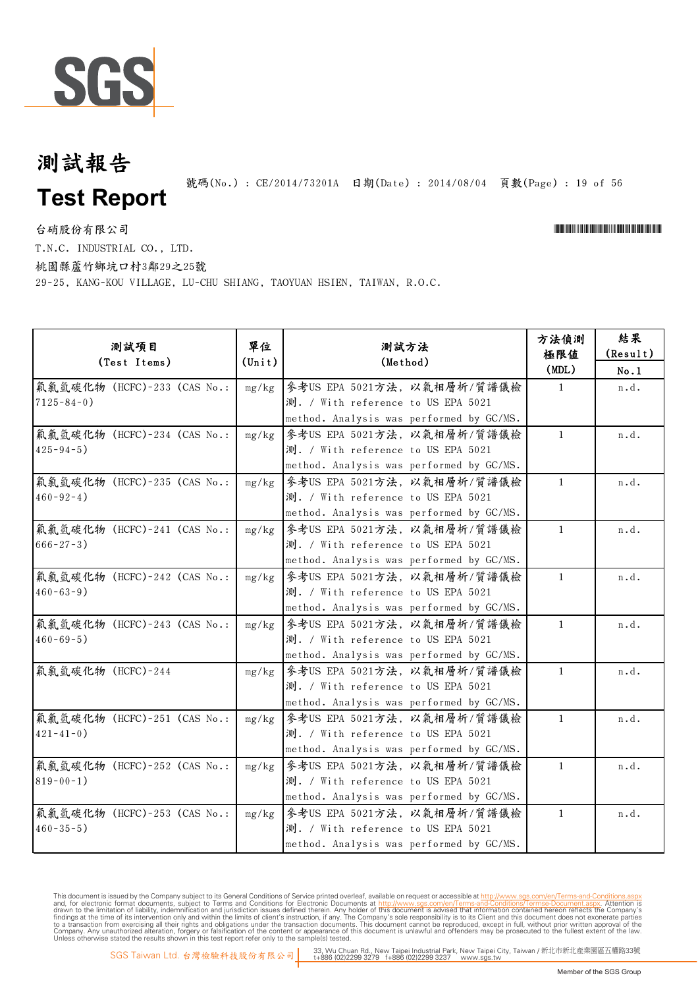

號碼(No.): CE/2014/73201A 日期(Date): 2014/08/04 頁數(Page): 19 of 56

台硝股份有限公司 \*Cerval and the contractor of the contractor of the contractor of the contractor of the contractor of the contractor of the contractor of the contractor of the contractor of the contractor of the contractor of t

T.N.C. INDUSTRIAL CO., LTD.

桃園縣蘆竹鄉坑口村3鄰29之25號

29-25, KANG-KOU VILLAGE, LU-CHU SHIANG, TAOYUAN HSIEN, TAIWAN, R.O.C.

| 测試項目<br>(Test Items)                             | 單位<br>$(\text{Unit})$ | 測試方法<br>(Method)                                                                                              | 方法偵測<br>極限值<br>(MDL) | 結果<br>(Result)<br>No.1 |
|--------------------------------------------------|-----------------------|---------------------------------------------------------------------------------------------------------------|----------------------|------------------------|
| 氟氯氫碳化物 (HCFC)-233 (CAS No.:<br>$7125 - 84 - 0$ ) | mg/kg                 | 参考US EPA 5021方法, 以氣相層析/質譜儀檢<br>測. / With reference to US EPA 5021<br>method. Analysis was performed by GC/MS. | $\mathbf{1}$         | n.d.                   |
| 氟氯氫碳化物 (HCFC)-234 (CAS No.:<br>$425 - 94 - 5$ )  | mg/kg                 | 參考US EPA 5021方法, 以氣相層析/質譜儀檢<br>測. / With reference to US EPA 5021<br>method. Analysis was performed by GC/MS. | $\mathbf{1}$         | n.d.                   |
| 氟氯氫碳化物 (HCFC)-235 (CAS No.:<br>$460 - 92 - 4$ )  | mg/kg                 | 參考US EPA 5021方法,以氣相層析/質譜儀檢<br>測. / With reference to US EPA 5021<br>method. Analysis was performed by GC/MS.  | $\mathbf{1}$         | n.d.                   |
| 氟氯氫碳化物 (HCFC)-241 (CAS No.:<br>$666 - 27 - 3$ )  | mg/kg                 | 參考US EPA 5021方法, 以氣相層析/質譜儀檢<br>測. / With reference to US EPA 5021<br>method. Analysis was performed by GC/MS. | $\mathbf{1}$         | n.d.                   |
| 氟氯氫碳化物 (HCFC)-242 (CAS No.:<br>$460 - 63 - 9$ )  | mg/kg                 | 參考US EPA 5021方法,以氣相層析/質譜儀檢<br>測. / With reference to US EPA 5021<br>method. Analysis was performed by GC/MS.  | $\mathbf{1}$         | n.d.                   |
| 氟氯氫碳化物 (HCFC)-243 (CAS No.:<br>$460 - 69 - 5$ )  | mg/kg                 | 參考US EPA 5021方法, 以氣相層析/質譜儀檢<br>測. / With reference to US EPA 5021<br>method. Analysis was performed by GC/MS. | $\mathbf{1}$         | n.d.                   |
| 氟氯氫碳化物 (HCFC)-244                                | mg/kg                 | 參考US EPA 5021方法,以氣相層析/質譜儀檢<br>測. / With reference to US EPA 5021<br>method. Analysis was performed by GC/MS.  | $\mathbf{1}$         | n.d.                   |
| 氟氯氫碳化物 (HCFC)-251 (CAS No.:<br>$421 - 41 - 0$ )  | mg/kg                 | 參考US EPA 5021方法,以氣相層析/質譜儀檢<br>測. / With reference to US EPA 5021<br>method. Analysis was performed by GC/MS.  | $\mathbf{1}$         | n.d.                   |
| 氟氯氫碳化物 (HCFC)-252 (CAS No.:<br>$819 - 00 - 1$ )  | mg/kg                 | 參考US EPA 5021方法, 以氣相層析/質譜儀檢<br>測. / With reference to US EPA 5021<br>method. Analysis was performed by GC/MS. | $\mathbf{1}$         | n.d.                   |
| 氟氯氫碳化物 (HCFC)-253 (CAS No.:<br>$460 - 35 - 5$ )  | mg/kg                 | 參考US EPA 5021方法,以氣相層析/質譜儀檢<br>測. / With reference to US EPA 5021<br>method. Analysis was performed by GC/MS.  | $\mathbf{1}$         | n.d.                   |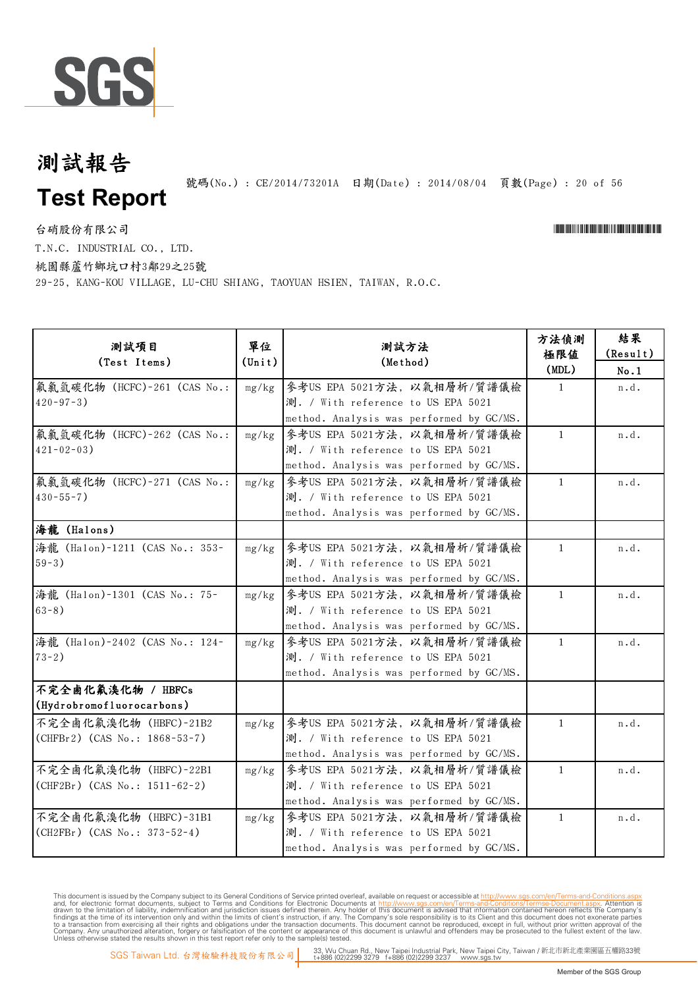

號碼(No.): CE/2014/73201A 日期(Date): 2014/08/04 頁數(Page): 20 of 56

台硝股份有限公司 \*Cerval and the contractor of the contractor of the contractor of the contractor of the contractor of the contractor of the contractor of the contractor of the contractor of the contractor of the contractor of t T.N.C. INDUSTRIAL CO., LTD.

桃園縣蘆竹鄉坑口村3鄰29之25號

29-25, KANG-KOU VILLAGE, LU-CHU SHIANG, TAOYUAN HSIEN, TAIWAN, R.O.C.

| 測試項目<br>(Test Items)                                    | 單位<br>$(\text{Unit})$ | 測試方法<br>(Method)                                                                                              | 方法偵測<br>極限值<br>(MDL) | 結果<br>(Result)<br>No.1 |
|---------------------------------------------------------|-----------------------|---------------------------------------------------------------------------------------------------------------|----------------------|------------------------|
| 氟氯氫碳化物 (HCFC)-261 (CAS No.:<br>$420 - 97 - 3$ )         | mg/kg                 | 參考US EPA 5021方法, 以氣相層析/質譜儀檢<br>測. / With reference to US EPA 5021<br>method. Analysis was performed by GC/MS. | $\mathbf{1}$         | n.d.                   |
| 氟氯氫碳化物 (HCFC)-262 (CAS No.:<br>$421 - 02 - 03$ )        | mg/kg                 | 參考US EPA 5021方法, 以氣相層析/質譜儀檢<br>測. / With reference to US EPA 5021<br>method. Analysis was performed by GC/MS. | $\mathbf{1}$         | n.d.                   |
| 氟氯氫碳化物 (HCFC)-271 (CAS No.:<br>$430 - 55 - 7$ )         | mg/kg                 | 參考US EPA 5021方法, 以氣相層析/質譜儀檢<br>測. / With reference to US EPA 5021<br>method. Analysis was performed by GC/MS. | $\mathbf{1}$         | n.d.                   |
| 海龍 (Halons)                                             |                       |                                                                                                               |                      |                        |
| 海龍 (Halon)-1211 (CAS No.: 353-<br>$59-3)$               | mg/kg                 | 參考US EPA 5021方法, 以氣相層析/質譜儀檢<br>測. / With reference to US EPA 5021<br>method. Analysis was performed by GC/MS. | $\mathbf{1}$         | n.d.                   |
| 海龍 (Halon)-1301 (CAS No.: 75-<br>$63-8)$                | mg/kg                 | 參考US EPA 5021方法, 以氣相層析/質譜儀檢<br>測. / With reference to US EPA 5021<br>method. Analysis was performed by GC/MS. | $\mathbf{1}$         | n.d.                   |
| 海龍 (Halon)-2402 (CAS No.: 124-<br>$73-2)$               | mg/kg                 | 参考US EPA 5021方法, 以氣相層析/質譜儀檢<br>測. / With reference to US EPA 5021<br>method. Analysis was performed by GC/MS. | $\mathbf{1}$         | n.d.                   |
| 不完全鹵化氟溴化物 / HBFCs<br>(Hydrobromofluorocarbons)          |                       |                                                                                                               |                      |                        |
| 不完全鹵化氟溴化物 (HBFC)-21B2<br>(CHFBr2) (CAS No.: 1868-53-7)  | mg/kg                 | 參考US EPA 5021方法, 以氣相層析/質譜儀檢<br>測. / With reference to US EPA 5021<br>method. Analysis was performed by GC/MS. | $\mathbf{1}$         | n.d.                   |
| 不完全鹵化氟溴化物 (HBFC)-22B1<br>(CHF2Br) (CAS No.: 1511-62-2)  | mg/kg                 | 參考US EPA 5021方法, 以氣相層析/質譜儀檢<br>測. / With reference to US EPA 5021<br>method. Analysis was performed by GC/MS. | $\mathbf{1}$         | n.d.                   |
| 不完全鹵化氟溴化物 (HBFC)-31B1<br>$(CH2FBr)$ (CAS No.: 373-52-4) | mg/kg                 | 參考US EPA 5021方法, 以氣相層析/質譜儀檢<br>測. / With reference to US EPA 5021<br>method. Analysis was performed by GC/MS. | $\mathbf{1}$         | n.d.                   |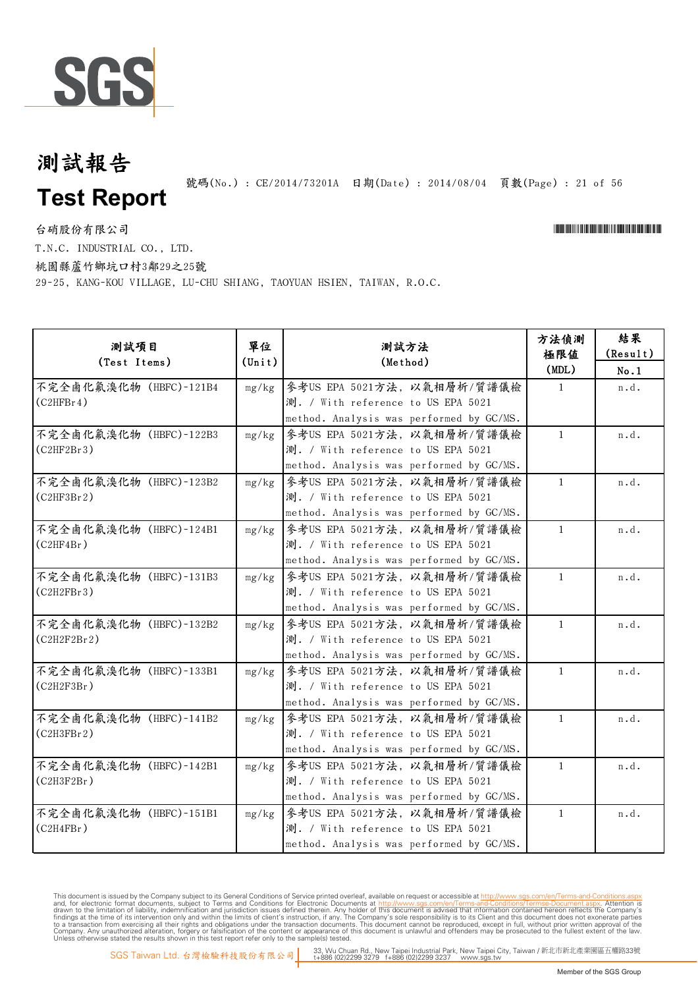

號碼(No.): CE/2014/73201A 日期(Date): 2014/08/04 頁數(Page): 21 of 56

台硝股份有限公司

\*CE/2014/73201A\*CE/2014/73201A\*CE/2014/73201A\*CE/2014

T.N.C. INDUSTRIAL CO., LTD.

桃園縣蘆竹鄉坑口村3鄰29之25號

29-25, KANG-KOU VILLAGE, LU-CHU SHIANG, TAOYUAN HSIEN, TAIWAN, R.O.C.

| 测試項目<br>(Test Items)                  | 單位<br>$(\text{Unit})$ | 測試方法<br>(Method)                                                                                              | 方法偵測<br>極限値<br>(MDL) | 結果<br>(Result)<br>No.1 |
|---------------------------------------|-----------------------|---------------------------------------------------------------------------------------------------------------|----------------------|------------------------|
| 不完全鹵化氟溴化物 (HBFC)-121B4<br>(C2HFBr4)   | mg/kg                 | 參考US EPA 5021方法, 以氣相層析/質譜儀檢<br>測. / With reference to US EPA 5021<br>method. Analysis was performed by GC/MS. | $\mathbf{1}$         | n.d.                   |
| 不完全鹵化氟溴化物 (HBFC)-122B3<br>(C2HF2Br3)  | mg/kg                 | 參考US EPA 5021方法, 以氣相層析/質譜儀檢<br>測. / With reference to US EPA 5021<br>method. Analysis was performed by GC/MS. | $\mathbf{1}$         | n.d.                   |
| 不完全鹵化氟溴化物 (HBFC)-123B2<br>(C2HF3Br2)  | mg/kg                 | 參考US EPA 5021方法, 以氣相層析/質譜儀檢<br>測. / With reference to US EPA 5021<br>method. Analysis was performed by GC/MS. | $\mathbf{1}$         | n.d.                   |
| 不完全鹵化氟溴化物 (HBFC)-124B1<br>(C2HF4Br)   | mg/kg                 | 參考US EPA 5021方法, 以氣相層析/質譜儀檢<br>測. / With reference to US EPA 5021<br>method. Analysis was performed by GC/MS. | $\mathbf{1}$         | n.d.                   |
| 不完全鹵化氟溴化物 (HBFC)-131B3<br>(C2H2FBr3)  | mg/kg                 | 參考US EPA 5021方法, 以氣相層析/質譜儀檢<br>測. / With reference to US EPA 5021<br>method. Analysis was performed by GC/MS. | $\mathbf{1}$         | n.d.                   |
| 不完全鹵化氟溴化物 (HBFC)-132B2<br>(C2H2F2Br2) | mg/kg                 | 參考US EPA 5021方法, 以氣相層析/質譜儀檢<br>測. / With reference to US EPA 5021<br>method. Analysis was performed by GC/MS. | $\mathbf{1}$         | n.d.                   |
| 不完全鹵化氟溴化物 (HBFC)-133B1<br>(C2H2F3Br)  | mg/kg                 | 參考US EPA 5021方法, 以氣相層析/質譜儀檢<br>測. / With reference to US EPA 5021<br>method. Analysis was performed by GC/MS. | $\mathbf{1}$         | n.d.                   |
| 不完全鹵化氟溴化物 (HBFC)-141B2<br>(C2H3FBr2)  | mg/kg                 | 參考US EPA 5021方法, 以氣相層析/質譜儀檢<br>測. / With reference to US EPA 5021<br>method. Analysis was performed by GC/MS. | $\mathbf{1}$         | n.d.                   |
| 不完全鹵化氟溴化物 (HBFC)-142B1<br>(C2H3F2Br)  | mg/kg                 | 參考US EPA 5021方法, 以氣相層析/質譜儀檢<br>測. / With reference to US EPA 5021<br>method. Analysis was performed by GC/MS. | $\mathbf{1}$         | n.d.                   |
| 不完全鹵化氟溴化物 (HBFC)-151B1<br>(C2H4FBr)   | mg/kg                 | 參考US EPA 5021方法, 以氣相層析/質譜儀檢<br>測. / With reference to US EPA 5021<br>method. Analysis was performed by GC/MS. | $\mathbf{1}$         | n.d.                   |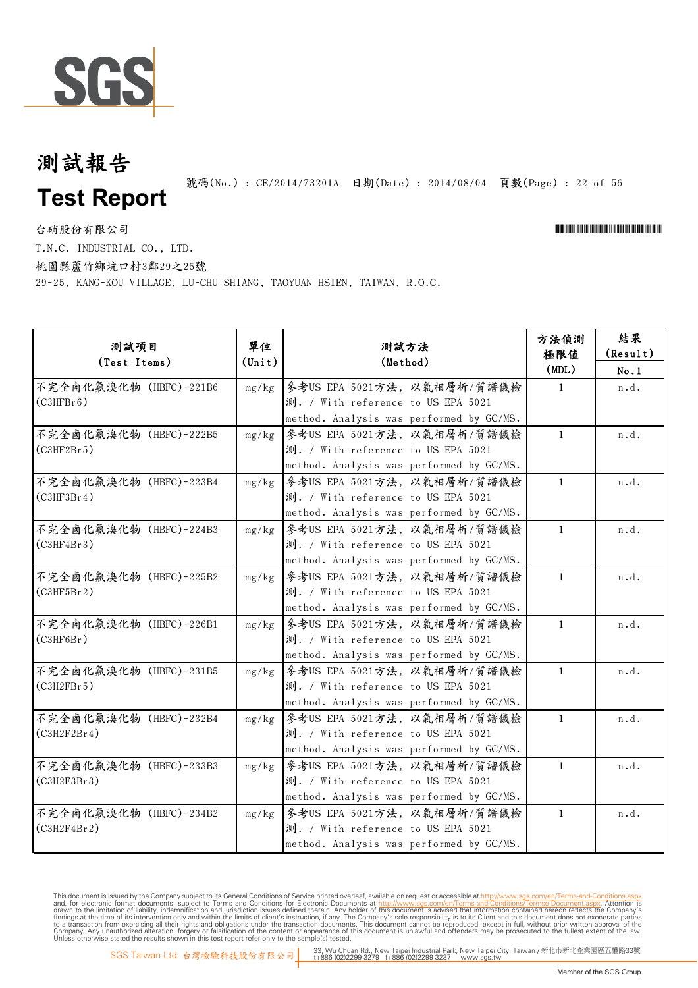

號碼(No.): CE/2014/73201A 日期(Date): 2014/08/04 頁數(Page): 22 of 56

台硝股份有限公司

\*CE/2014/73201A\*CE/2014/73201A\*CE/2014/73201A\*CE/2014

T.N.C. INDUSTRIAL CO., LTD.

桃園縣蘆竹鄉坑口村3鄰29之25號

29-25, KANG-KOU VILLAGE, LU-CHU SHIANG, TAOYUAN HSIEN, TAIWAN, R.O.C.

| 測試項目<br>(Test Items)                  | 單位<br>$(\texttt{Unit})$ | 測試方法<br>(Method)                                                                                              | 方法偵測<br>極限値<br>(MDL) | 結果<br>(Result)<br>No.1 |
|---------------------------------------|-------------------------|---------------------------------------------------------------------------------------------------------------|----------------------|------------------------|
| 不完全鹵化氟溴化物 (HBFC)-221B6<br>(C3HFBr6)   | mg/kg                   | 参考US EPA 5021方法, 以氣相層析/質譜儀檢<br>測. / With reference to US EPA 5021<br>method. Analysis was performed by GC/MS. | $\mathbf{1}$         | n.d.                   |
| 不完全鹵化氟溴化物 (HBFC)-222B5<br>(C3HF2Br5)  | mg/kg                   | 參考US EPA 5021方法, 以氣相層析/質譜儀檢<br>測. / With reference to US EPA 5021<br>method. Analysis was performed by GC/MS. | $\mathbf{1}$         | n.d.                   |
| 不完全鹵化氟溴化物 (HBFC)-223B4<br>(C3HF3Br4)  | mg/kg                   | 參考US EPA 5021方法,以氣相層析/質譜儀檢<br>測. / With reference to US EPA 5021<br>method. Analysis was performed by GC/MS.  | $\mathbf{1}$         | n.d.                   |
| 不完全鹵化氟溴化物 (HBFC)-224B3<br>(C3HF4Br3)  | mg/kg                   | 參考US EPA 5021方法,以氣相層析/質譜儀檢<br>測. / With reference to US EPA 5021<br>method. Analysis was performed by GC/MS.  | $\mathbf{1}$         | n.d.                   |
| 不完全鹵化氟溴化物 (HBFC)-225B2<br>(C3HF5Br2)  | mg/kg                   | 參考US EPA 5021方法,以氣相層析/質譜儀檢<br>測. / With reference to US EPA 5021<br>method. Analysis was performed by GC/MS.  | $\mathbf{1}$         | n.d.                   |
| 不完全鹵化氟溴化物 (HBFC)-226B1<br>(C3HF6Br)   | mg/kg                   | 參考US EPA 5021方法,以氣相層析/質譜儀檢<br>測. / With reference to US EPA 5021<br>method. Analysis was performed by GC/MS.  | $\mathbf{1}$         | n.d.                   |
| 不完全鹵化氟溴化物 (HBFC)-231B5<br>(C3H2FBr5)  | mg/kg                   | 參考US EPA 5021方法,以氣相層析/質譜儀檢<br>測. / With reference to US EPA 5021<br>method. Analysis was performed by GC/MS.  | $\mathbf{1}$         | n.d.                   |
| 不完全鹵化氟溴化物 (HBFC)-232B4<br>(C3H2F2Br4) | mg/kg                   | 參考US EPA 5021方法,以氣相層析/質譜儀檢<br>測. / With reference to US EPA 5021<br>method. Analysis was performed by GC/MS.  | $\mathbf{1}$         | n.d.                   |
| 不完全鹵化氟溴化物 (HBFC)-233B3<br>(C3H2F3Br3) | mg/kg                   | 參考US EPA 5021方法, 以氣相層析/質譜儀檢<br>測. / With reference to US EPA 5021<br>method. Analysis was performed by GC/MS. | $\mathbf{1}$         | n.d.                   |
| 不完全鹵化氟溴化物 (HBFC)-234B2<br>(C3H2F4Br2) | mg/kg                   | 參考US EPA 5021方法, 以氣相層析/質譜儀檢<br>測. / With reference to US EPA 5021<br>method. Analysis was performed by GC/MS. | $\mathbf{1}$         | n.d.                   |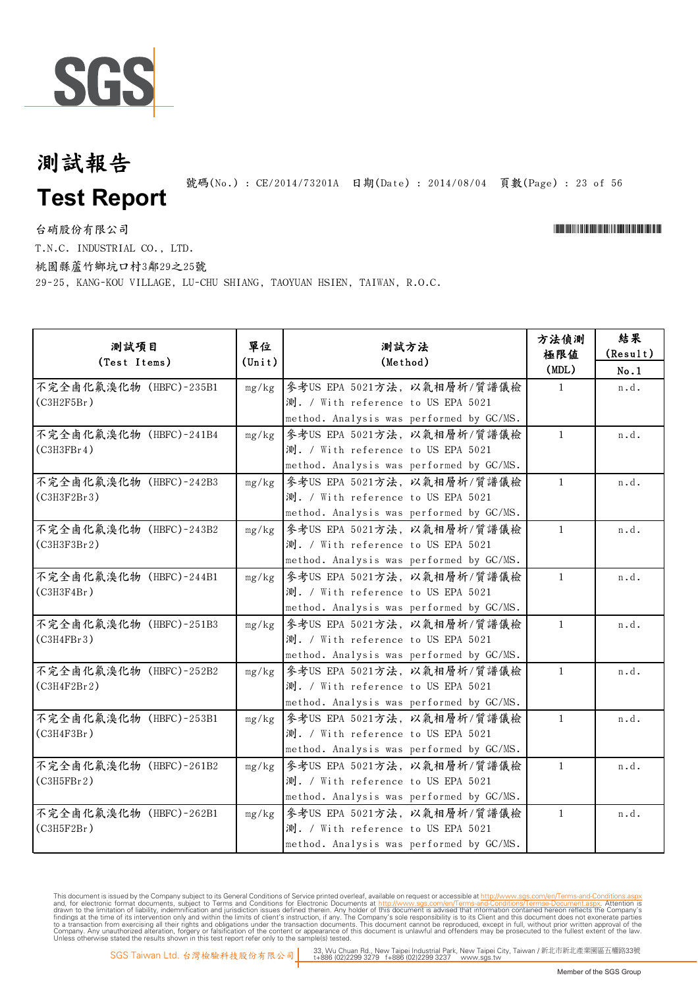

號碼(No.): CE/2014/73201A 日期(Date): 2014/08/04 頁數(Page): 23 of 56

台硝股份有限公司 \*Cerval and the contractor of the contractor of the contractor of the contractor of the contractor of the contractor of the contractor of the contractor of the contractor of the contractor of the contractor of t

T.N.C. INDUSTRIAL CO., LTD.

桃園縣蘆竹鄉坑口村3鄰29之25號

29-25, KANG-KOU VILLAGE, LU-CHU SHIANG, TAOYUAN HSIEN, TAIWAN, R.O.C.

| 测試項目<br>(Test Items)                  | 單位<br>$(\text{Unit})$ | 測試方法<br>(Method)                                                                                              | 方法偵測<br>極限値<br>(MDL) | 結果<br>(Result)<br>No.1 |
|---------------------------------------|-----------------------|---------------------------------------------------------------------------------------------------------------|----------------------|------------------------|
| 不完全鹵化氟溴化物 (HBFC)-235B1<br>(C3H2F5Br)  | mg/kg                 | 參考US EPA 5021方法, 以氣相層析/質譜儀檢<br>測. / With reference to US EPA 5021<br>method. Analysis was performed by GC/MS. | $\mathbf{1}$         | n.d.                   |
| 不完全鹵化氟溴化物 (HBFC)-241B4<br>(C3H3FBr4)  | mg/kg                 | 參考US EPA 5021方法, 以氣相層析/質譜儀檢<br>測. / With reference to US EPA 5021<br>method. Analysis was performed by GC/MS. | $\mathbf{1}$         | n.d.                   |
| 不完全鹵化氟溴化物 (HBFC)-242B3<br>(C3H3F2Br3) | mg/kg                 | 參考US EPA 5021方法,以氣相層析/質譜儀檢<br>測. / With reference to US EPA 5021<br>method. Analysis was performed by GC/MS.  | $\mathbf{1}$         | n.d.                   |
| 不完全鹵化氟溴化物 (HBFC)-243B2<br>(C3H3F3Br2) | mg/kg                 | 參考US EPA 5021方法, 以氣相層析/質譜儀檢<br>測. / With reference to US EPA 5021<br>method. Analysis was performed by GC/MS. | $\mathbf{1}$         | n.d.                   |
| 不完全鹵化氟溴化物 (HBFC)-244B1<br>(C3H3F4Br)  | mg/kg                 | 參考US EPA 5021方法, 以氣相層析/質譜儀檢<br>測. / With reference to US EPA 5021<br>method. Analysis was performed by GC/MS. | $\mathbf{1}$         | n.d.                   |
| 不完全鹵化氟溴化物 (HBFC)-251B3<br>(C3H4FBr3)  | mg/kg                 | 參考US EPA 5021方法, 以氣相層析/質譜儀檢<br>測. / With reference to US EPA 5021<br>method. Analysis was performed by GC/MS. | $\mathbf{1}$         | n.d.                   |
| 不完全鹵化氟溴化物 (HBFC)-252B2<br>(C3H4F2Br2) | mg/kg                 | 參考US EPA 5021方法, 以氣相層析/質譜儀檢<br>測. / With reference to US EPA 5021<br>method. Analysis was performed by GC/MS. | $\mathbf{1}$         | n.d.                   |
| 不完全鹵化氟溴化物 (HBFC)-253B1<br>(C3H4F3Br)  | mg/kg                 | 參考US EPA 5021方法,以氣相層析/質譜儀檢<br>測. / With reference to US EPA 5021<br>method. Analysis was performed by GC/MS.  | $\mathbf{1}$         | n.d.                   |
| 不完全鹵化氟溴化物 (HBFC)-261B2<br>(C3H5FBr2)  | mg/kg                 | 參考US EPA 5021方法, 以氣相層析/質譜儀檢<br>測. / With reference to US EPA 5021<br>method. Analysis was performed by GC/MS. | $\mathbf{1}$         | n.d.                   |
| 不完全鹵化氟溴化物 (HBFC)-262B1<br>(C3H5F2Br)  | mg/kg                 | 參考US EPA 5021方法, 以氣相層析/質譜儀檢<br>測. / With reference to US EPA 5021<br>method. Analysis was performed by GC/MS. | $\mathbf{1}$         | n.d.                   |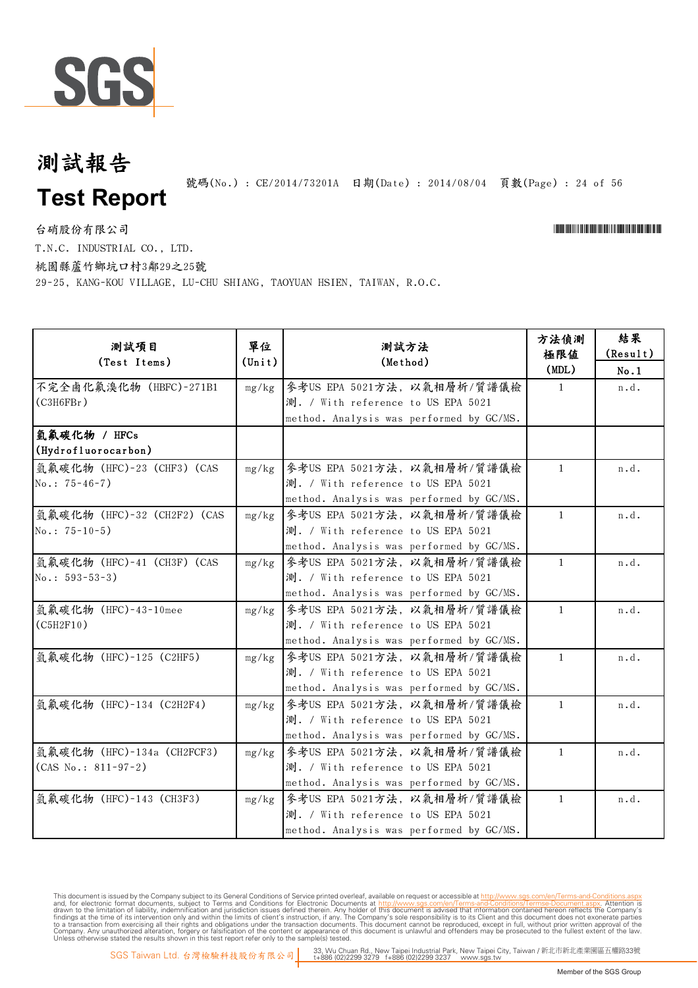

號碼(No.): CE/2014/73201A 日期(Date): 2014/08/04 頁數(Page): 24 of 56

台硝股份有限公司 \*Cerval and the contractor of the contractor of the contractor of the contractor of the contractor of the contractor of the contractor of the contractor of the contractor of the contractor of the contractor of t

T.N.C. INDUSTRIAL CO., LTD.

桃園縣蘆竹鄉坑口村3鄰29之25號

29-25, KANG-KOU VILLAGE, LU-CHU SHIANG, TAOYUAN HSIEN, TAIWAN, R.O.C.

| 測試項目<br>(Test Items)                                | 單位<br>$(\text{Unit})$ | 測試方法<br>(Method)                                                                                              | 方法偵測<br>極限值<br>(MDL) | 結果<br>(Result)<br>No.1 |
|-----------------------------------------------------|-----------------------|---------------------------------------------------------------------------------------------------------------|----------------------|------------------------|
| 不完全鹵化氟溴化物 (HBFC)-271B1<br>(C3H6FBr)                 | mg/kg                 | 參考US EPA 5021方法, 以氣相層析/質譜儀檢<br>測. / With reference to US EPA 5021<br>method. Analysis was performed by GC/MS. | $\mathbf{1}$         | n.d.                   |
| 氫氟碳化物 / HFCs<br>(Hydrofluorocarbon)                 |                       |                                                                                                               |                      |                        |
| 氫氟碳化物 (HFC)-23 (CHF3) (CAS<br>$No.: 75-46-7)$       | mg/kg                 | 參考US EPA 5021方法, 以氣相層析/質譜儀檢<br>測. / With reference to US EPA 5021<br>method. Analysis was performed by GC/MS. | $\mathbf{1}$         | n.d.                   |
| 氫氟碳化物 (HFC)-32 (CH2F2) (CAS<br>$No.: 75-10-5)$      | mg/kg                 | 參考US EPA 5021方法, 以氣相層析/質譜儀檢<br>測. / With reference to US EPA 5021<br>method. Analysis was performed by GC/MS. | $\mathbf{1}$         | n.d.                   |
| 氫氟碳化物 (HFC)-41 (CH3F) (CAS<br>$No.: 593-53-3)$      | mg/kg                 | 參考US EPA 5021方法,以氣相層析/質譜儀檢<br>測. / With reference to US EPA 5021<br>method. Analysis was performed by GC/MS.  | $\mathbf{1}$         | n.d.                   |
| 氫氟碳化物 (HFC)-43-10mee<br>(C5H2F10)                   | mg/kg                 | 參考US EPA 5021方法,以氣相層析/質譜儀檢<br>測. / With reference to US EPA 5021<br>method. Analysis was performed by GC/MS.  | $\mathbf{1}$         | n.d.                   |
| 氫氟碳化物 (HFC)-125 (C2HF5)                             | mg/kg                 | 參考US EPA 5021方法,以氣相層析/質譜儀檢<br>測. / With reference to US EPA 5021<br>method. Analysis was performed by GC/MS.  | $\mathbf{1}$         | n.d.                   |
| 氫氟碳化物 (HFC)-134 (C2H2F4)                            | mg/kg                 | 參考US EPA 5021方法,以氣相層析/質譜儀檢<br>測. / With reference to US EPA 5021<br>method. Analysis was performed by GC/MS.  | $\mathbf{1}$         | n.d.                   |
| 氫氟碳化物 (HFC)-134a (CH2FCF3)<br>$(CAS No.: 811-97-2)$ | mg/kg                 | 參考US EPA 5021方法,以氣相層析/質譜儀檢<br>測. / With reference to US EPA 5021<br>method. Analysis was performed by GC/MS.  | $\mathbf{1}$         | n.d.                   |
| 氫氟碳化物 (HFC)-143 (CH3F3)                             | mg/kg                 | 参考US EPA 5021方法, 以氣相層析/質譜儀檢<br>測. / With reference to US EPA 5021<br>method. Analysis was performed by GC/MS. | $\mathbf{1}$         | n.d.                   |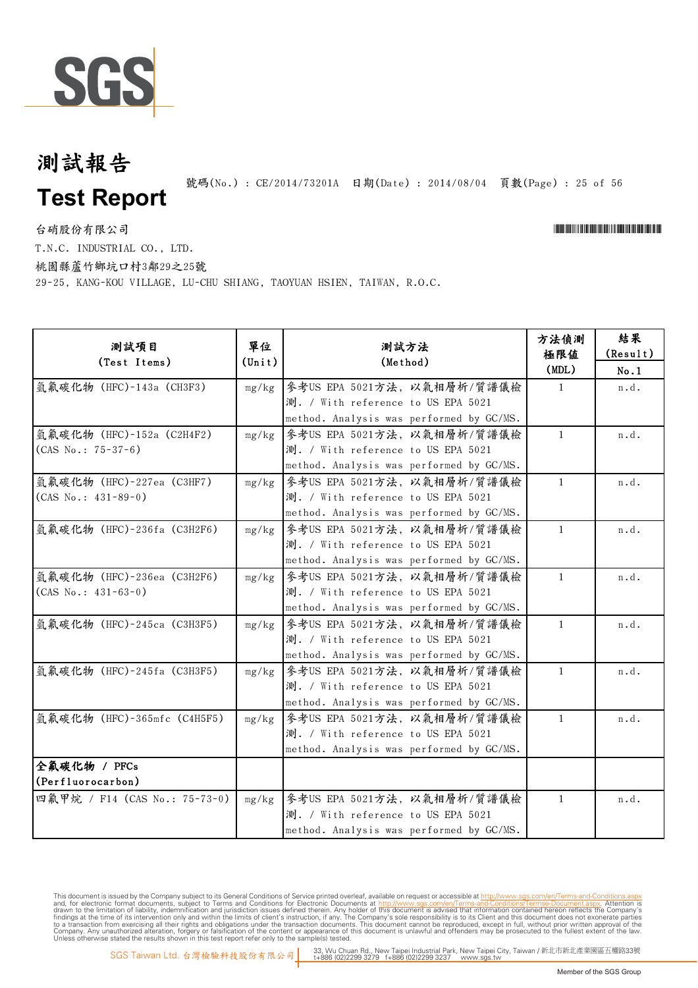

號碼(No.): CE/2014/73201A 日期(Date): 2014/08/04 頁數(Page): 25 of 56

台硝股份有限公司 \*Cerval and the contractor of the contractor of the contractor of the contractor of the contractor of the contractor of the contractor of the contractor of the contractor of the contractor of the contractor of t T.N.C. INDUSTRIAL CO., LTD.

桃園縣蘆竹鄉坑口村3鄰29之25號

29-25, KANG-KOU VILLAGE, LU-CHU SHIANG, TAOYUAN HSIEN, TAIWAN, R.O.C.

| 測試項目<br>(Test Items)                                | 單位<br>$(\text{Unit})$ | 測試方法<br>(Method)                                                                                              | 方法偵測<br>極限值<br>(MDL) | 結果<br>(Result)<br>No.1 |
|-----------------------------------------------------|-----------------------|---------------------------------------------------------------------------------------------------------------|----------------------|------------------------|
| 氫氟碳化物 (HFC)-143a (CH3F3)                            | mg/kg                 | 參考US EPA 5021方法, 以氣相層析/質譜儀檢<br>測. / With reference to US EPA 5021<br>method. Analysis was performed by GC/MS. | $\mathbf{1}$         | n.d.                   |
| 氫氟碳化物 (HFC)-152a (C2H4F2)<br>$(CAS No.: 75-37-6)$   | mg/kg                 | 參考US EPA 5021方法,以氣相層析/質譜儀檢<br>測. / With reference to US EPA 5021<br>method. Analysis was performed by GC/MS.  | $\mathbf{1}$         | n.d.                   |
| 氫氟碳化物 (HFC)-227ea (C3HF7)<br>$(CAS No.: 431-89-0)$  | mg/kg                 | 參考US EPA 5021方法, 以氣相層析/質譜儀檢<br>測. / With reference to US EPA 5021<br>method. Analysis was performed by GC/MS. | $\mathbf{1}$         | n.d.                   |
| 氫氟碳化物 (HFC)-236fa (C3H2F6)                          | mg/kg                 | 参考US EPA 5021方法, 以氣相層析/質譜儀檢<br>測. / With reference to US EPA 5021<br>method. Analysis was performed by GC/MS. | $\mathbf{1}$         | n.d.                   |
| 氫氟碳化物 (HFC)-236ea (C3H2F6)<br>$(CAS No.: 431-63-0)$ | mg/kg                 | 參考US EPA 5021方法,以氣相層析/質譜儀檢<br>測. / With reference to US EPA 5021<br>method. Analysis was performed by GC/MS.  | $\mathbf{1}$         | n.d.                   |
| 氫氟碳化物 (HFC)-245ca (C3H3F5)                          | mg/kg                 | 參考US EPA 5021方法, 以氣相層析/質譜儀檢<br>測. / With reference to US EPA 5021<br>method. Analysis was performed by GC/MS. | $\mathbf{1}$         | n.d.                   |
| 氫氟碳化物 (HFC)-245fa (C3H3F5)                          | mg/kg                 | 參考US EPA 5021方法,以氣相層析/質譜儀檢<br>測. / With reference to US EPA 5021<br>method. Analysis was performed by GC/MS.  | $\mathbf{1}$         | n.d.                   |
| 氫氟碳化物 (HFC)-365mfc (C4H5F5)                         | mg/kg                 | 參考US EPA 5021方法, 以氣相層析/質譜儀檢<br>測. / With reference to US EPA 5021<br>method. Analysis was performed by GC/MS. | $\mathbf{1}$         | n.d.                   |
| 全氟碳化物 / PFCs<br>(Perfluorocarbon)                   |                       |                                                                                                               |                      |                        |
| 四氟甲烷 / F14 (CAS No.: 75-73-0)                       | mg/kg                 | 參考US EPA 5021方法, 以氣相層析/質譜儀檢<br>測. / With reference to US EPA 5021<br>method. Analysis was performed by GC/MS. | $\mathbf{1}$         | n.d.                   |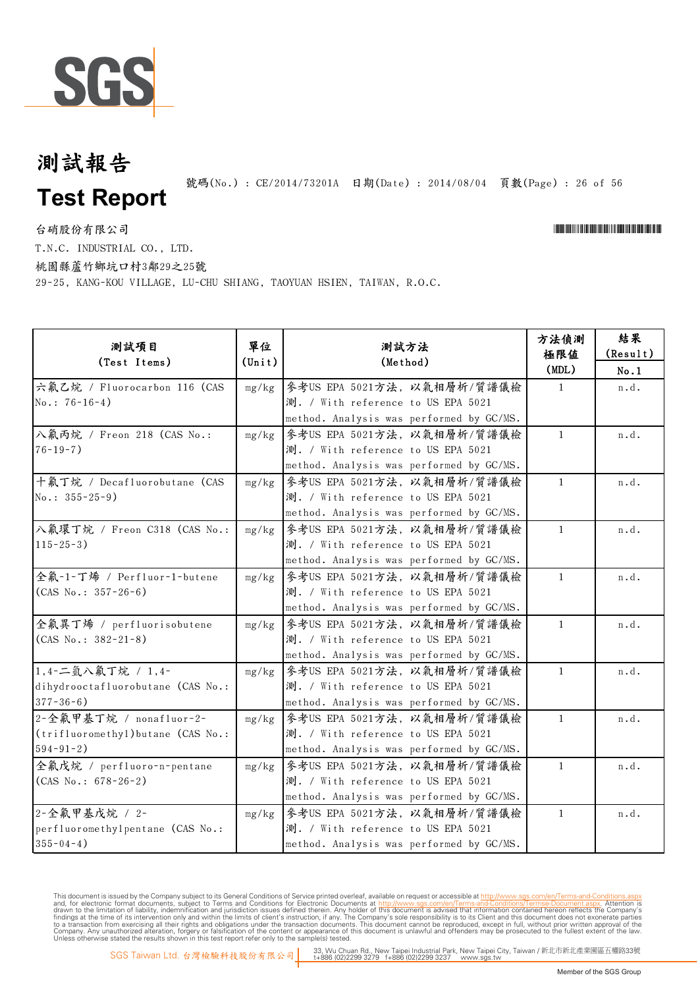

號碼(No.): CE/2014/73201A 日期(Date): 2014/08/04 頁數(Page): 26 of 56

台硝股份有限公司 \*Cerval and the contractor of the contractor of the contractor of the contractor of the contractor of the contractor of the contractor of the contractor of the contractor of the contractor of the contractor of t

T.N.C. INDUSTRIAL CO., LTD.

桃園縣蘆竹鄉坑口村3鄰29之25號

29-25, KANG-KOU VILLAGE, LU-CHU SHIANG, TAOYUAN HSIEN, TAIWAN, R.O.C.

| 測試項目<br>(Test Items)                                                              | 單位<br>$(\text{Unit})$ | 測試方法<br>(Method)                                                                                              | 方法偵測<br>極限値<br>(MDL) | 結果<br>(Result)<br>No.1 |
|-----------------------------------------------------------------------------------|-----------------------|---------------------------------------------------------------------------------------------------------------|----------------------|------------------------|
| 六氟乙烷 / Fluorocarbon 116 (CAS<br>$No.: 76-16-4)$                                   | mg/kg                 | 参考US EPA 5021方法, 以氣相層析/質譜儀檢<br>測. / With reference to US EPA 5021<br>method. Analysis was performed by GC/MS. | $\mathbf{1}$         | n.d.                   |
| 入氟丙烷 / Freon 218 (CAS No.:<br>$76 - 19 - 7$ )                                     | mg/kg                 | 參考US EPA 5021方法, 以氣相層析/質譜儀檢<br>測. / With reference to US EPA 5021<br>method. Analysis was performed by GC/MS. | $\mathbf{1}$         | n.d.                   |
| 十氟丁烷 / Decafluorobutane (CAS<br>No.: $355 - 25 - 9$ )                             | mg/kg                 | 參考US EPA 5021方法,以氣相層析/質譜儀檢<br>測. / With reference to US EPA 5021<br>method. Analysis was performed by GC/MS.  | $\mathbf{1}$         | n.d.                   |
| 入氟環丁烷 / Freon C318 (CAS No.:<br>$115 - 25 - 3$ )                                  | mg/kg                 | 參考US EPA 5021方法, 以氣相層析/質譜儀檢<br>測. / With reference to US EPA 5021<br>method. Analysis was performed by GC/MS. | $\mathbf{1}$         | n.d.                   |
| 全氟-1-丁烯 / Perfluor-1-butene<br>$(CAS No.: 357-26-6)$                              | mg/kg                 | 參考US EPA 5021方法, 以氣相層析/質譜儀檢<br>測. / With reference to US EPA 5021<br>method. Analysis was performed by GC/MS. | $\mathbf{1}$         | n.d.                   |
| 全氟異丁烯 / perfluorisobutene<br>$(CAS No.: 382-21-8)$                                | mg/kg                 | 參考US EPA 5021方法, 以氣相層析/質譜儀檢<br>測. / With reference to US EPA 5021<br>method. Analysis was performed by GC/MS. | $\mathbf{1}$         | n.d.                   |
| 1,4-二氫八氟丁烷 / 1,4-<br>dihydrooctafluorobutane (CAS No.:<br>$377 - 36 - 6$ )        | mg/kg                 | 參考US EPA 5021方法, 以氣相層析/質譜儀檢<br>測. / With reference to US EPA 5021<br>method. Analysis was performed by GC/MS. | $\mathbf{1}$         | n.d.                   |
| 2-全氟甲基丁烷 / nonafluor-2-<br>(trifluoromethyl) butane (CAS No.:<br>$594 - 91 - 2$ ) | mg/kg                 | 参考US EPA 5021方法, 以氣相層析/質譜儀檢<br>測. / With reference to US EPA 5021<br>method. Analysis was performed by GC/MS. | $\mathbf{1}$         | n.d.                   |
| 全氟戊烷 / perfluoro-n-pentane<br>$(CAS No.: 678-26-2)$                               | mg/kg                 | 參考US EPA 5021方法, 以氣相層析/質譜儀檢<br>測. / With reference to US EPA 5021<br>method. Analysis was performed by GC/MS. | $\mathbf{1}$         | n.d.                   |
| 2-全氟甲基戊烷 / 2-<br>perfluoromethylpentane (CAS No.:<br>$355 - 04 - 4$ )             | mg/kg                 | 参考US EPA 5021方法, 以氣相層析/質譜儀檢<br>測. / With reference to US EPA 5021<br>method. Analysis was performed by GC/MS. | $\mathbf{1}$         | n.d.                   |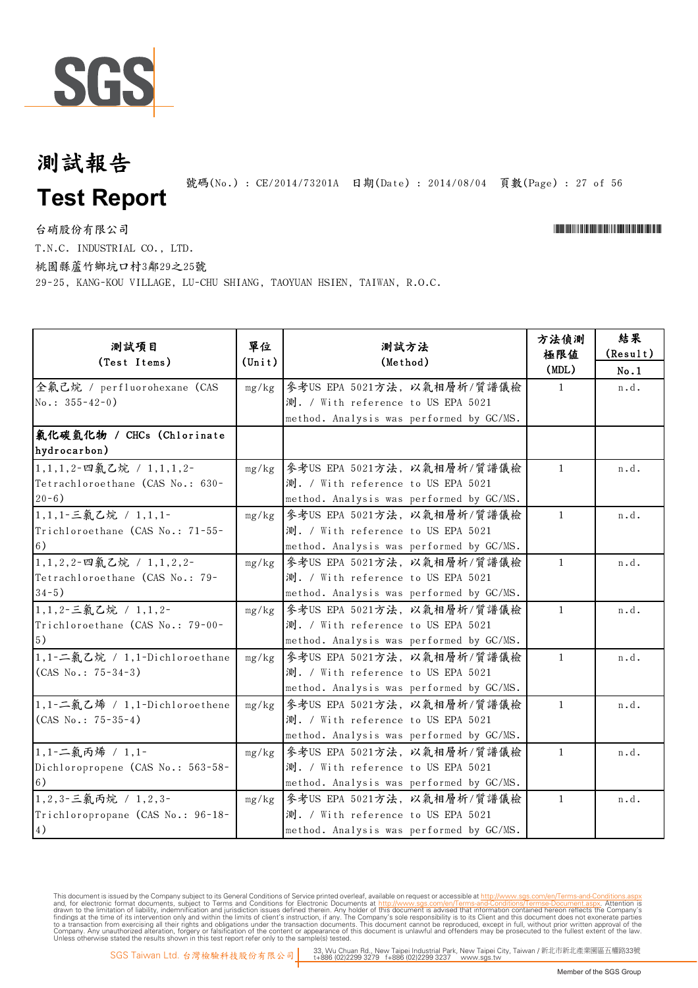

號碼(No.): CE/2014/73201A 日期(Date): 2014/08/04 頁數(Page): 27 of 56

台硝股份有限公司 \*Cerval and the contractor of the contractor of the contractor of the contractor of the contractor of the contractor of the contractor of the contractor of the contractor of the contractor of the contractor of t

T.N.C. INDUSTRIAL CO., LTD.

桃園縣蘆竹鄉坑口村3鄰29之25號

29-25, KANG-KOU VILLAGE, LU-CHU SHIANG, TAOYUAN HSIEN, TAIWAN, R.O.C.

| 测試項目<br>(Test Items)                                                      | 單位<br>$(\text{Unit})$ | 測試方法<br>(Method)                                                                                              | 方法偵測<br>極限值<br>(MDL) | 結果<br>(Result)<br>No.1 |
|---------------------------------------------------------------------------|-----------------------|---------------------------------------------------------------------------------------------------------------|----------------------|------------------------|
| 全氟己烷 / perfluorohexane (CAS<br>No.: $355 - 42 - 0$ )                      | mg/kg                 | 參考US EPA 5021方法, 以氣相層析/質譜儀檢<br>測. / With reference to US EPA 5021<br>method. Analysis was performed by GC/MS. | $\mathbf{1}$         | n.d.                   |
| 氯化碳氫化物 / CHCs (Chlorinate<br>hydrocarbon)                                 |                       |                                                                                                               |                      |                        |
| 1,1,1,2-四氯乙烷 / 1,1,1,2-<br>Tetrachloroethane (CAS No.: 630-<br>$20 - 6$ ) | mg/kg                 | 参考US EPA 5021方法, 以氣相層析/質譜儀檢<br>測. / With reference to US EPA 5021<br>method. Analysis was performed by GC/MS. | $\mathbf{1}$         | n.d.                   |
| 1,1,1-三氯乙烷 / 1,1,1-<br>Trichloroethane (CAS No.: 71-55-<br>6)             | mg/kg                 | 參考US EPA 5021方法, 以氣相層析/質譜儀檢<br>測. / With reference to US EPA 5021<br>method. Analysis was performed by GC/MS. | $\mathbf{1}$         | n.d.                   |
| 1,1,2,2-四氯乙烷 / 1,1,2,2-<br>Tetrachloroethane (CAS No.: 79-<br>$34-5)$     | mg/kg                 | 參考US EPA 5021方法, 以氣相層析/質譜儀檢<br>測. / With reference to US EPA 5021<br>method. Analysis was performed by GC/MS. | $\mathbf{1}$         | n.d.                   |
| 1,1,2-三氯乙烷 / 1,1,2-<br>Trichloroethane (CAS No.: 79-00-<br>$\vert 5)$     | mg/kg                 | 參考US EPA 5021方法,以氣相層析/質譜儀檢<br>測. / With reference to US EPA 5021<br>method. Analysis was performed by GC/MS.  | 1                    | n.d.                   |
| 1,1-二氣乙烷 / 1,1-Dichloroethane<br>$(CAS No.: 75-34-3)$                     | mg/kg                 | 參考US EPA 5021方法, 以氣相層析/質譜儀檢<br>測. / With reference to US EPA 5021<br>method. Analysis was performed by GC/MS. | $\mathbf{1}$         | n.d.                   |
| 1,1-二氯乙烯 / 1,1-Dichloroethene<br>$(CAS No.: 75-35-4)$                     | mg/kg                 | 参考US EPA 5021方法, 以氣相層析/質譜儀檢<br>測. / With reference to US EPA 5021<br>method. Analysis was performed by GC/MS. | $\mathbf{1}$         | n.d.                   |
| 1,1-二氯丙烯 / 1,1-<br>Dichloropropene (CAS No.: 563-58-<br>6)                | mg/kg                 | 參考US EPA 5021方法,以氣相層析/質譜儀檢<br>測. / With reference to US EPA 5021<br>method. Analysis was performed by GC/MS.  | $\mathbf{1}$         | n.d.                   |
| 1,2,3-三氯丙烷 / 1,2,3-<br>Trichloropropane (CAS No.: 96-18-<br>4)            | mg/kg                 | 參考US EPA 5021方法,以氣相層析/質譜儀檢<br>測. / With reference to US EPA 5021<br>method. Analysis was performed by GC/MS.  | 1                    | n.d.                   |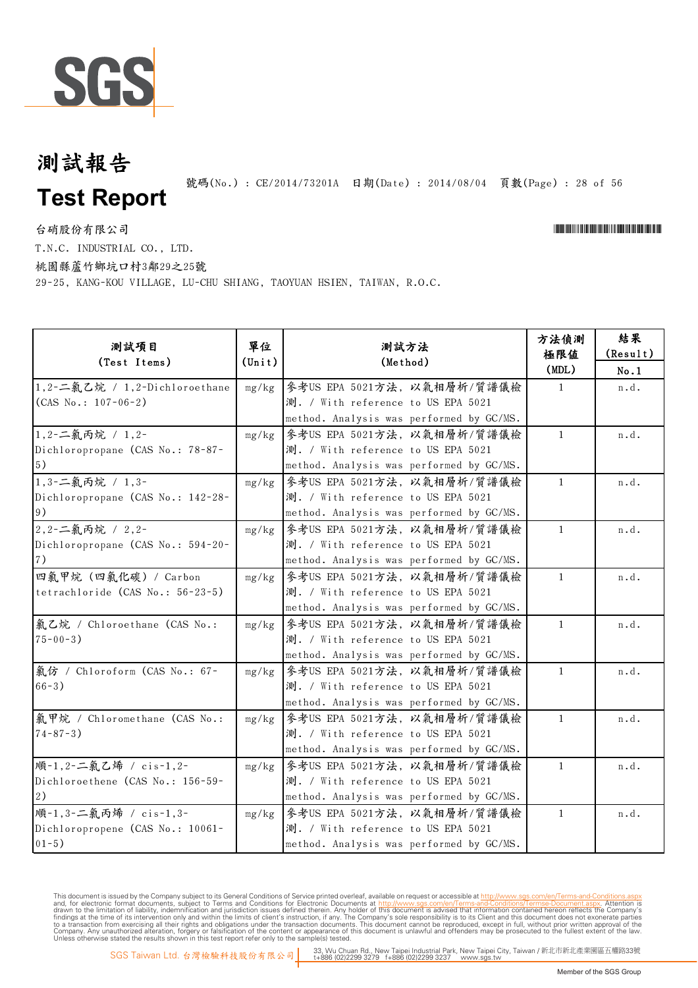

號碼(No.): CE/2014/73201A 日期(Date): 2014/08/04 頁數(Page): 28 of 56

台硝股份有限公司 \*Cerval and the contractor of the contractor of the contractor of the contractor of the contractor of the contractor of the contractor of the contractor of the contractor of the contractor of the contractor of t

T.N.C. INDUSTRIAL CO., LTD.

桃園縣蘆竹鄉坑口村3鄰29之25號

29-25, KANG-KOU VILLAGE, LU-CHU SHIANG, TAOYUAN HSIEN, TAIWAN, R.O.C.

| 測試項目<br>(Test Items)                                                   | 單位<br>$(\text{Unit})$ | 測試方法<br>(Method)                                                                                              | 方法偵測<br>極限值<br>(MDL) | 結果<br>(Result)<br>No.1 |
|------------------------------------------------------------------------|-----------------------|---------------------------------------------------------------------------------------------------------------|----------------------|------------------------|
| 1,2-二氣乙烷 / 1,2-Dichloroethane<br>$(CAS No.: 107-06-2)$                 | mg/kg                 | 参考US EPA 5021方法, 以氣相層析/質譜儀檢<br>測. / With reference to US EPA 5021<br>method. Analysis was performed by GC/MS. | $\mathbf{1}$         | n.d.                   |
| 1,2-二氯丙烷 / 1,2-<br>Dichloropropane (CAS No.: 78-87-<br>5)              | mg/kg                 | 參考US EPA 5021方法, 以氣相層析/質譜儀檢<br>測. / With reference to US EPA 5021<br>method. Analysis was performed by GC/MS. | $\mathbf{1}$         | n.d.                   |
| 1,3-二氯丙烷 / 1,3-<br>Dichloropropane (CAS No.: 142-28-<br>9)             | mg/kg                 | 參考US EPA 5021方法, 以氣相層析/質譜儀檢<br>測. / With reference to US EPA 5021<br>method. Analysis was performed by GC/MS. | $\mathbf{1}$         | n.d.                   |
| 2,2-二氯丙烷 / 2,2-<br>Dichloropropane (CAS No.: 594-20-<br>7)             | mg/kg                 | 參考US EPA 5021方法,以氣相層析/質譜儀檢<br>測. / With reference to US EPA 5021<br>method. Analysis was performed by GC/MS.  | $\mathbf{1}$         | n.d.                   |
| 四氯甲烷 (四氯化碳) / Carbon<br>tetrachloride (CAS No.: 56-23-5)               | mg/kg                 | 參考US EPA 5021方法,以氣相層析/質譜儀檢<br>測. / With reference to US EPA 5021<br>method. Analysis was performed by GC/MS.  | $\mathbf{1}$         | n.d.                   |
| 氣乙烷 / Chloroethane (CAS No.:<br>$75 - 00 - 3$ )                        | mg/kg                 | 參考US EPA 5021方法,以氣相層析/質譜儀檢<br>測. / With reference to US EPA 5021<br>method. Analysis was performed by GC/MS.  | $\mathbf{1}$         | n.d.                   |
| 氯仿 / Chloroform (CAS No.: 67-<br>$66 - 3)$                             | mg/kg                 | 參考US EPA 5021方法, 以氣相層析/質譜儀檢<br>測. / With reference to US EPA 5021<br>method. Analysis was performed by GC/MS. | $\mathbf{1}$         | n.d.                   |
| 氯甲烷 / Chloromethane (CAS No.:<br>$74 - 87 - 3$ )                       | mg/kg                 | 參考US EPA 5021方法, 以氣相層析/質譜儀檢<br>測. / With reference to US EPA 5021<br>method. Analysis was performed by GC/MS. | $\mathbf{1}$         | n.d.                   |
| 順-1,2-二氯乙烯 / cis-1,2-<br>Dichloroethene (CAS No.: 156-59-<br>2)        | mg/kg                 | 參考US EPA 5021方法, 以氣相層析/質譜儀檢<br>測. / With reference to US EPA 5021<br>method. Analysis was performed by GC/MS. | $\mathbf{1}$         | n.d.                   |
| 順-1,3-二氯丙烯 / cis-1,3-<br>Dichloropropene (CAS No.: 10061-<br>$01 - 5)$ | mg/kg                 | 參考US EPA 5021方法, 以氣相層析/質譜儀檢<br>測. / With reference to US EPA 5021<br>method. Analysis was performed by GC/MS. | $\mathbf{1}$         | n.d.                   |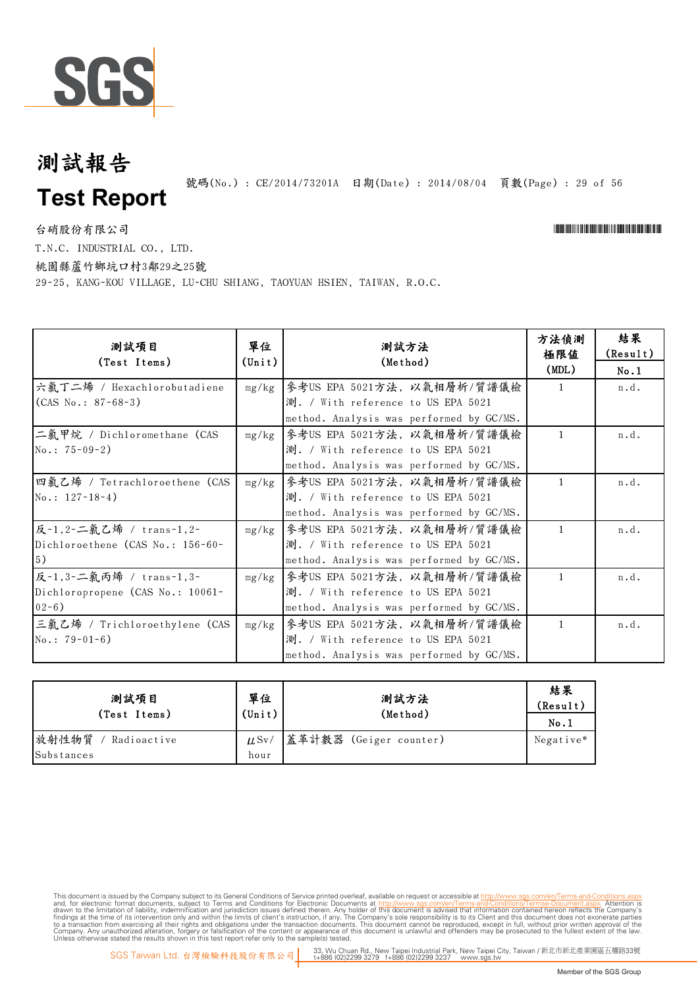

號碼(No.): CE/2014/73201A 日期(Date): 2014/08/04 頁數(Page): 29 of 56

台硝股份有限公司 \*Cerval and the contractor of the contractor of the contractor of the contractor of the contractor of the contractor of the contractor of the contractor of the contractor of the contractor of the contractor of t

T.N.C. INDUSTRIAL CO., LTD.

桃園縣蘆竹鄉坑口村3鄰29之25號

29-25, KANG-KOU VILLAGE, LU-CHU SHIANG, TAOYUAN HSIEN, TAIWAN, R.O.C.

| 测試項目<br>(Test Items)             | 單位<br>$(\texttt{Unit})$ | 測試方法<br>(Method)                         | 方法偵測<br>極限値  | 結果<br>(Result) |
|----------------------------------|-------------------------|------------------------------------------|--------------|----------------|
|                                  |                         |                                          | (MDL)        | No.1           |
| 六氯丁二烯 / Hexachlorobutadiene      |                         | mg/kg   參考US EPA 5021方法, 以氣相層析/質譜儀檢      | $\mathbf{1}$ | n.d.           |
| $(CAS No.: 87-68-3)$             |                         | 測. / With reference to US EPA 5021       |              |                |
|                                  |                         | method. Analysis was performed by GC/MS. |              |                |
| 二氯甲烷 / Dichloromethane (CAS      | mg/kg                   | 參考US EPA 5021方法,以氣相層析/質譜儀檢               | $\mathbf{1}$ | n.d.           |
| $No.: 75-09-2)$                  |                         | 測. / With reference to US EPA 5021       |              |                |
|                                  |                         | method. Analysis was performed by GC/MS. |              |                |
| 四氯乙烯 / Tetrachloroethene (CAS    | mg/kg                   | 參考US EPA 5021方法,以氣相層析/質譜儀檢               | $\mathbf{1}$ | n.d.           |
| $No.: 127-18-4)$                 |                         | 測. / With reference to US EPA 5021       |              |                |
|                                  |                         | method. Analysis was performed by GC/MS. |              |                |
| 反-1,2-二氯乙烯 / trans-1,2-          | mg/kg                   | 參考US EPA 5021方法, 以氣相層析/質譜儀檢              | $\mathbf{1}$ | n.d.           |
| Dichloroethene (CAS No.: 156-60- |                         | 測. / With reference to US EPA 5021       |              |                |
| 5)                               |                         | method. Analysis was performed by GC/MS. |              |                |
| 反-1,3-二氯丙烯 / trans-1,3-          | mg/kg                   | 參考US EPA 5021方法,以氣相層析/質譜儀檢               | $\mathbf{1}$ | n.d.           |
| Dichloropropene (CAS No.: 10061- |                         | 測. / With reference to US EPA 5021       |              |                |
| $02-6)$                          |                         | method. Analysis was performed by GC/MS. |              |                |
| 三氯乙烯 / Trichloroethylene (CAS    | mg/kg                   | 參考US EPA 5021方法,以氣相層析/質譜儀檢               | $\mathbf{1}$ | n.d.           |
| $No.: 79-01-6)$                  |                         | 測. / With reference to US EPA 5021       |              |                |
|                                  |                         | method. Analysis was performed by GC/MS. |              |                |

| 測試項目                 | 單位              | 測試方法                   | 結果<br>(Result) |
|----------------------|-----------------|------------------------|----------------|
| (Test Items)         | $(\text{Unit})$ | (Method)               | No.1           |
| 放射性物質<br>Radioactive | $\mu$ Sv/       | 蓋革計數器 (Geiger counter) | Negative*      |
| Substances           | hour            |                        |                |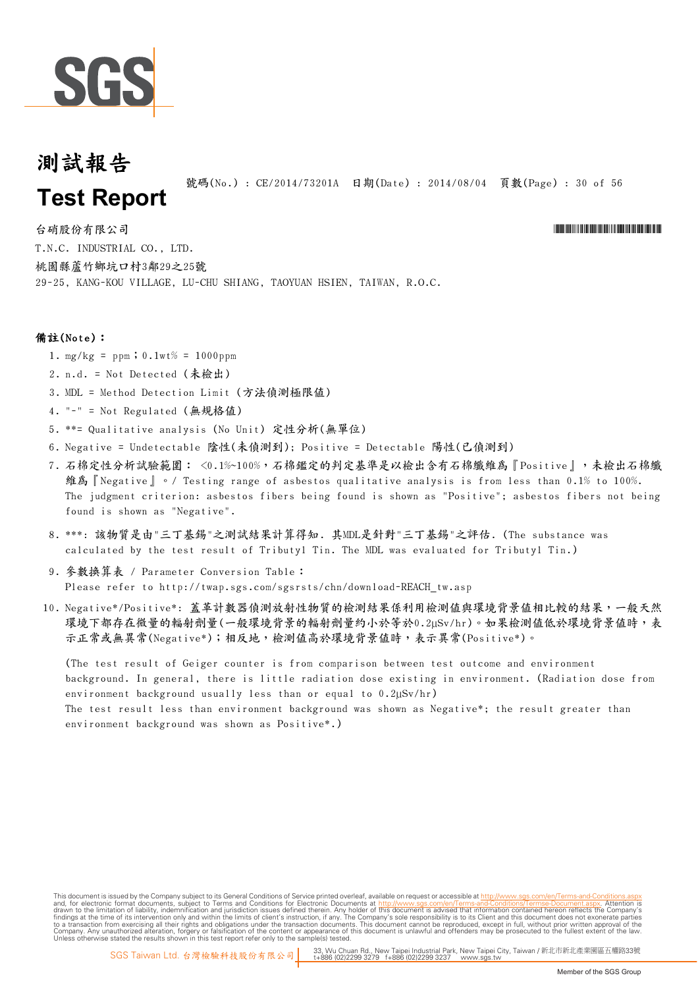

號碼(No.) : CE/2014/73201A 日期(Date) : 2014/08/04 頁數(Page) : 30 of 56

台硝股份有限公司 \*Cerval and \*Cerval and \*Cerval and \*Cerval and \*Cerval and \*Cerval and \*Cerval and \*Cerval and \*Cerval and \*Cerval and \*Cerval and \*Cerval and \*Cerval and \*Cerval and \*Cerval and \*Cerval and \*Cerval and \*Cerval T.N.C. INDUSTRIAL CO., LTD. 桃園縣蘆竹鄉坑口村3鄰29之25號 29-25, KANG-KOU VILLAGE, LU-CHU SHIANG, TAOYUAN HSIEN, TAIWAN, R.O.C.

#### 備註(Note):

- 1.  $mg/kg = ppm$ ; 0.1wt% = 1000ppm
- 2. n.d. = Not Detected (未檢出)
- 3. MDL = Method Detection Limit (方法偵測極限值)
- 4. "-" = Not Regulated (無規格值)
- 5. \*\*= Qualitative analysis (No Unit) 定性分析(無單位)
- 6. Negative = Undetectable 陰性(未偵測到); Positive = Detectable 陽性(已偵測到)
- 7. 石棉定性分析試驗範圍: <0.1%~100%,石棉鑑定的判定基準是以檢出含有石棉纖維為『Positive』,未檢出石棉纖 維為『Negative』。/ Testing range of asbestos qualitative analysis is from less than 0.1% to 100%. The judgment criterion: asbestos fibers being found is shown as "Positive"; asbestos fibers not being found is shown as "Negative".
- 8. \*\*\*: 該物質是由"三丁基錫"之測試結果計算得知. 其MDL是針對"三丁基錫"之評估. (The substance was calculated by the test result of Tributyl Tin. The MDL was evaluated for Tributyl Tin.)
- 9. 參數換算表 / Parameter Conversion Table: Please refer to http://twap.sgs.com/sgsrsts/chn/download-REACH\_tw.asp
- 10. Negative\*/Positive\*: 蓋革計數器偵測放射性物質的檢測結果係利用檢測值與環境背景值相比較的結果,一般天然 環境下都存在微量的輻射劑量(一般環境背景的輻射劑量約小於等於0.2µSv/hr)。如果檢測值低於環境背景值時,表 示正常或無異常(Negative\*);相反地,檢測值高於環境背景值時,表示異常(Positive\*)。

(The test result of Geiger counter is from comparison between test outcome and environment background. In general, there is little radiation dose existing in environment. (Radiation dose from environment background usually less than or equal to 0.2µSv/hr) The test result less than environment background was shown as Negative\*; the result greater than environment background was shown as Positive\*.)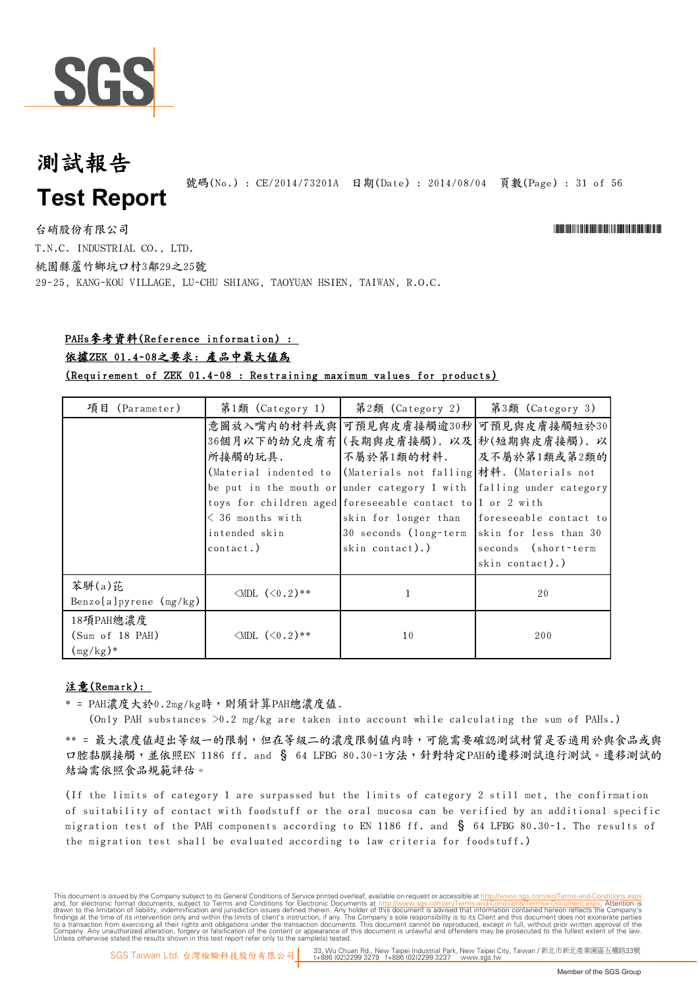

號碼(No.) : CE/2014/73201A 日期(Date) : 2014/08/04 頁數(Page) : 31 of 56

台硝股份有限公司 \*Cerval and the contractor of the contractor of the contractor of the contractor of the contractor of the contractor of the contractor of the contractor of the contractor of the contractor of the contractor of t T.N.C. INDUSTRIAL CO., LTD. 桃園縣蘆竹鄉坑口村3鄰29之25號 29-25, KANG-KOU VILLAGE, LU-CHU SHIANG, TAOYUAN HSIEN, TAIWAN, R.O.C.

#### PAHs參考資料(Reference information) :

#### 依據ZEK 01.4-08之要求: 產品中最大值為

(Requirement of ZEK 01.4-08 : Restraining maximum values for products)

| 項目<br>(Parameter)             | 第1類 (Category 1)           | 第2類 (Category 2)                                                    | 第3類 (Category 3)       |
|-------------------------------|----------------------------|---------------------------------------------------------------------|------------------------|
|                               |                            | 意圖放入嘴内的材料或與 可預見與皮膚接觸逾30秒 可預見與皮膚接觸短於30                               |                        |
|                               |                            | 36個月以下的幼兒皮膚有 (長期與皮膚接觸), 以及 秒(短期與皮膚接觸), 以                            |                        |
|                               | 所接觸的玩具.                    | 不屬於第1類的材料.                                                          | 及不屬於第1類或第2類的           |
|                               |                            | (Material indented to (Materials not falling 材料. (Materials not     |                        |
|                               |                            | be put in the mouth or under category 1 with falling under category |                        |
|                               |                            | toys for children aged foreseeable contact to 1 or 2 with           |                        |
|                               | $<$ 36 months with         | skin for longer than                                                | foreseeable contact to |
|                               | intended skin              | 30 seconds (long-term skin for less than 30                         |                        |
|                               | $contact.$ )               | skin contact).)                                                     | seconds (short-term    |
|                               |                            |                                                                     | skin contact).)        |
| 苯駢(a)芘                        |                            |                                                                     |                        |
| Benzo $[a]$ pyrene $(mg/kg)$  | $\triangle$ MDL $(<0.2)**$ |                                                                     | 20                     |
| 18項PAH總濃度                     |                            |                                                                     |                        |
| (Sum of 18 PAH)               | $\triangle MDL$ $(<0.2)**$ | 10                                                                  | 200                    |
| $\frac{\text{mg}}{\text{kg}}$ |                            |                                                                     |                        |

#### 注意(Remark):

 $*$  = PAH濃度大於 $0.2$ mg/kg時,則須計算PAH總濃度值.

(Only PAH substances  $>0.2$  mg/kg are taken into account while calculating the sum of PAHs.)

\*\* = 最大濃度值超出等級一的限制,但在等級二的濃度限制值內時,可能需要確認測試材質是否適用於與食品或與 口腔黏膜接觸,並依照EN 1186 ff. and § 64 LFBG 80.30-1方法,針對特定PAH的遷移測試進行測試。遷移測試的 結論需依照食品規範評估。

(If the limits of category 1 are surpassed but the limits of category 2 still met, the confirmation of suitability of contact with foodstuff or the oral mucosa can be verified by an additional specific migration test of the PAH components according to EN 1186 ff. and  $\S$  64 LFBG 80.30-1. The results of the migration test shall be evaluated according to law criteria for foodstuff.)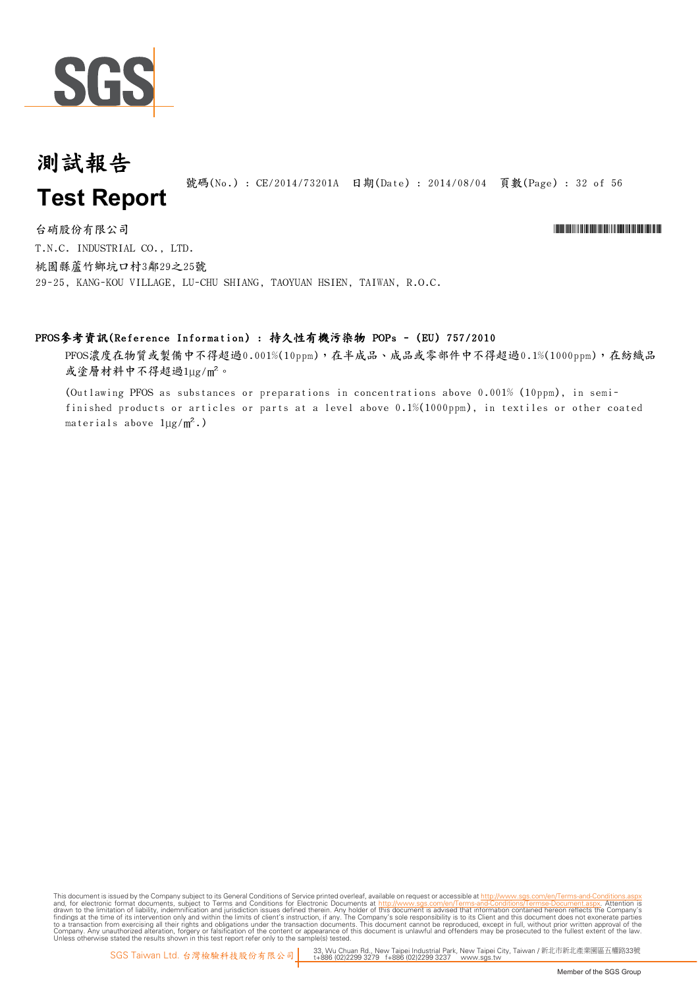

#### 測試報告 號碼(No.): CE/2014/73201A 日期(Date): 2014/08/04 頁數(Page): 32 of 56 **Test Report**

T.N.C. INDUSTRIAL CO., LTD. 桃園縣蘆竹鄉坑口村3鄰29之25號 29-25, KANG-KOU VILLAGE, LU-CHU SHIANG, TAOYUAN HSIEN, TAIWAN, R.O.C. 台硝股份有限公司 \*Cerval and the contractor of the contractor of the contractor of the contractor of the contractor of the contractor of the contractor of the contractor of the contractor of the contractor of the contractor of t

#### PFOS參考資訊(Reference Information) : 持久性有機污染物 POPs - (EU) 757/2010

PFOS濃度在物質或製備中不得超過0.001%(10ppm),在半成品、成品或零部件中不得超過0.1%(1000ppm),在紡織品 或塗層材料中不得超過1ug/m<sup>2</sup>。

(Outlawing PFOS as substances or preparations in concentrations above 0.001% (10ppm), in semifinished products or articles or parts at a level above 0.1%(1000ppm), in textiles or other coated materials above  $1\mu g/m^2$ .)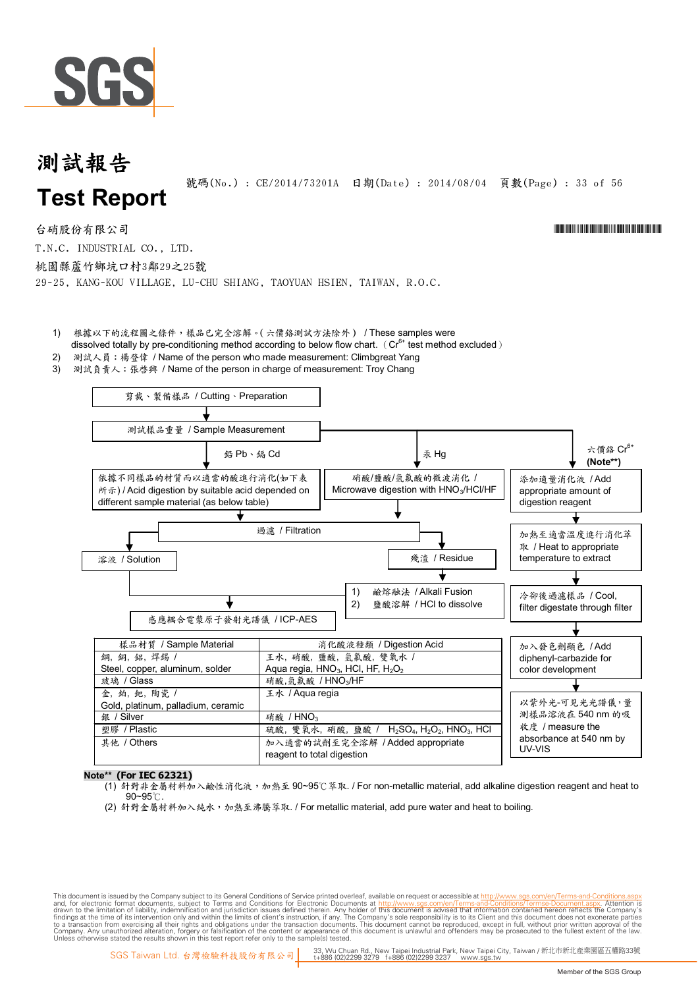

#### 測試報告 號碼(No.) : CE/2014/73201A 日期(Date) : 2014/08/04 頁數(Page) : 33 of 56 **Test Report**

台硝股份有限公司 \*Cerval and the contractor of the contractor of the contractor of the contractor of the contractor of the contractor of the contractor of the contractor of the contractor of the contractor of the contractor of t

T.N.C. INDUSTRIAL CO., LTD.

桃園縣蘆竹鄉坑口村3鄰29之25號

29-25, KANG-KOU VILLAGE, LU-CHU SHIANG, TAOYUAN HSIEN, TAIWAN, R.O.C.

1) 根據以下的流程圖之條件,樣品已完全溶解。(六價鉻測試方法除外) / These samples were

dissolved totally by pre-conditioning method according to below flow chart. ( $Cr<sup>6+</sup>$  test method excluded)

- 2) 測試人員: 楊登偉 / Name of the person who made measurement: Climbgreat Yang
- 3) 測試負責人:張啓興 / Name of the person in charge of measurement: Troy Chang



#### **N ote\*\* (ForIEC 62321)**

- (1) 針對非金屬材料加入鹼性消化液,加熱至 90~95℃萃取. / For non-metallic material, add alkaline digestion reagent and heat to  $90 - 95$ °C
- (2) 針對金屬材料加入純水,加熱至沸騰萃取. / For metallic material, add pure water and heat to boiling.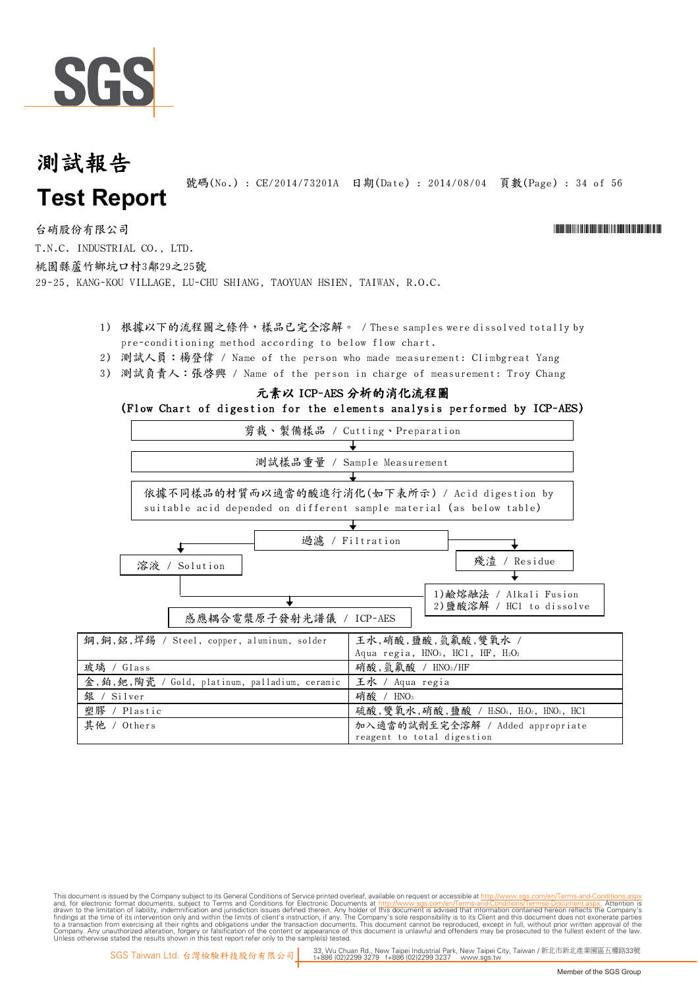

號碼(No.) : CE/2014/73201A 日期(Date) : 2014/08/04 頁數(Page) : 34 of 56

台硝股份有限公司 \*Cerval and the contractor of the contractor of the contractor of the contractor of the contractor of the contractor of the contractor of the contractor of the contractor of the contractor of the contractor of t

T.N.C. INDUSTRIAL CO., LTD. 桃園縣蘆竹鄉坑口村3鄰29之25號

29-25, KANG-KOU VILLAGE, LU-CHU SHIANG, TAOYUAN HSIEN, TAIWAN, R.O.C.

- 1) 根據以下的流程圖之條件,樣品已完全溶解。 / These samples were dissolved totally by pre-conditioning method according to below flow chart.
- 2) 測試人員:楊登偉 / Name of the person who made measurement: Climbgreat Yang
- 3) 測試負責人:張啟興 / Name of the person in charge of measurement: Troy Chang

#### 元素以 ICP-AES 分析的消化流程圖

#### (Flow Chart of digestion for the elements analysis performed by ICP-AES)

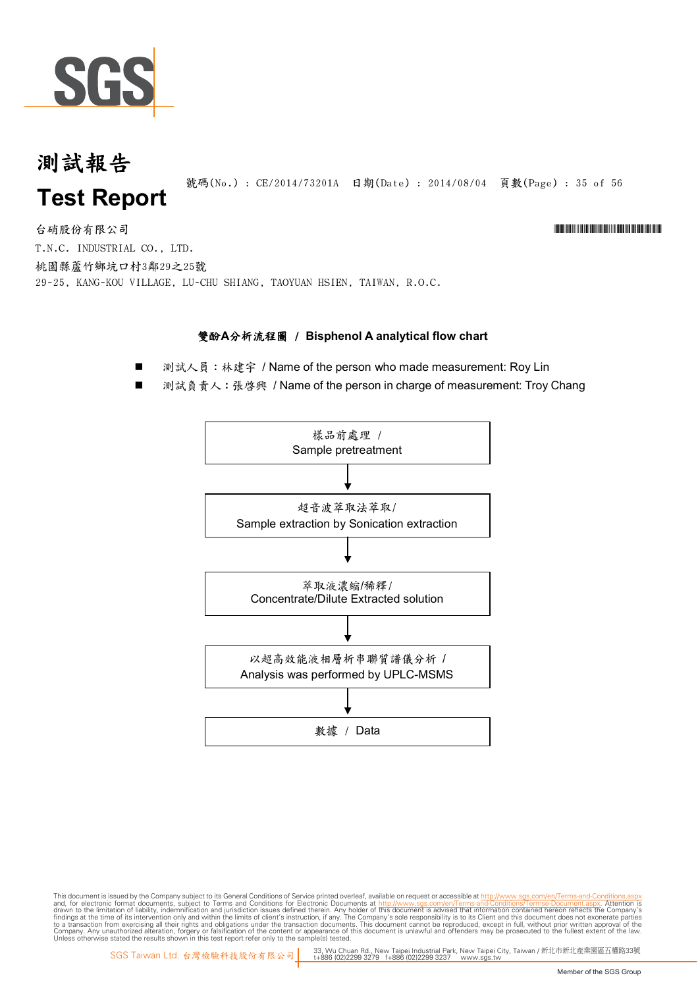

號碼(No.) : CE/2014/73201A 日期(Date) : 2014/08/04 頁數(Page) : 35 of 56

台硝股份有限公司 \*Cerval and the contractor of the contractor of the contractor of the contractor of the contractor of the contractor of the contractor of the contractor of the contractor of the contractor of the contractor of t T.N.C. INDUSTRIAL CO., LTD. 桃園縣蘆竹鄉坑口村3鄰29之25號 29-25, KANG-KOU VILLAGE, LU-CHU SHIANG, TAOYUAN HSIEN, TAIWAN, R.O.C.

#### **雙酚A分析流程圖 / Bisphenol A analytical flow chart**

- 測試人員:林建宇 / Name of the person who made measurement: Roy Lin
- 測試負責人: 張啓興 / Name of the person in charge of measurement: Troy Chang

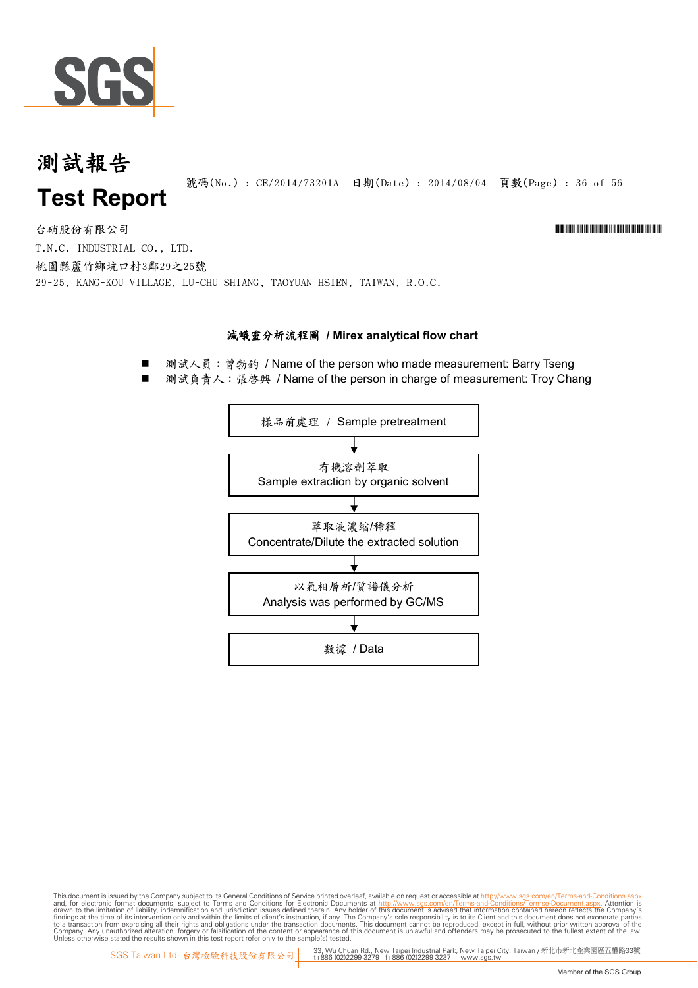

號碼(No.): CE/2014/73201A 日期(Date): 2014/08/04 頁數(Page): 36 of 56

台硝股份有限公司 \*Cerval and the contractor of the contractor of the contractor of the contractor of the contractor of the contractor of the contractor of the contractor of the contractor of the contractor of the contractor of t T.N.C. INDUSTRIAL CO., LTD. 桃園縣蘆竹鄉坑口村3鄰29之25號 29-25, KANG-KOU VILLAGE, LU-CHU SHIANG, TAOYUAN HSIEN, TAIWAN, R.O.C.

#### **滅蟻靈分析流程圖 / Mirex analytical flow chart**

■ 測試人員: 曾勃鈞 / Name of the person who made measurement: Barry Tseng

測試負責人: 張啓興 / Name of the person in charge of measurement: Troy Chang

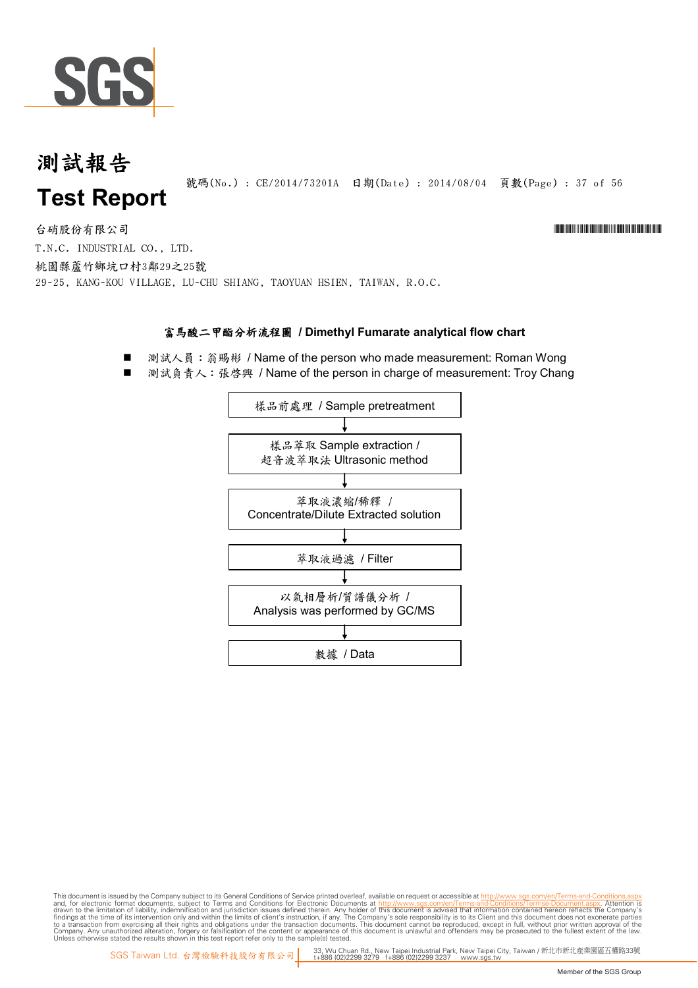

號碼(No.) : CE/2014/73201A 日期(Date) : 2014/08/04 頁數(Page) : 37 of 56

台硝股份有限公司 \*Cerval and the contractor of the contractor of the contractor of the contractor of the contractor of the contractor of the contractor of the contractor of the contractor of the contractor of the contractor of t

T.N.C. INDUSTRIAL CO., LTD. 桃園縣蘆竹鄉坑口村3鄰29之25號

29-25, KANG-KOU VILLAGE, LU-CHU SHIANG, TAOYUAN HSIEN, TAIWAN, R.O.C.

#### 富馬酸二甲酯分析流程圖 / Dimethyl Fumarate analytical flow chart

- 測試人員: 翁賜彬 / Name of the person who made measurement: Roman Wong
- 測試負責人:張啓興 / Name of the person in charge of measurement: Troy Chang

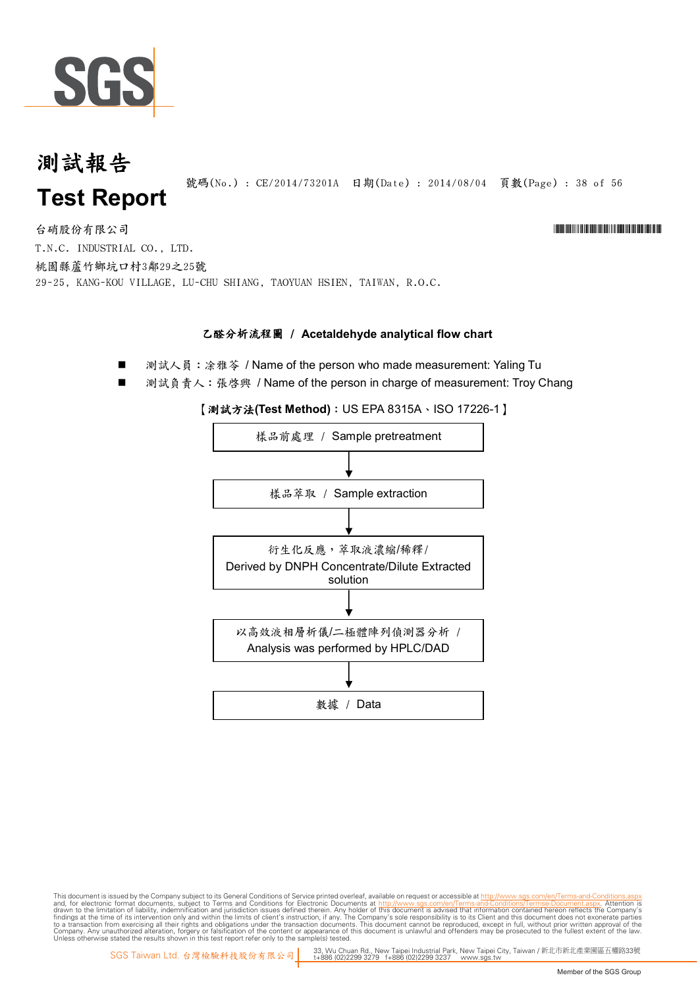

號碼(No.): CE/2014/73201A 日期(Date): 2014/08/04 頁數(Page): 38 of 56

台硝股份有限公司 \*Cerval and the contractor of the contractor of the contractor of the contractor of the contractor of the contractor of the contractor of the contractor of the contractor of the contractor of the contractor of t T.N.C. INDUSTRIAL CO., LTD. 桃園縣蘆竹鄉坑口村3鄰29之25號 29-25, KANG-KOU VILLAGE, LU-CHU SHIANG, TAOYUAN HSIEN, TAIWAN, R.O.C.

#### **乙醛分析流程圖 / Acetaldehyde analytical flow chart**

測試人員: 涂雅苓 / Name of the person who made measurement: Yaling Tu

測試負責人: 張啓興 / Name of the person in charge of measurement: Troy Chang

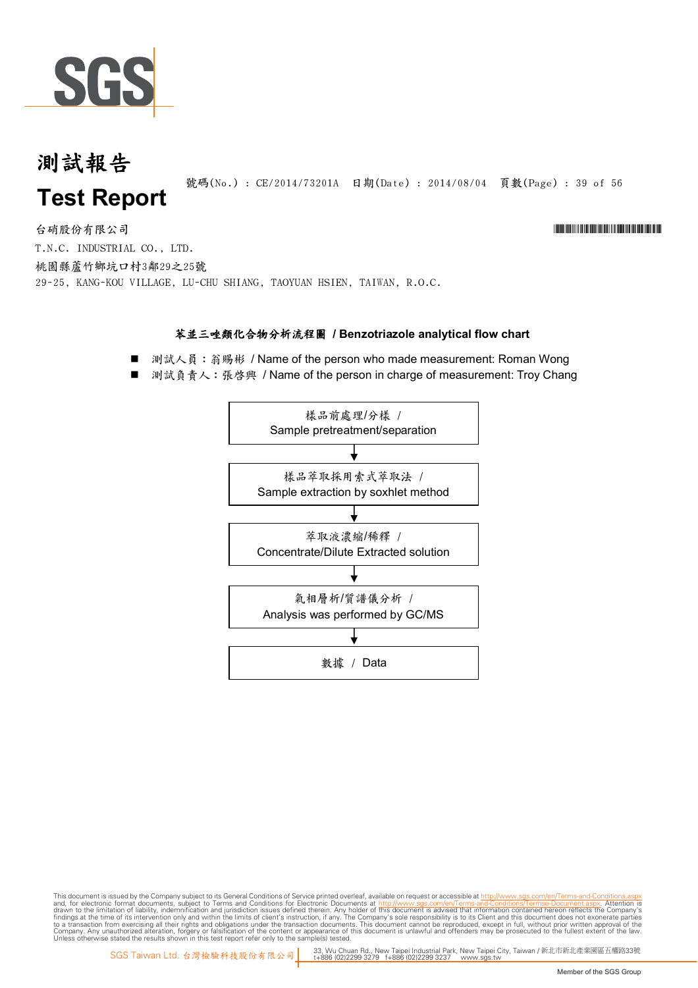

號碼(No.) : CE/2014/73201A 日期(Date) : 2014/08/04 頁數(Page) : 39 of 56

台硝股份有限公司 \*Cerval and the contractor of the contractor of the contractor of the contractor of the contractor of the contractor of the contractor of the contractor of the contractor of the contractor of the contractor of t T.N.C. INDUSTRIAL CO., LTD. 桃園縣蘆竹鄉坑口村3鄰29之25號 29-25, KANG-KOU VILLAGE, LU-CHU SHIANG, TAOYUAN HSIEN, TAIWAN, R.O.C.

#### 苯並三唑類化合物分析流程圖 / Benzotriazole analytical flow chart

測試人員: 翁賜彬 / Name of the person who made measurement: Roman Wong

測試負責人:張啓興 / Name of the person in charge of measurement: Troy Chang

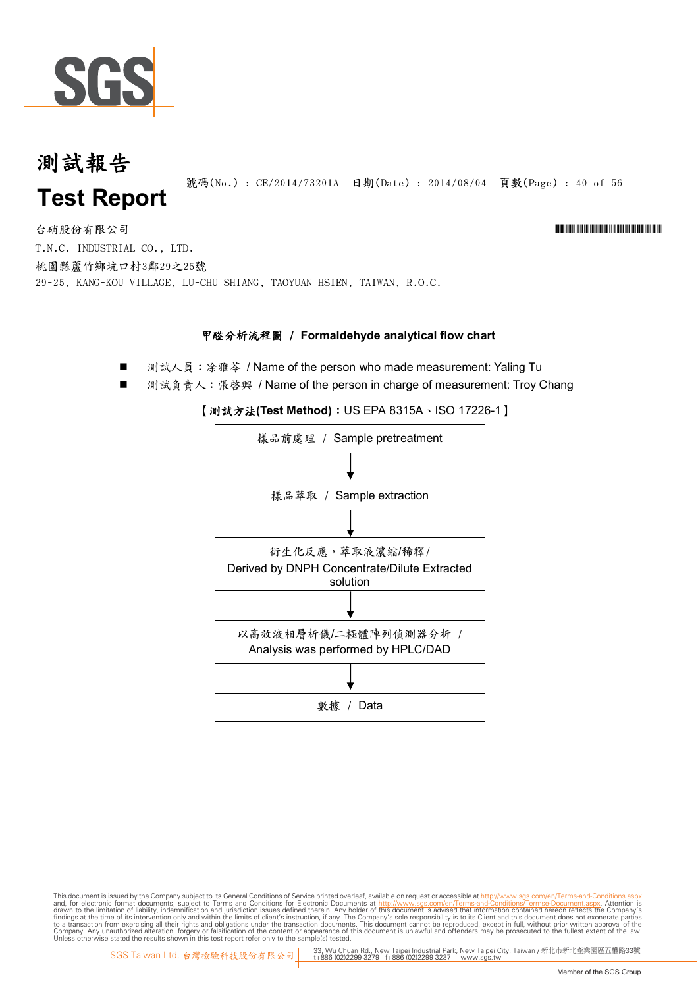

號碼(No.): CE/2014/73201A 日期(Date): 2014/08/04 頁數(Page): 40 of 56

台硝股份有限公司 \*Cerval and the contractor of the contractor of the contractor of the contractor of the contractor of the contractor of the contractor of the contractor of the contractor of the contractor of the contractor of t T.N.C. INDUSTRIAL CO., LTD. 桃園縣蘆竹鄉坑口村3鄰29之25號 29-25, KANG-KOU VILLAGE, LU-CHU SHIANG, TAOYUAN HSIEN, TAIWAN, R.O.C.

#### **甲醛分析流程圖 / Formaldehyde analytical flow chart**

- 測試人員:涂雅苓 / Name of the person who made measurement: Yaling Tu
- 測試負責人:張啓興 / Name of the person in charge of measurement: Troy Chang



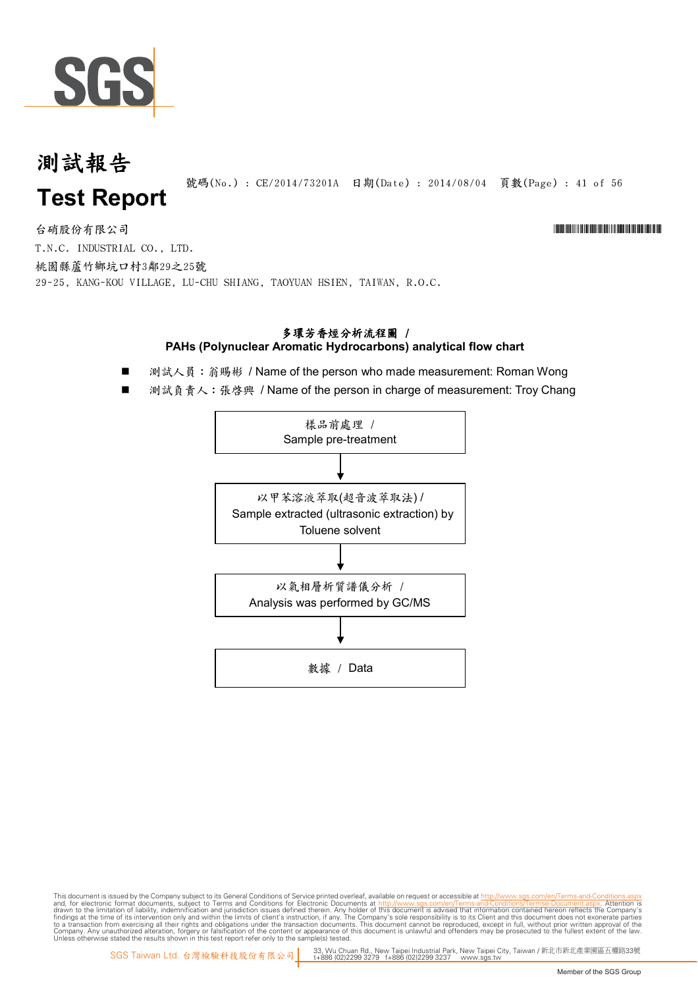

號碼(No.): CE/2014/73201A 日期(Date): 2014/08/04 頁數(Page): 41 of 56

台硝股份有限公司 \*Cerval and the contractor of the contractor of the contractor of the contractor of the contractor of the contractor of the contractor of the contractor of the contractor of the contractor of the contractor of t T.N.C. INDUSTRIAL CO., LTD.

桃園縣蘆竹鄉坑口村3鄰29之25號 29-25, KANG-KOU VILLAGE, LU-CHU SHIANG, TAOYUAN HSIEN, TAIWAN, R.O.C.

#### 多環芳香烴分析流程圖 / PAHs (Polynuclear Aromatic Hydrocarbons) analytical flow chart

- 測試人員: 翁賜彬 / Name of the person who made measurement: Roman Wong
- 測試負責人: 張啓興 / Name of the person in charge of measurement: Troy Chang

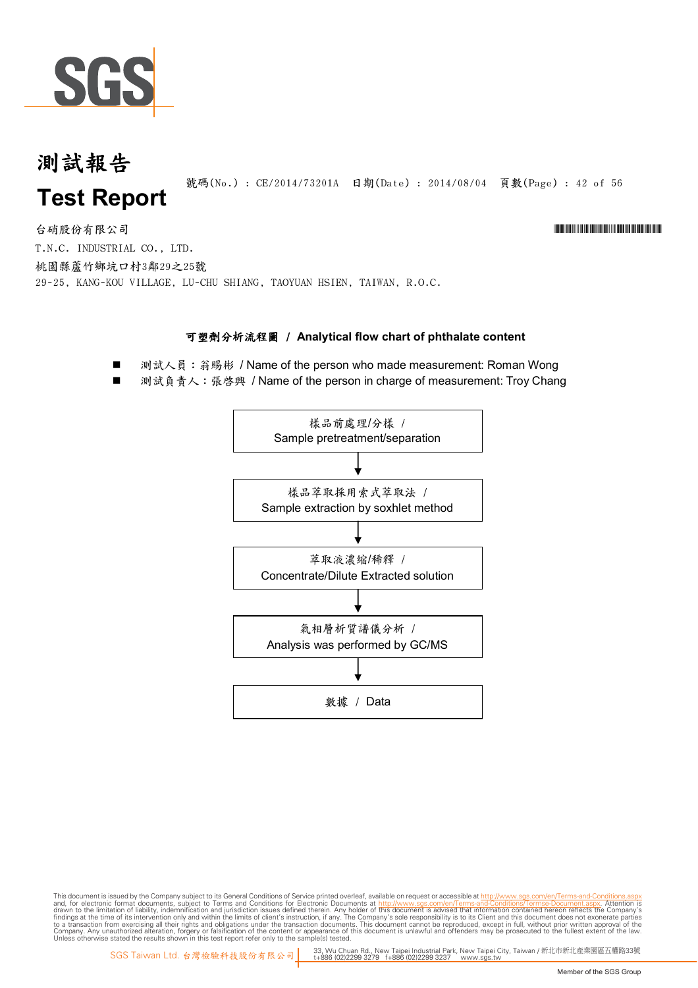

號碼(No.) : CE/2014/73201A 日期(Date) : 2014/08/04 頁數(Page) : 42 of 56

台硝股份有限公司 \*Cerval and the contractor of the contractor of the contractor of the contractor of the contractor of the contractor of the contractor of the contractor of the contractor of the contractor of the contractor of t T.N.C. INDUSTRIAL CO., LTD. 桃園縣蘆竹鄉坑口村3鄰29之25號 29-25, KANG-KOU VILLAGE, LU-CHU SHIANG, TAOYUAN HSIEN, TAIWAN, R.O.C.

#### 可塑劑分析流程圖 / Analytical flow chart of phthalate content

- 測試人員: 翁賜彬 / Name of the person who made measurement: Roman Wong
- 測試負責人:張啟興 / Name of the person in charge of measurement: Troy Chang

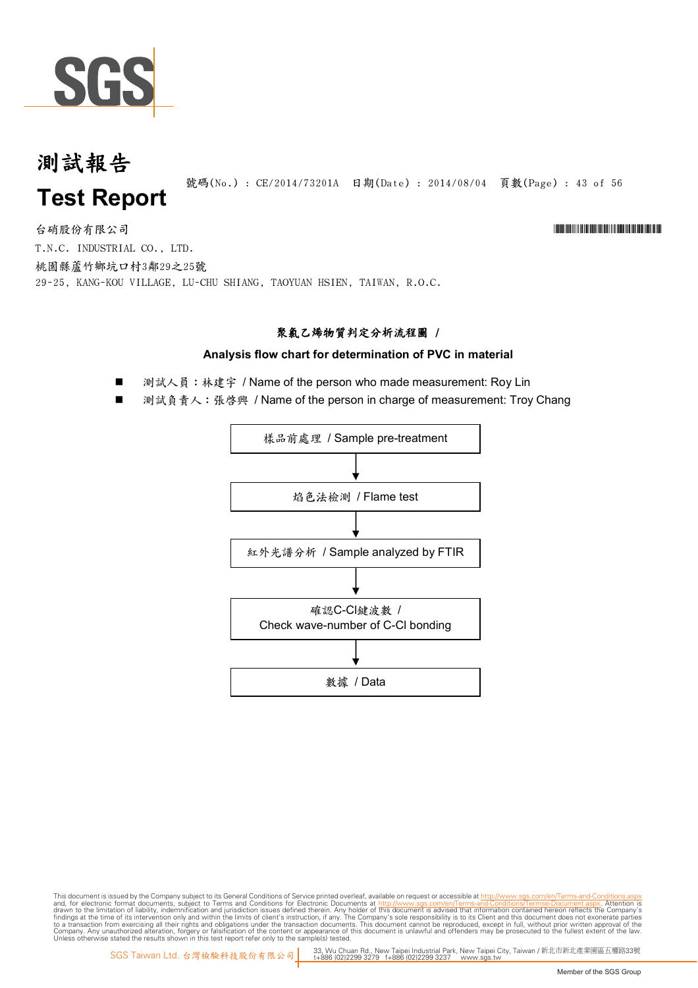

號碼(No.): CE/2014/73201A 日期(Date): 2014/08/04 頁數(Page): 43 of 56

台硝股份有限公司 \*Cerval and the contractor of the contractor of the contractor of the contractor of the contractor of the contractor of the contractor of the contractor of the contractor of the contractor of the contractor of t

T.N.C. INDUSTRIAL CO., LTD. 桃園縣蘆竹鄉坑口村3鄰29之25號 29-25, KANG-KOU VILLAGE, LU-CHU SHIANG, TAOYUAN HSIEN, TAIWAN, R.O.C.

#### 聚氯乙烯物質判定分析流程圖 /

#### Analysis flow chart for determination of PVC in material

測試人員:林建宇 / Name of the person who made measurement: Roy Lin

測試負責人: 張啓興 / Name of the person in charge of measurement: Troy Chang

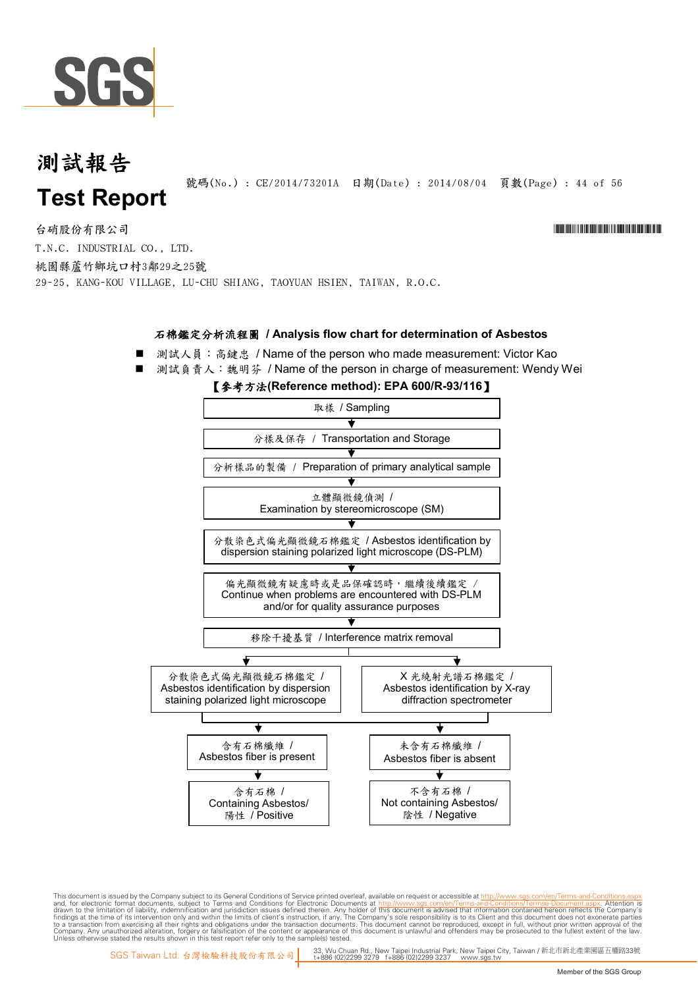

號碼(No.) : CE/2014/73201A 日期(Date) : 2014/08/04 頁數(Page) : 44 of 56

台硝股份有限公司 \*Cerval and the contractor of the contractor of the contractor of the contractor of the contractor of the contractor of the contractor of the contractor of the contractor of the contractor of the contractor of t T.N.C. INDUSTRIAL CO., LTD. 桃園縣蘆竹鄉坑口村3鄰29之25號

29-25, KANG-KOU VILLAGE, LU-CHU SHIANG, TAOYUAN HSIEN, TAIWAN, R.O.C.

#### 石棉鑑定分析流程圖 / Analysis flow chart for determination of Asbestos

- 測試人員: 高鍵忠 / Name of the person who made measurement: Victor Kao
- 測試負責人:魏明芬 / Name of the person in charge of measurement: Wendy Wei

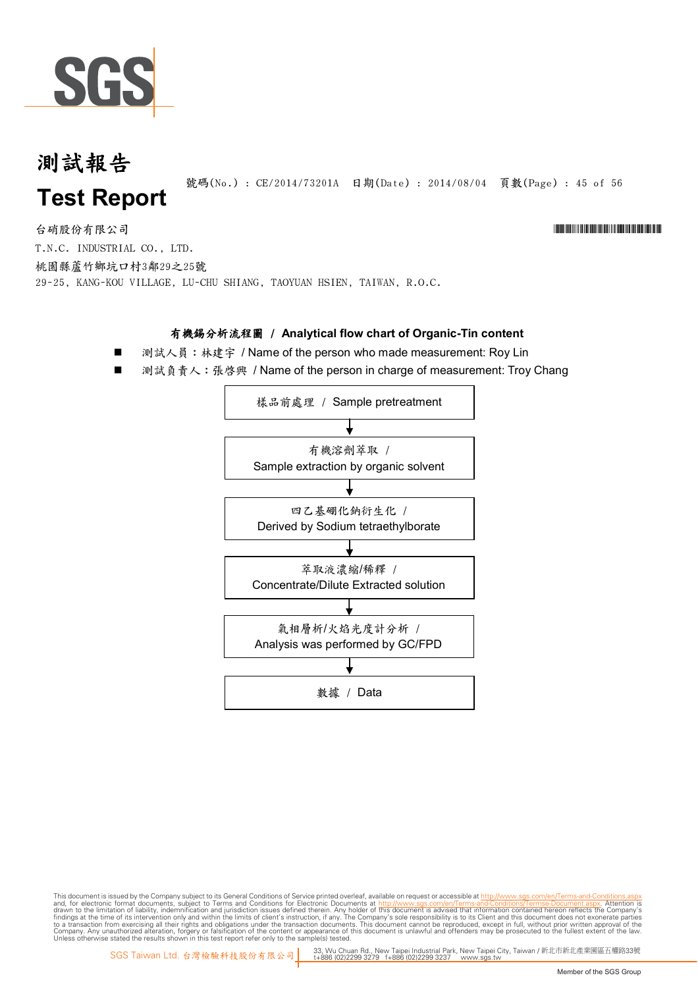

號碼(No.) : CE/2014/73201A 日期(Date) : 2014/08/04 頁數(Page) : 45 of 56

#### 台硝股份有限公司 \*Cerval and the contractor of the contractor of the contractor of the contractor of the contractor of the contractor of the contractor of the contractor of the contractor of the contractor of the contractor of t T.N.C. INDUSTRIAL CO., LTD.

桃園縣蘆竹鄉坑口村3鄰29之25號

29-25, KANG-KOU VILLAGE, LU-CHU SHIANG, TAOYUAN HSIEN, TAIWAN, R.O.C.

#### 有機錫分析流程圖 / Analytical flow chart of Organic-Tin content

- 測試人員: 林建宇 / Name of the person who made measurement: Roy Lin
- 測試負責人:張啓興 / Name of the person in charge of measurement: Troy Chang

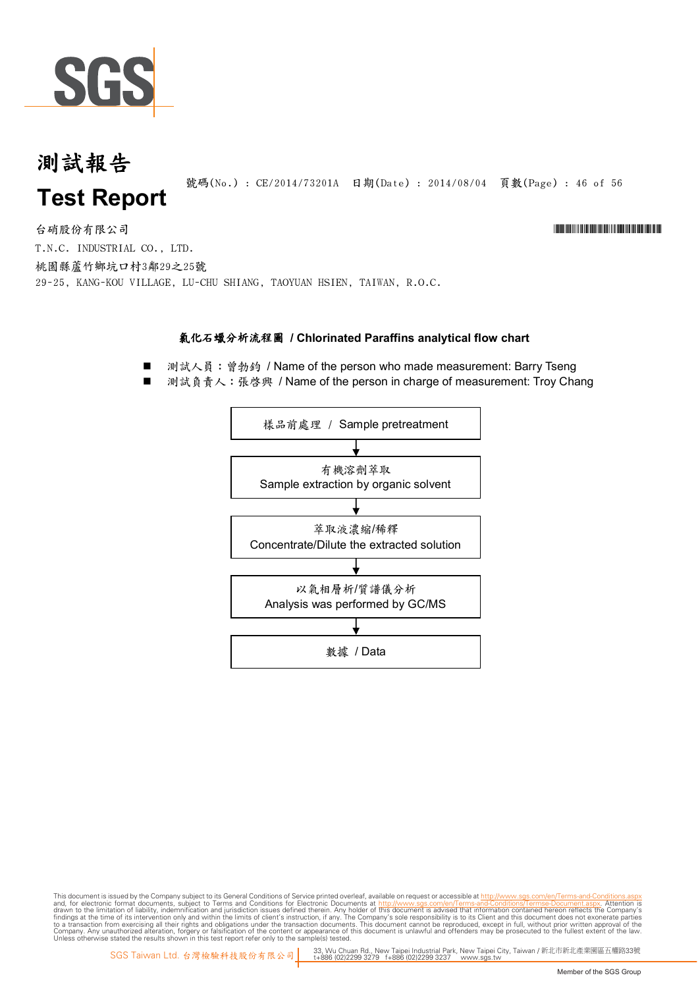

#### 測試報告 號碼(No.): CE/2014/73201A 日期(Date): 2014/08/04 頁數(Page): 46 of 56 **Test Report**

台硝股份有限公司 \*Cerval and the contractor of the contractor of the contractor of the contractor of the contractor of the contractor of the contractor of the contractor of the contractor of the contractor of the contractor of t T.N.C. INDUSTRIAL CO., LTD. 桃園縣蘆竹鄉坑口村3鄰29之25號 29-25, KANG-KOU VILLAGE, LU-CHU SHIANG, TAOYUAN HSIEN, TAIWAN, R.O.C.

#### 氯化石蠟分析流程圖 **/C hlorinated Paraffins analyticalflow chart**

- 測試人員: 曾勃鈞 / Name of the person who made measurement: Barry Tseng
- 測試負責人:張啟興 / Name of the person in charge of measurement: Troy Chang

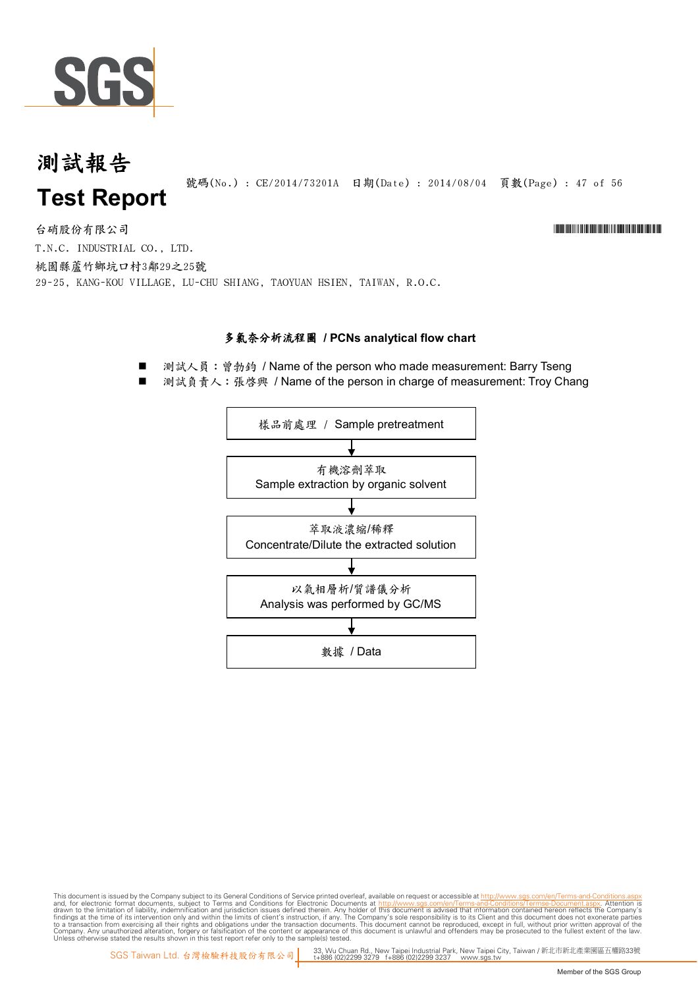

號碼(No.): CE/2014/73201A 日期(Date): 2014/08/04 頁數(Page): 47 of 56

台硝股份有限公司 \*Cerval and the contractor of the contractor of the contractor of the contractor of the contractor of the contractor of the contractor of the contractor of the contractor of the contractor of the contractor of t T.N.C. INDUSTRIAL CO., LTD. 桃園縣蘆竹鄉坑口村3鄰29之25號 29-25, KANG-KOU VILLAGE, LU-CHU SHIANG, TAOYUAN HSIEN, TAIWAN, R.O.C.

#### 多氯奈分析流程圖 / PCNs analytical flow chart

測試人員: 曾勃鈞 / Name of the person who made measurement: Barry Tseng

測試負責人:張啓興 / Name of the person in charge of measurement: Troy Chang



This document is issued by the Company subject to Terms and Conditions of Service printed overleaf, available on request or accessible at th<u>ttp://www.sgs.com/en/Terms-and-Conditions/Termse-Document as apx</u><br>and, for electr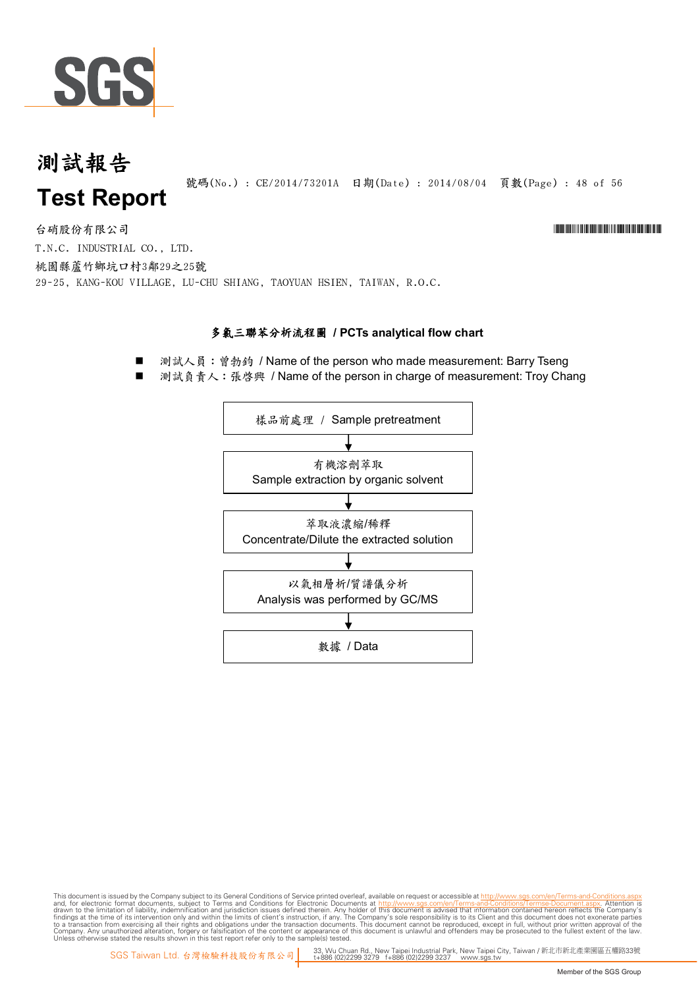

號碼(No.): CE/2014/73201A 日期(Date): 2014/08/04 頁數(Page): 48 of 56

台硝股份有限公司 \*Cerval and the contractor of the contractor of the contractor of the contractor of the contractor of the contractor of the contractor of the contractor of the contractor of the contractor of the contractor of t T.N.C. INDUSTRIAL CO., LTD. 桃園縣蘆竹鄉坑口村3鄰29之25號 29-25, KANG-KOU VILLAGE, LU-CHU SHIANG, TAOYUAN HSIEN, TAIWAN, R.O.C.

#### 多氯三聯苯分析流程圖 / PCTs analytical flow chart

■ 測試人員: 曾勃鈞 / Name of the person who made measurement: Barry Tseng

測試負責人: 張啓興 / Name of the person in charge of measurement: Troy Chang

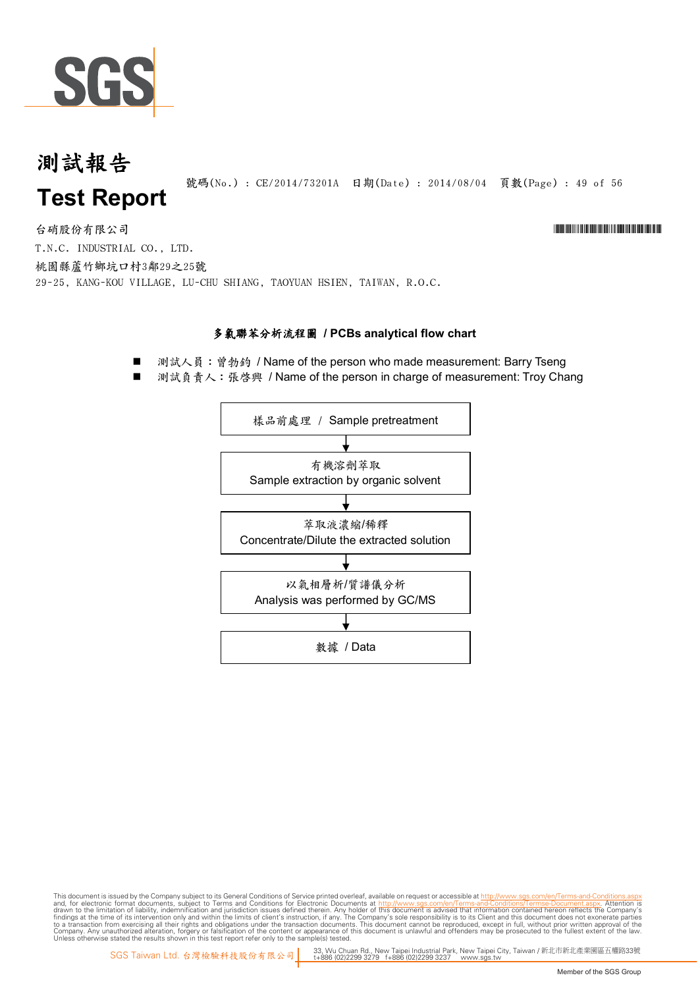

號碼(No.): CE/2014/73201A 日期(Date): 2014/08/04 頁數(Page): 49 of 56

台硝股份有限公司 \*Cerval and the contractor of the contractor of the contractor of the contractor of the contractor of the contractor of the contractor of the contractor of the contractor of the contractor of the contractor of t T.N.C. INDUSTRIAL CO., LTD. 桃園縣蘆竹鄉坑口村3鄰29之25號 29-25, KANG-KOU VILLAGE, LU-CHU SHIANG, TAOYUAN HSIEN, TAIWAN, R.O.C.

#### 多氯聯苯分析流程圖 / PCBs analytical flow chart

測試人員: 曾勃鈞 / Name of the person who made measurement: Barry Tseng

測試負責人: 張啓興 / Name of the person in charge of measurement: Troy Chang

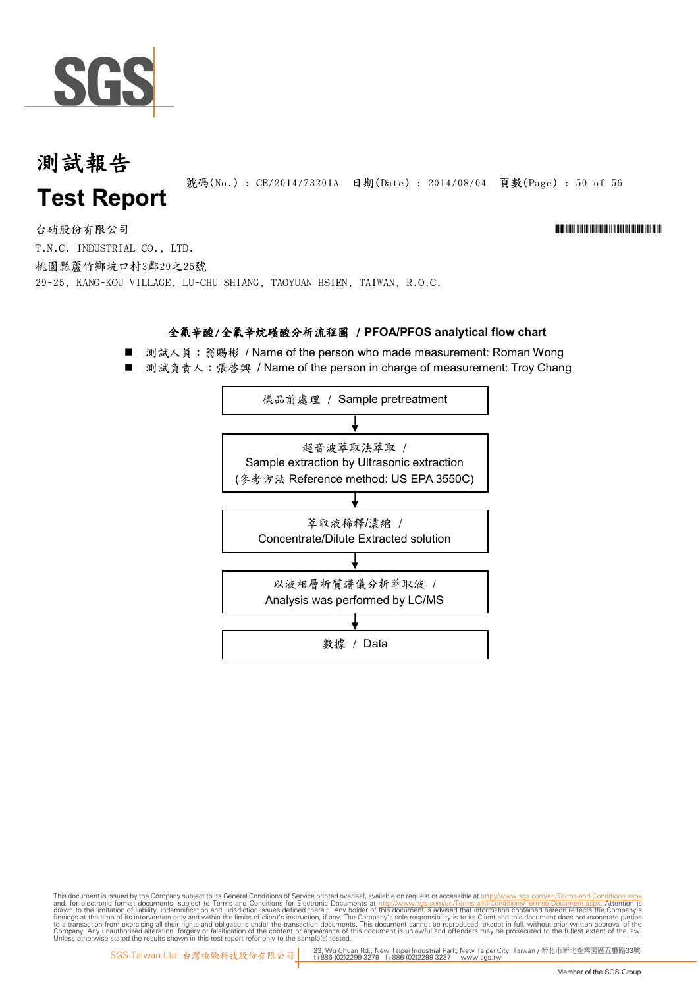

號碼(No.) : CE/2014/73201A 日期(Date) : 2014/08/04 頁數(Page) : 50 of 56

台硝股份有限公司 \*Cerval and the contractor of the contractor of the contractor of the contractor of the contractor of the contractor of the contractor of the contractor of the contractor of the contractor of the contractor of t T.N.C. INDUSTRIAL CO., LTD. 桃園縣蘆竹鄉坑口村3鄰29之25號

29-25, KANG-KOU VILLAGE, LU-CHU SHIANG, TAOYUAN HSIEN, TAIWAN, R.O.C.

#### 全氟辛酸/全氟辛烷磺酸分析流程圖 / PFOA/PFOS analytical flow chart

- 測試人員: 翁賜彬 / Name of the person who made measurement: Roman Wong
- 測試負責人: 張啓興 / Name of the person in charge of measurement: Troy Chang

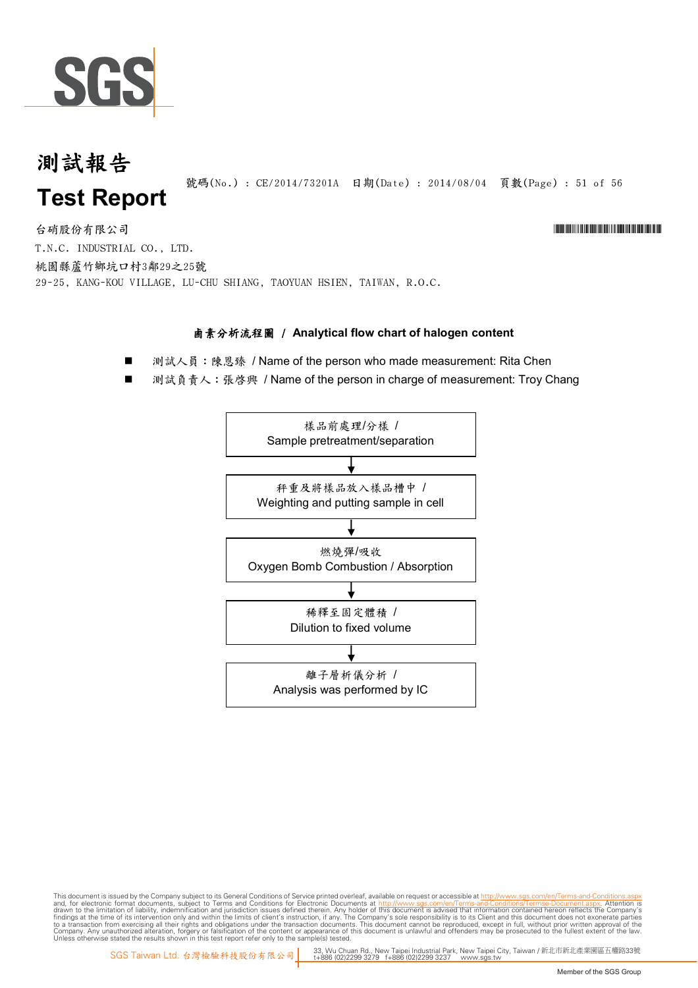

號碼(No.) : CE/2014/73201A 日期(Date) : 2014/08/04 頁數(Page) : 51 of 56

## 台硝股份有限公司 \*Cerval and the contractor of the contractor of the contractor of the contractor of the contractor of the contractor of the contractor of the contractor of the contractor of the contractor of the contractor of t

T.N.C. INDUSTRIAL CO., LTD. 桃園縣蘆竹鄉坑口村3鄰29之25號 29-25, KANG-KOU VILLAGE, LU-CHU SHIANG, TAOYUAN HSIEN, TAIWAN, R.O.C.

#### **鹵素分析流程圖 / Analytical flow chart of halogen content**

- 測試人員: 陳恩臻 / Name of the person who made measurement: Rita Chen
- 測試負責人: 張啓興 / Name of the person in charge of measurement: Troy Chang

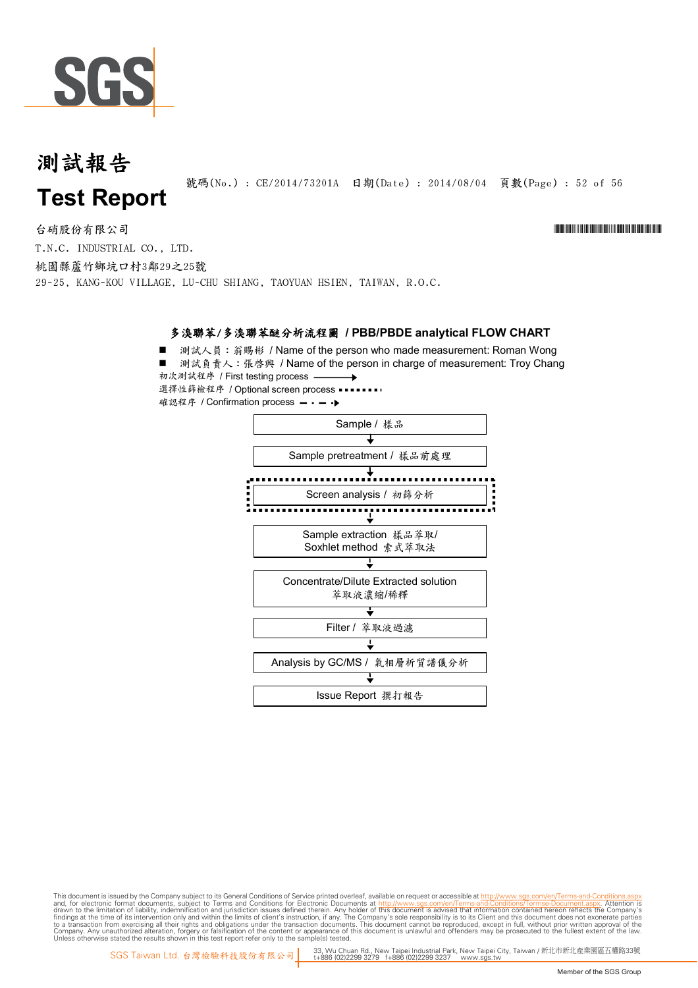

號碼(No.) : CE/2014/73201A 日期(Date) : 2014/08/04 頁數(Page) : 52 of 56

台硝股份有限公司 \*Cerval and the contractor of the contractor of the contractor of the contractor of the contractor of the contractor of the contractor of the contractor of the contractor of the contractor of the contractor of t T.N.C. INDUSTRIAL CO., LTD. 桃園縣蘆竹鄉坑口村3鄰29之25號

29-25, KANG-KOU VILLAGE, LU-CHU SHIANG, TAOYUAN HSIEN, TAIWAN, R.O.C.

#### 多溴聯苯/多溴聯苯醚分析流程圖 / PBB/PBDE analytical FLOW CHART

■ 測試人員: 翁賜彬 / Name of the person who made measurement: Roman Wong ■ 測試負責人:張啓興 / Name of the person in charge of measurement: Troy Chang 初次測試程序 / First testing process 選擇性篩檢程序 / Optional screen process 確認程序 / Confirmation process - - - →

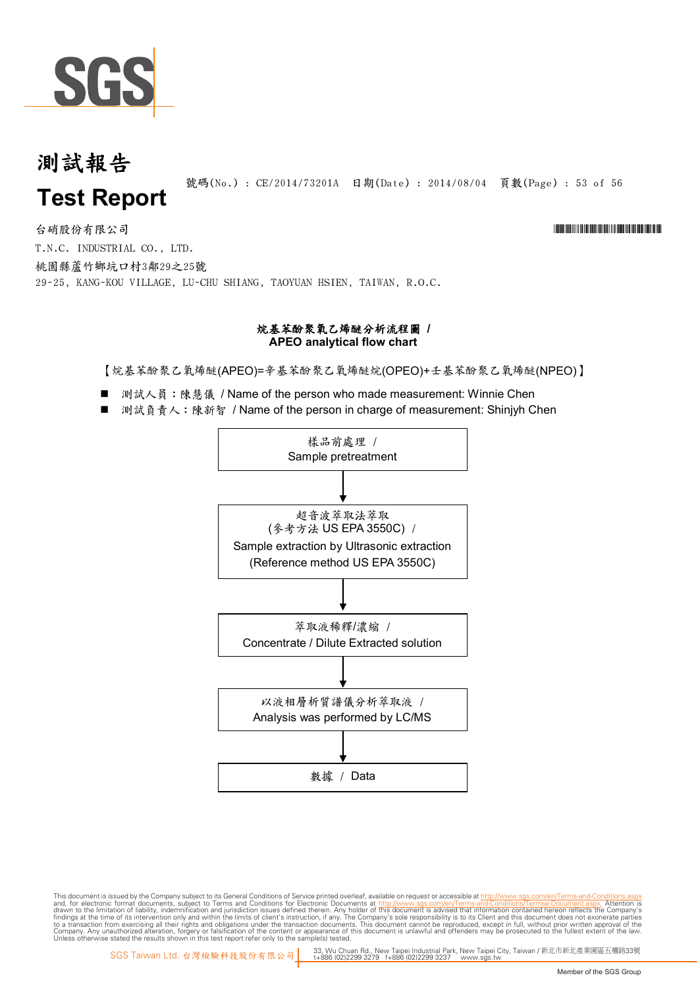

號碼(No.) : CE/2014/73201A 日期(Date) : 2014/08/04 頁數(Page) : 53 of 56

T.N.C. INDUSTRIAL CO., LTD. 桃園縣蘆竹鄉坑口村3鄰29之25號 29-25, KANG-KOU VILLAGE, LU-CHU SHIANG, TAOYUAN HSIEN, TAIWAN, R.O.C. 台硝股份有限公司 \*Cerval and the contractor of the contractor of the contractor of the contractor of the contractor of the contractor of the contractor of the contractor of the contractor of the contractor of the contractor of t

#### 烷基苯酚聚氧乙烯醚分析流程圖 **/ APEO analytical flow chart**

【烷基苯酚聚乙氧烯醚(APEO)=辛基苯酚聚乙氧烯醚烷(OPEO)+壬基苯酚聚乙氧烯醚(NPEO)】

- 測試人員:陳慧儀 / Name of the person who made measurement: Winnie Chen
- 測試負責人: 陳新智 / Name of the person in charge of measurement: Shinjyh Chen

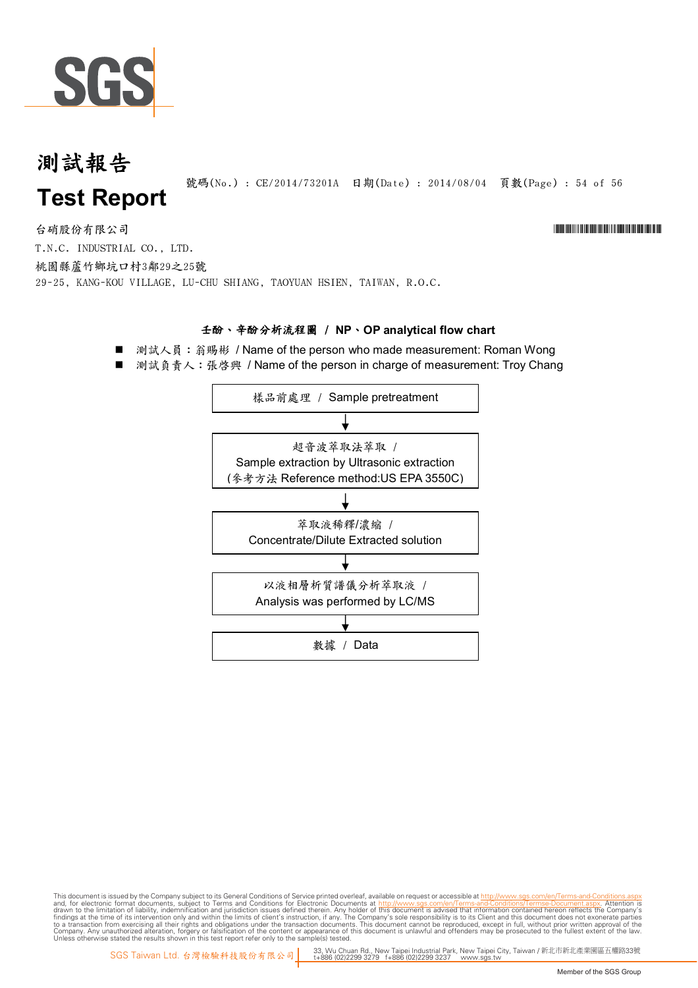

號碼(No.): CE/2014/73201A 日期(Date): 2014/08/04 頁數(Page): 54 of 56

# 台硝股份有限公司 \*Cerval and the contractor of the contractor of the contractor of the contractor of the contractor of the contractor of the contractor of the contractor of the contractor of the contractor of the contractor of t

T.N.C. INDUSTRIAL CO., LTD. 桃園縣蘆竹鄉坑口村3鄰29之25號 29-25, KANG-KOU VILLAGE, LU-CHU SHIANG, TAOYUAN HSIEN, TAIWAN, R.O.C.

#### **壬酚、辛酚分析流程圖 / NP、OP analytical flow chart**

- 測試人員: 翁賜彬 / Name of the person who made measurement: Roman Wong
- 測試負責人:張啓興 / Name of the person in charge of measurement: Troy Chang

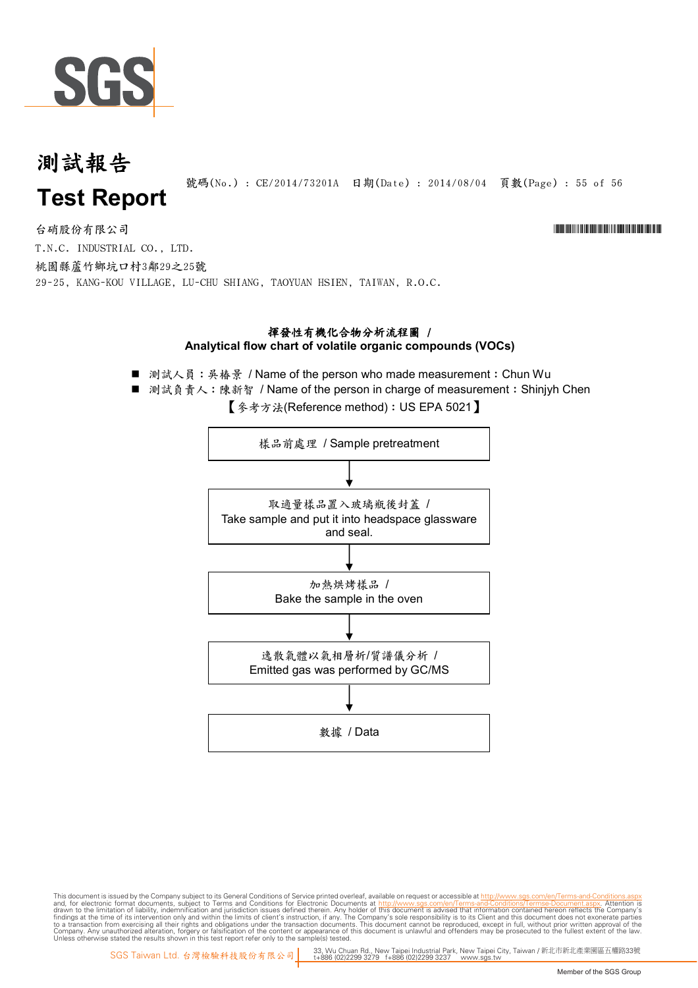

號碼(No.) : CE/2014/73201A 日期(Date) : 2014/08/04 頁數(Page) : 55 of 56

台硝股份有限公司 \*Cerval and the contractor of the contractor of the contractor of the contractor of the contractor of the contractor of the contractor of the contractor of the contractor of the contractor of the contractor of t T.N.C. INDUSTRIAL CO., LTD. 桃園縣蘆竹鄉坑口村3鄰29之25號 29-25, KANG-KOU VILLAGE, LU-CHU SHIANG, TAOYUAN HSIEN, TAIWAN, R.O.C.

#### 揮發性有機化合物分析流程圖 / Analytical flow chart of volatile organic compounds (VOCs)

- 測試人員:吳椿景 / Name of the person who made measurement: Chun Wu
- 測試負責人:陳新智 / Name of the person in charge of measurement: Shinjyh Chen

【 参考方法(Reference method): US EPA 5021】